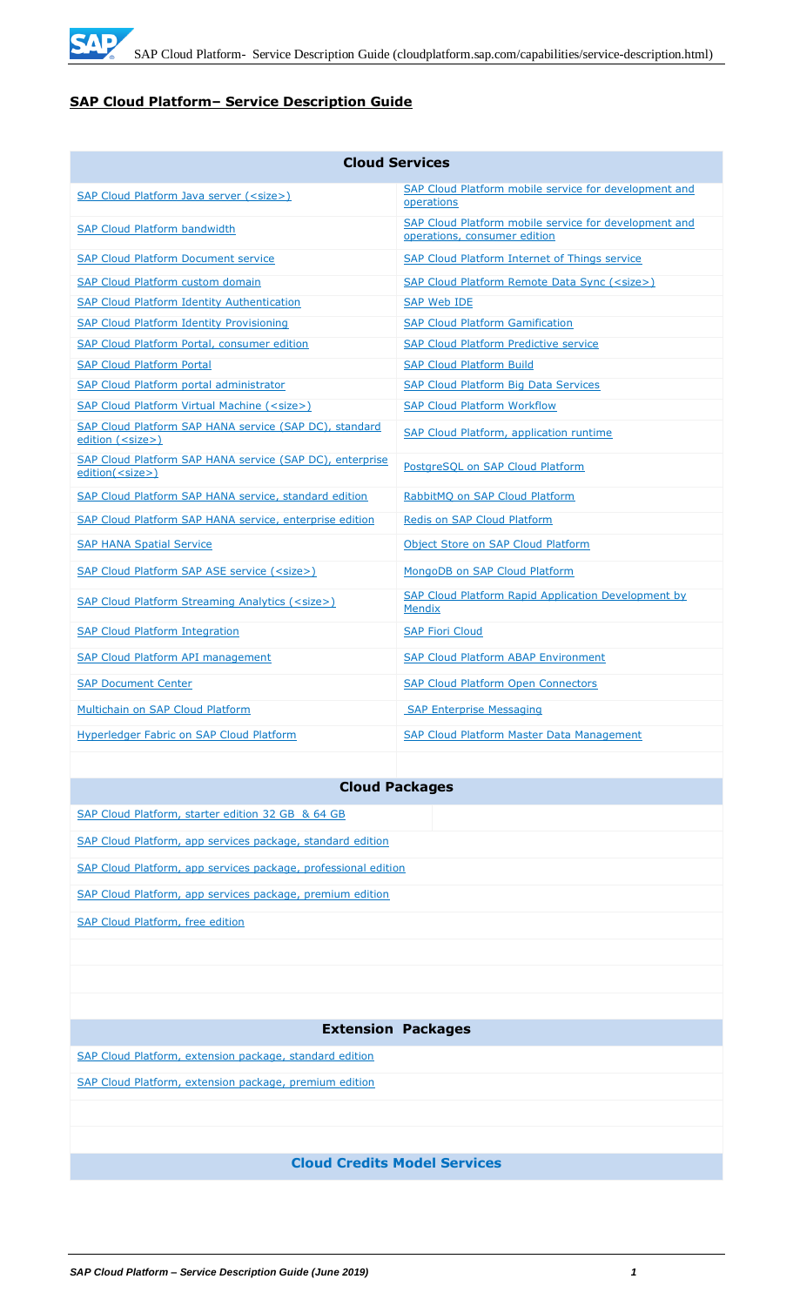

## **SAP Cloud Platform– Service Description Guide**

| <b>Cloud Services</b>                                                               |                                                                                       |  |
|-------------------------------------------------------------------------------------|---------------------------------------------------------------------------------------|--|
| SAP Cloud Platform Java server ( <size>)</size>                                     | SAP Cloud Platform mobile service for development and<br>operations                   |  |
| <b>SAP Cloud Platform bandwidth</b>                                                 | SAP Cloud Platform mobile service for development and<br>operations, consumer edition |  |
| <b>SAP Cloud Platform Document service</b>                                          | SAP Cloud Platform Internet of Things service                                         |  |
| <b>SAP Cloud Platform custom domain</b>                                             | SAP Cloud Platform Remote Data Sync ( <size>)</size>                                  |  |
| <b>SAP Cloud Platform Identity Authentication</b>                                   | <b>SAP Web IDE</b>                                                                    |  |
| <b>SAP Cloud Platform Identity Provisioning</b>                                     | <b>SAP Cloud Platform Gamification</b>                                                |  |
| SAP Cloud Platform Portal, consumer edition                                         | <b>SAP Cloud Platform Predictive service</b>                                          |  |
| <b>SAP Cloud Platform Portal</b>                                                    | <b>SAP Cloud Platform Build</b>                                                       |  |
| <b>SAP Cloud Platform portal administrator</b>                                      | <b>SAP Cloud Platform Big Data Services</b>                                           |  |
| <b>SAP Cloud Platform Virtual Machine (<size>)</size></b>                           | <b>SAP Cloud Platform Workflow</b>                                                    |  |
| SAP Cloud Platform SAP HANA service (SAP DC), standard<br>edition ( <size>)</size>  | SAP Cloud Platform, application runtime                                               |  |
| SAP Cloud Platform SAP HANA service (SAP DC), enterprise<br>edition( <size>)</size> | PostareSOL on SAP Cloud Platform                                                      |  |
| SAP Cloud Platform SAP HANA service, standard edition                               | RabbitMQ on SAP Cloud Platform                                                        |  |
| SAP Cloud Platform SAP HANA service, enterprise edition                             | Redis on SAP Cloud Platform                                                           |  |
| <b>SAP HANA Spatial Service</b>                                                     | Object Store on SAP Cloud Platform                                                    |  |
| SAP Cloud Platform SAP ASE service ( <size>)</size>                                 | MongoDB on SAP Cloud Platform                                                         |  |
| SAP Cloud Platform Streaming Analytics ( <size>)</size>                             | <b>SAP Cloud Platform Rapid Application Development by</b><br><b>Mendix</b>           |  |
| <b>SAP Cloud Platform Integration</b>                                               | <b>SAP Fiori Cloud</b>                                                                |  |
| <b>SAP Cloud Platform API management</b>                                            | <b>SAP Cloud Platform ABAP Environment</b>                                            |  |
| <b>SAP Document Center</b>                                                          | <b>SAP Cloud Platform Open Connectors</b>                                             |  |
| Multichain on SAP Cloud Platform                                                    | <b>SAP Enterprise Messaging</b>                                                       |  |
| Hyperledger Fabric on SAP Cloud Platform                                            | <b>SAP Cloud Platform Master Data Management</b>                                      |  |

# **Cloud Packages**

| SAP Cloud Platform, starter edition 32 GB & 64 GB              |
|----------------------------------------------------------------|
| SAP Cloud Platform, app services package, standard edition     |
| SAP Cloud Platform, app services package, professional edition |
| SAP Cloud Platform, app services package, premium edition      |
| <b>SAP Cloud Platform, free edition</b>                        |
|                                                                |
|                                                                |
|                                                                |
| <b>Extension Packages</b>                                      |
| SAP Cloud Platform, extension package, standard edition        |
| SAP Cloud Platform, extension package, premium edition         |
|                                                                |
|                                                                |
| <b>Cloud Credits Model Services</b>                            |
|                                                                |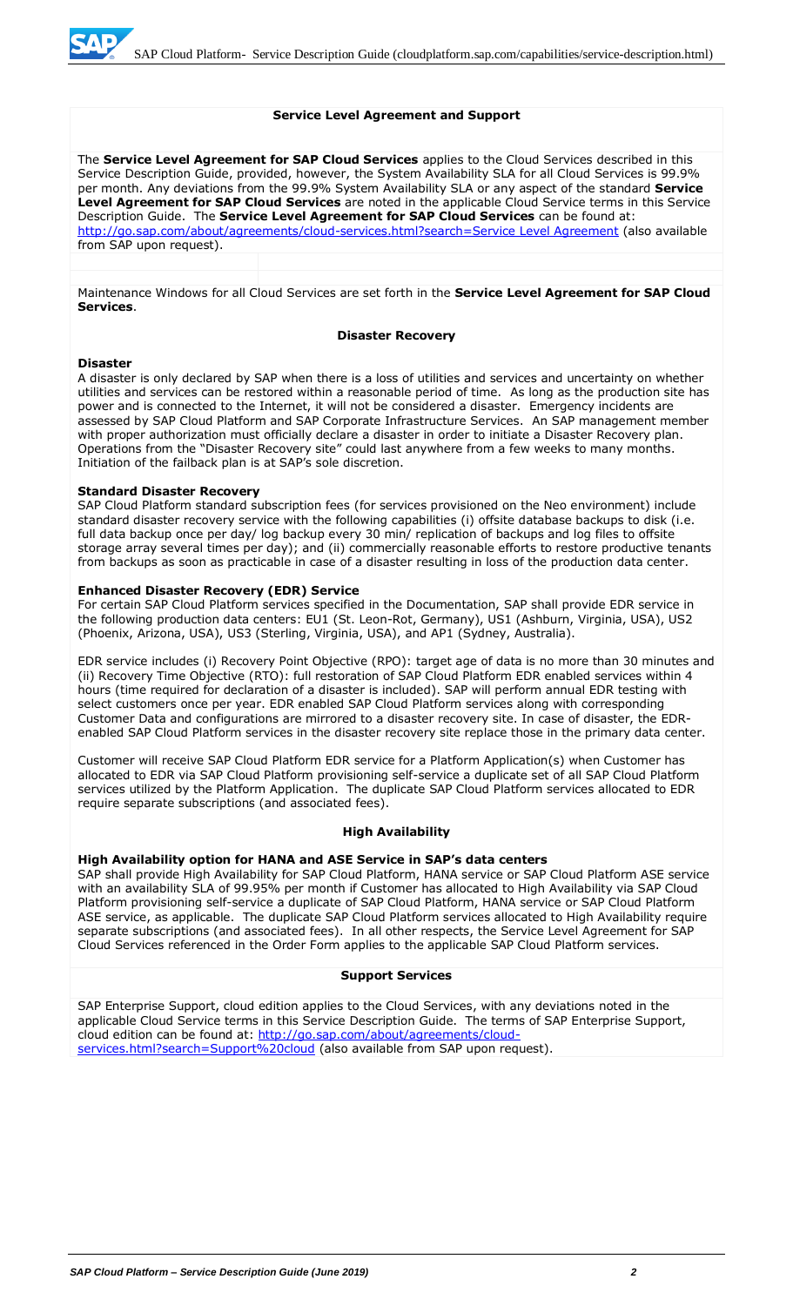#### **Service Level Agreement and Support**

The **Service Level Agreement for SAP Cloud Services** applies to the Cloud Services described in this Service Description Guide, provided, however, the System Availability SLA for all Cloud Services is 99.9% per month. Any deviations from the 99.9% System Availability SLA or any aspect of the standard **Service Level Agreement for SAP Cloud Services** are noted in the applicable Cloud Service terms in this Service Description Guide. The **Service Level Agreement for SAP Cloud Services** can be found at: [http://go.sap.com/about/agreements/cloud-services.html?search=Service Level Agreement](http://go.sap.com/about/agreements/cloud-services.html?search=Service%20Level%20Agreement) (also available from SAP upon request).

Maintenance Windows for all Cloud Services are set forth in the **Service Level Agreement for SAP Cloud Services**.

#### **Disaster Recovery**

#### **Disaster**

A disaster is only declared by SAP when there is a loss of utilities and services and uncertainty on whether utilities and services can be restored within a reasonable period of time. As long as the production site has power and is connected to the Internet, it will not be considered a disaster. Emergency incidents are assessed by SAP Cloud Platform and SAP Corporate Infrastructure Services. An SAP management member with proper authorization must officially declare a disaster in order to initiate a Disaster Recovery plan. Operations from the "Disaster Recovery site" could last anywhere from a few weeks to many months. Initiation of the failback plan is at SAP's sole discretion.

#### **Standard Disaster Recovery**

SAP Cloud Platform standard subscription fees (for services provisioned on the Neo environment) include standard disaster recovery service with the following capabilities (i) offsite database backups to disk (i.e. full data backup once per day/ log backup every 30 min/ replication of backups and log files to offsite storage array several times per day); and (ii) commercially reasonable efforts to restore productive tenants from backups as soon as practicable in case of a disaster resulting in loss of the production data center.

#### **Enhanced Disaster Recovery (EDR) Service**

For certain SAP Cloud Platform services specified in the Documentation, SAP shall provide EDR service in the following production data centers: EU1 (St. Leon-Rot, Germany), US1 (Ashburn, Virginia, USA), US2 (Phoenix, Arizona, USA), US3 (Sterling, Virginia, USA), and AP1 (Sydney, Australia).

EDR service includes (i) Recovery Point Objective (RPO): target age of data is no more than 30 minutes and (ii) Recovery Time Objective (RTO): full restoration of SAP Cloud Platform EDR enabled services within 4 hours (time required for declaration of a disaster is included). SAP will perform annual EDR testing with select customers once per year. EDR enabled SAP Cloud Platform services along with corresponding Customer Data and configurations are mirrored to a disaster recovery site. In case of disaster, the EDRenabled SAP Cloud Platform services in the disaster recovery site replace those in the primary data center.

Customer will receive SAP Cloud Platform EDR service for a Platform Application(s) when Customer has allocated to EDR via SAP Cloud Platform provisioning self-service a duplicate set of all SAP Cloud Platform services utilized by the Platform Application. The duplicate SAP Cloud Platform services allocated to EDR require separate subscriptions (and associated fees).

#### **High Availability**

#### **High Availability option for HANA and ASE Service in SAP's data centers**

SAP shall provide High Availability for SAP Cloud Platform, HANA service or SAP Cloud Platform ASE service with an availability SLA of 99.95% per month if Customer has allocated to High Availability via SAP Cloud Platform provisioning self-service a duplicate of SAP Cloud Platform, HANA service or SAP Cloud Platform ASE service, as applicable. The duplicate SAP Cloud Platform services allocated to High Availability require separate subscriptions (and associated fees). In all other respects, the Service Level Agreement for SAP Cloud Services referenced in the Order Form applies to the applicable SAP Cloud Platform services.

#### **Support Services**

SAP Enterprise Support, cloud edition applies to the Cloud Services, with any deviations noted in the applicable Cloud Service terms in this Service Description Guide. The terms of SAP Enterprise Support, cloud edition can be found at: [http://go.sap.com/about/agreements/cloud](http://go.sap.com/about/agreements/cloud-services.html?search=Support%20cloud)[services.html?search=Support%20cloud](http://go.sap.com/about/agreements/cloud-services.html?search=Support%20cloud) (also available from SAP upon request).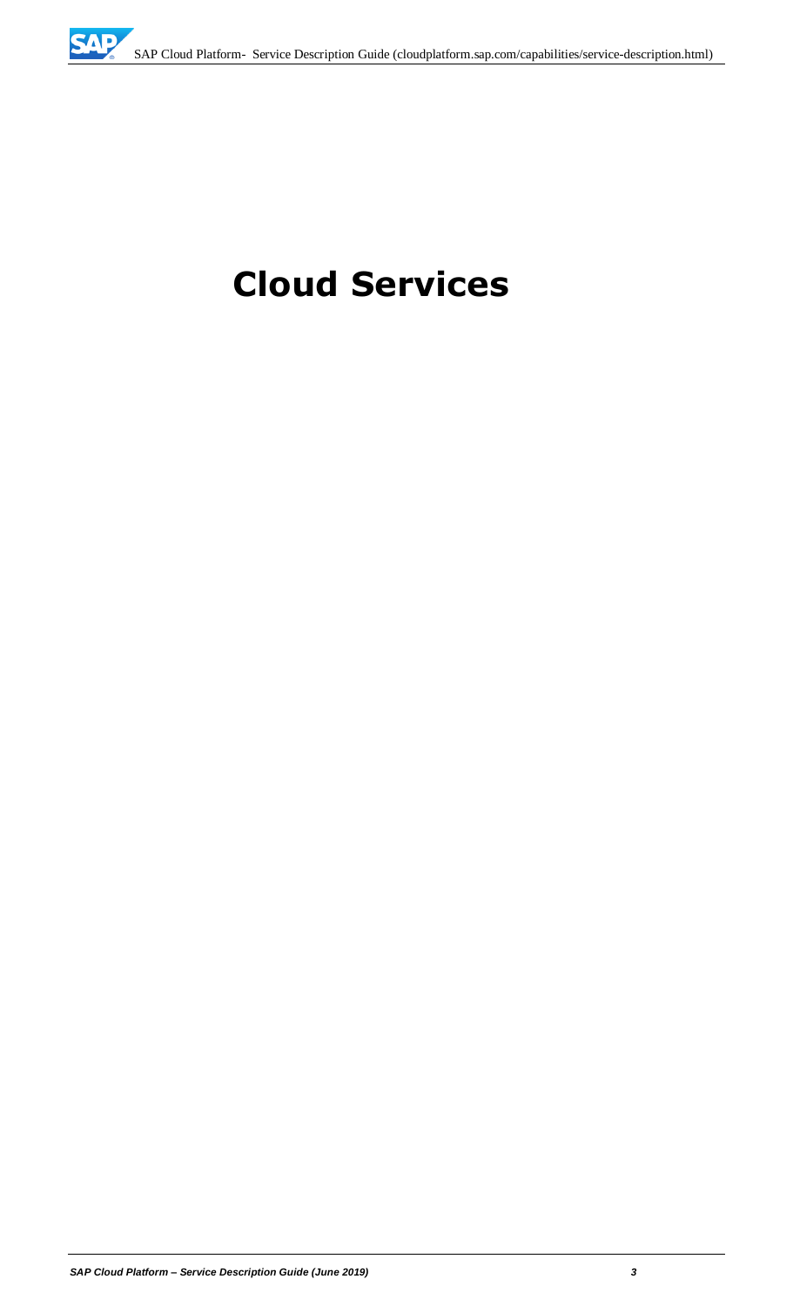# **Cloud Services**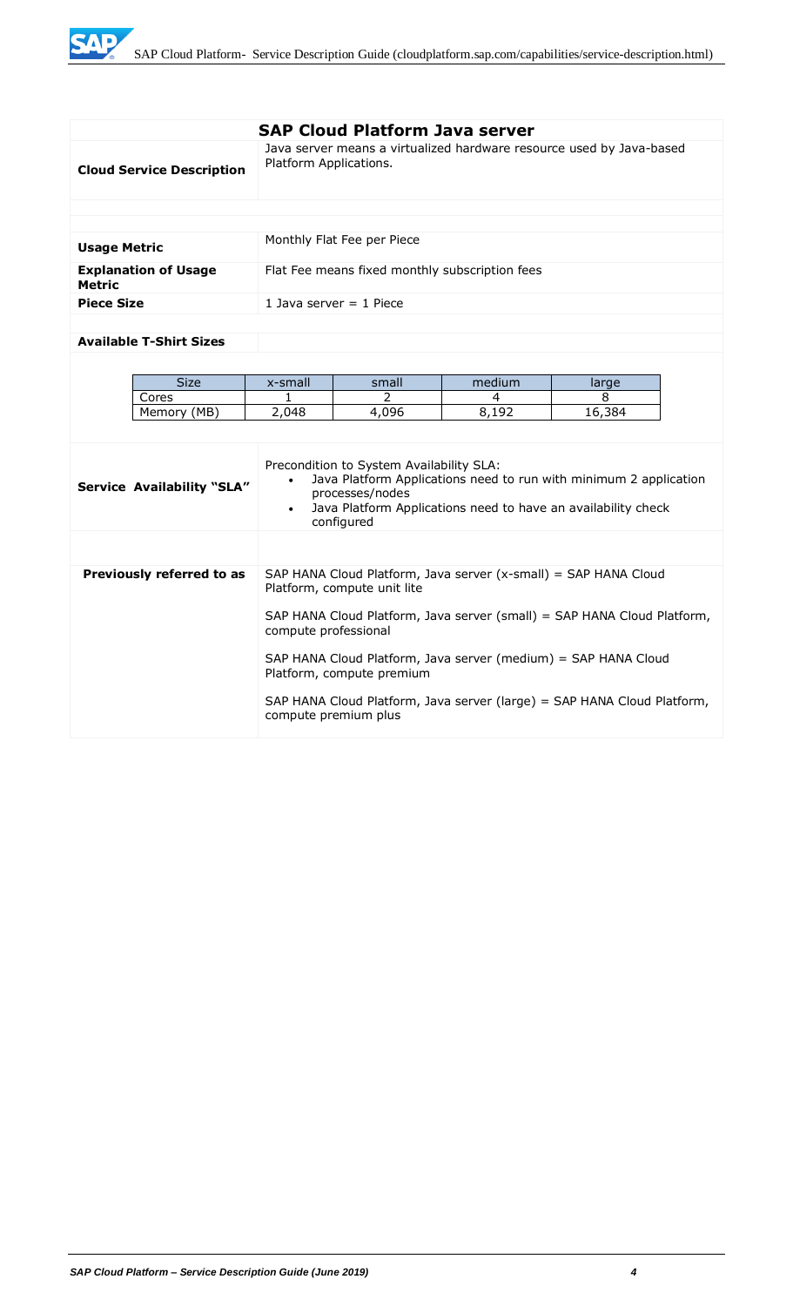WE

|                                              |                                                                                                 | <b>SAP Cloud Platform Java server</b>                                                           |                                                                                                                                    |        |  |
|----------------------------------------------|-------------------------------------------------------------------------------------------------|-------------------------------------------------------------------------------------------------|------------------------------------------------------------------------------------------------------------------------------------|--------|--|
| <b>Cloud Service Description</b>             | Platform Applications.                                                                          |                                                                                                 | Java server means a virtualized hardware resource used by Java-based                                                               |        |  |
|                                              |                                                                                                 |                                                                                                 |                                                                                                                                    |        |  |
|                                              |                                                                                                 |                                                                                                 |                                                                                                                                    |        |  |
| <b>Usage Metric</b>                          |                                                                                                 | Monthly Flat Fee per Piece                                                                      |                                                                                                                                    |        |  |
| <b>Explanation of Usage</b><br><b>Metric</b> |                                                                                                 | Flat Fee means fixed monthly subscription fees                                                  |                                                                                                                                    |        |  |
| <b>Piece Size</b>                            |                                                                                                 | 1 Java server $=$ 1 Piece                                                                       |                                                                                                                                    |        |  |
|                                              |                                                                                                 |                                                                                                 |                                                                                                                                    |        |  |
| <b>Available T-Shirt Sizes</b>               |                                                                                                 |                                                                                                 |                                                                                                                                    |        |  |
|                                              |                                                                                                 |                                                                                                 |                                                                                                                                    |        |  |
| <b>Size</b>                                  | x-small                                                                                         | small                                                                                           | medium                                                                                                                             | large  |  |
| Cores                                        | $\mathbf{1}$                                                                                    | $\mathcal{P}$                                                                                   | 4                                                                                                                                  | 8      |  |
| Memory (MB)                                  | 2,048                                                                                           | 4,096                                                                                           | 8,192                                                                                                                              | 16,384 |  |
|                                              |                                                                                                 |                                                                                                 |                                                                                                                                    |        |  |
| <b>Service Availability "SLA"</b>            | $\bullet$<br>$\bullet$                                                                          | Precondition to System Availability SLA:<br>processes/nodes<br>configured                       | Java Platform Applications need to run with minimum 2 application<br>Java Platform Applications need to have an availability check |        |  |
|                                              |                                                                                                 |                                                                                                 |                                                                                                                                    |        |  |
| Previously referred to as                    |                                                                                                 | Platform, compute unit lite                                                                     | SAP HANA Cloud Platform, Java server (x-small) = SAP HANA Cloud                                                                    |        |  |
|                                              | SAP HANA Cloud Platform, Java server (small) = SAP HANA Cloud Platform,<br>compute professional |                                                                                                 |                                                                                                                                    |        |  |
|                                              |                                                                                                 | SAP HANA Cloud Platform, Java server (medium) = SAP HANA Cloud<br>Platform, compute premium     |                                                                                                                                    |        |  |
|                                              |                                                                                                 | SAP HANA Cloud Platform, Java server (large) = SAP HANA Cloud Platform,<br>compute premium plus |                                                                                                                                    |        |  |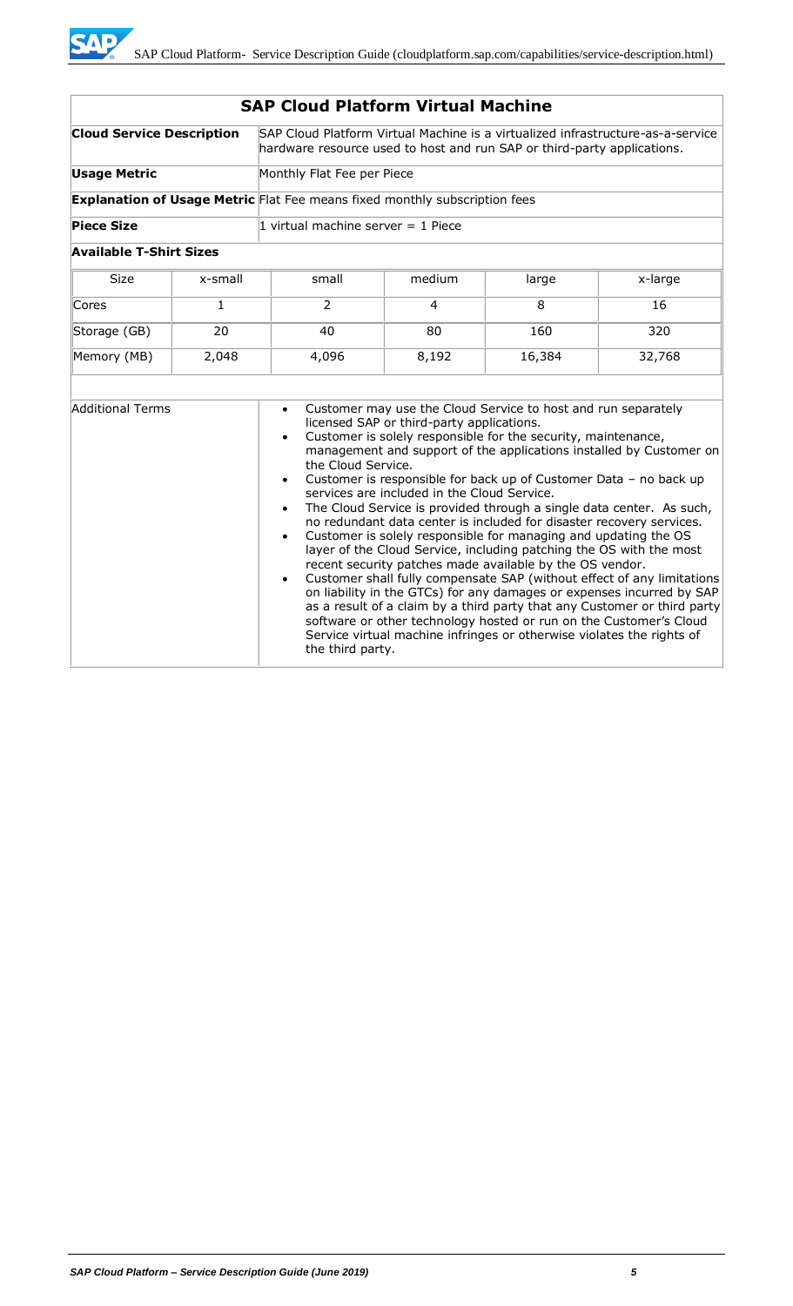| <b>SAP Cloud Platform Virtual Machine</b> |              |                                                                                                                                                            |                                                                                          |                                                                                                                                                                                                                                                                                                                                        |                                                                                                                                                                                                                                                                                                                                                                                                                                                                                                                                                                                                                                                                      |
|-------------------------------------------|--------------|------------------------------------------------------------------------------------------------------------------------------------------------------------|------------------------------------------------------------------------------------------|----------------------------------------------------------------------------------------------------------------------------------------------------------------------------------------------------------------------------------------------------------------------------------------------------------------------------------------|----------------------------------------------------------------------------------------------------------------------------------------------------------------------------------------------------------------------------------------------------------------------------------------------------------------------------------------------------------------------------------------------------------------------------------------------------------------------------------------------------------------------------------------------------------------------------------------------------------------------------------------------------------------------|
| <b>Cloud Service Description</b>          |              | SAP Cloud Platform Virtual Machine is a virtualized infrastructure-as-a-service<br>hardware resource used to host and run SAP or third-party applications. |                                                                                          |                                                                                                                                                                                                                                                                                                                                        |                                                                                                                                                                                                                                                                                                                                                                                                                                                                                                                                                                                                                                                                      |
| <b>Usage Metric</b>                       |              | Monthly Flat Fee per Piece                                                                                                                                 |                                                                                          |                                                                                                                                                                                                                                                                                                                                        |                                                                                                                                                                                                                                                                                                                                                                                                                                                                                                                                                                                                                                                                      |
|                                           |              | <b>Explanation of Usage Metric</b> Flat Fee means fixed monthly subscription fees                                                                          |                                                                                          |                                                                                                                                                                                                                                                                                                                                        |                                                                                                                                                                                                                                                                                                                                                                                                                                                                                                                                                                                                                                                                      |
| <b>Piece Size</b>                         |              | 1 virtual machine server $=$ 1 Piece                                                                                                                       |                                                                                          |                                                                                                                                                                                                                                                                                                                                        |                                                                                                                                                                                                                                                                                                                                                                                                                                                                                                                                                                                                                                                                      |
| <b>Available T-Shirt Sizes</b>            |              |                                                                                                                                                            |                                                                                          |                                                                                                                                                                                                                                                                                                                                        |                                                                                                                                                                                                                                                                                                                                                                                                                                                                                                                                                                                                                                                                      |
| <b>Size</b>                               | x-small      | small                                                                                                                                                      | medium                                                                                   | large                                                                                                                                                                                                                                                                                                                                  | x-large                                                                                                                                                                                                                                                                                                                                                                                                                                                                                                                                                                                                                                                              |
| Cores                                     | $\mathbf{1}$ | 2                                                                                                                                                          | 4                                                                                        | 8                                                                                                                                                                                                                                                                                                                                      | 16                                                                                                                                                                                                                                                                                                                                                                                                                                                                                                                                                                                                                                                                   |
| Storage (GB)                              | 20           | 40                                                                                                                                                         | 80                                                                                       | 160                                                                                                                                                                                                                                                                                                                                    | 320                                                                                                                                                                                                                                                                                                                                                                                                                                                                                                                                                                                                                                                                  |
| Memory (MB)                               | 2,048        | 4,096                                                                                                                                                      | 8,192                                                                                    | 16,384                                                                                                                                                                                                                                                                                                                                 | 32,768                                                                                                                                                                                                                                                                                                                                                                                                                                                                                                                                                                                                                                                               |
|                                           |              |                                                                                                                                                            |                                                                                          |                                                                                                                                                                                                                                                                                                                                        |                                                                                                                                                                                                                                                                                                                                                                                                                                                                                                                                                                                                                                                                      |
| <b>Additional Terms</b>                   |              | $\bullet$<br>$\bullet$<br>the Cloud Service.<br>$\bullet$<br>$\bullet$<br>$\bullet$<br>$\bullet$<br>the third party.                                       | licensed SAP or third-party applications.<br>services are included in the Cloud Service. | Customer may use the Cloud Service to host and run separately<br>Customer is solely responsible for the security, maintenance,<br>Customer is solely responsible for managing and updating the OS<br>recent security patches made available by the OS vendor.<br>Service virtual machine infringes or otherwise violates the rights of | management and support of the applications installed by Customer on<br>Customer is responsible for back up of Customer Data - no back up<br>The Cloud Service is provided through a single data center. As such,<br>no redundant data center is included for disaster recovery services.<br>layer of the Cloud Service, including patching the OS with the most<br>Customer shall fully compensate SAP (without effect of any limitations<br>on liability in the GTCs) for any damages or expenses incurred by SAP<br>as a result of a claim by a third party that any Customer or third party<br>software or other technology hosted or run on the Customer's Cloud |

## **SAP Cloud Platform Virtual Machine**

**SAP**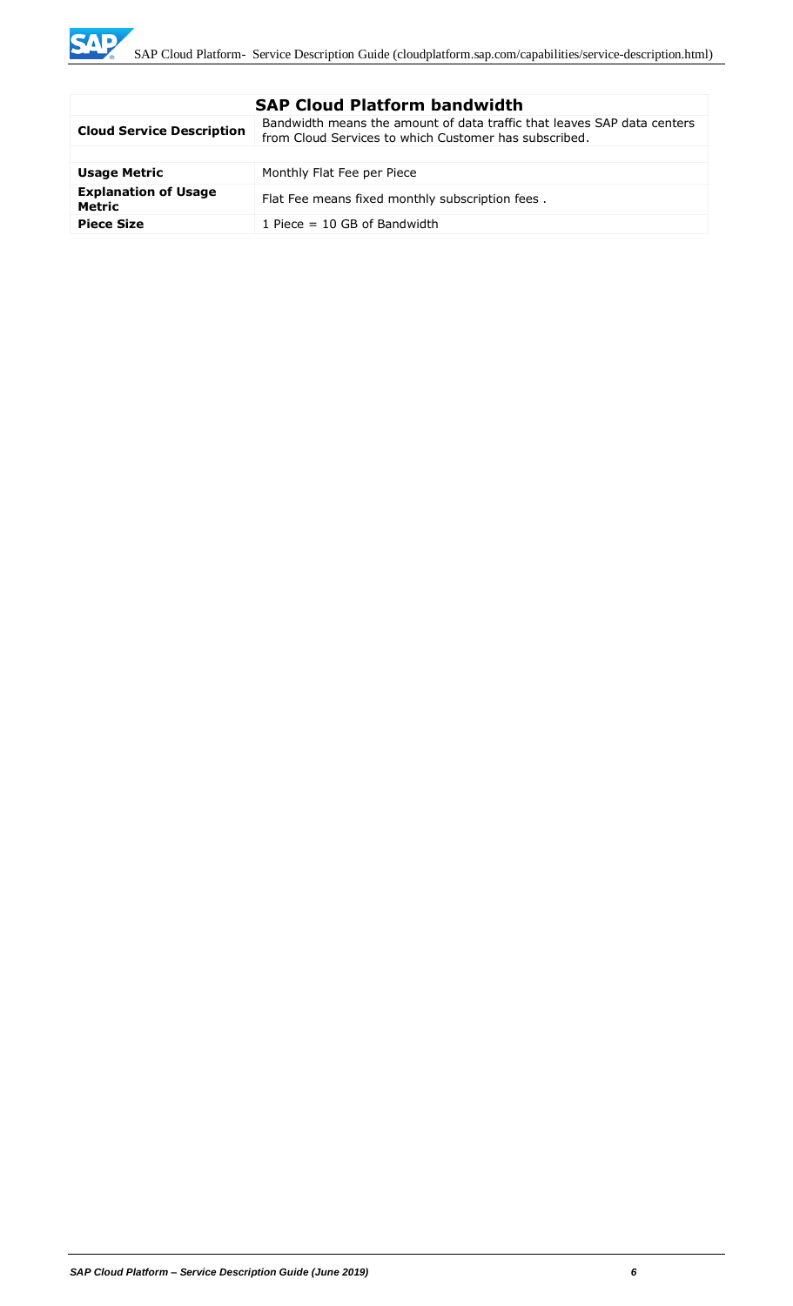| <b>SAP Cloud Platform bandwidth</b>          |                                                                                                                                  |  |
|----------------------------------------------|----------------------------------------------------------------------------------------------------------------------------------|--|
| <b>Cloud Service Description</b>             | Bandwidth means the amount of data traffic that leaves SAP data centers<br>from Cloud Services to which Customer has subscribed. |  |
|                                              |                                                                                                                                  |  |
| <b>Usage Metric</b>                          | Monthly Flat Fee per Piece                                                                                                       |  |
| <b>Explanation of Usage</b><br><b>Metric</b> | Flat Fee means fixed monthly subscription fees.                                                                                  |  |
| <b>Piece Size</b>                            | 1 Piece $=$ 10 GB of Bandwidth                                                                                                   |  |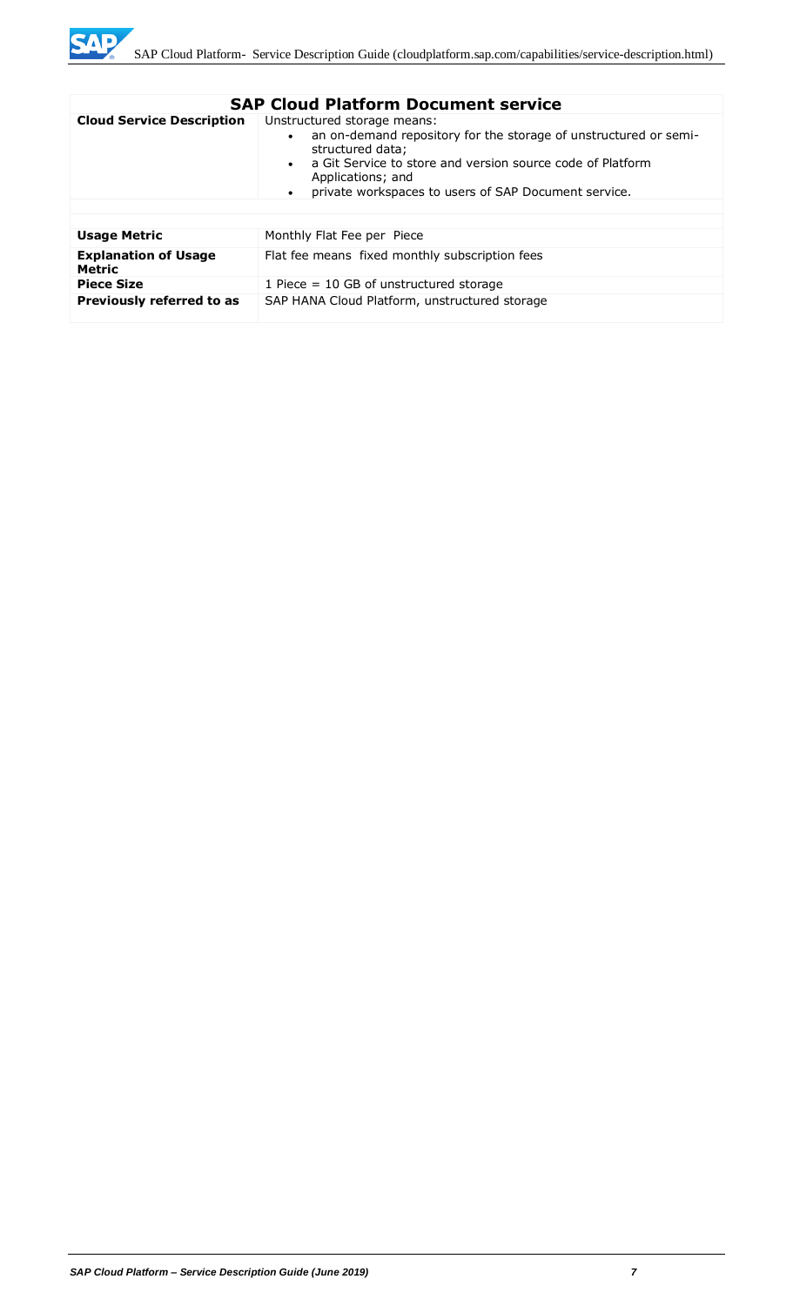

|                                       | <b>SAP Cloud Platform Document service</b>                                                                                                                                                                                                                                  |
|---------------------------------------|-----------------------------------------------------------------------------------------------------------------------------------------------------------------------------------------------------------------------------------------------------------------------------|
| <b>Cloud Service Description</b>      | Unstructured storage means:<br>an on-demand repository for the storage of unstructured or semi-<br>structured data;<br>a Git Service to store and version source code of Platform<br>Applications; and<br>private workspaces to users of SAP Document service.<br>$\bullet$ |
| <b>Usage Metric</b>                   | Monthly Flat Fee per Piece                                                                                                                                                                                                                                                  |
| <b>Explanation of Usage</b><br>Metric | Flat fee means fixed monthly subscription fees                                                                                                                                                                                                                              |
| <b>Piece Size</b>                     | 1 Piece $= 10$ GB of unstructured storage                                                                                                                                                                                                                                   |
| Previously referred to as             | SAP HANA Cloud Platform, unstructured storage                                                                                                                                                                                                                               |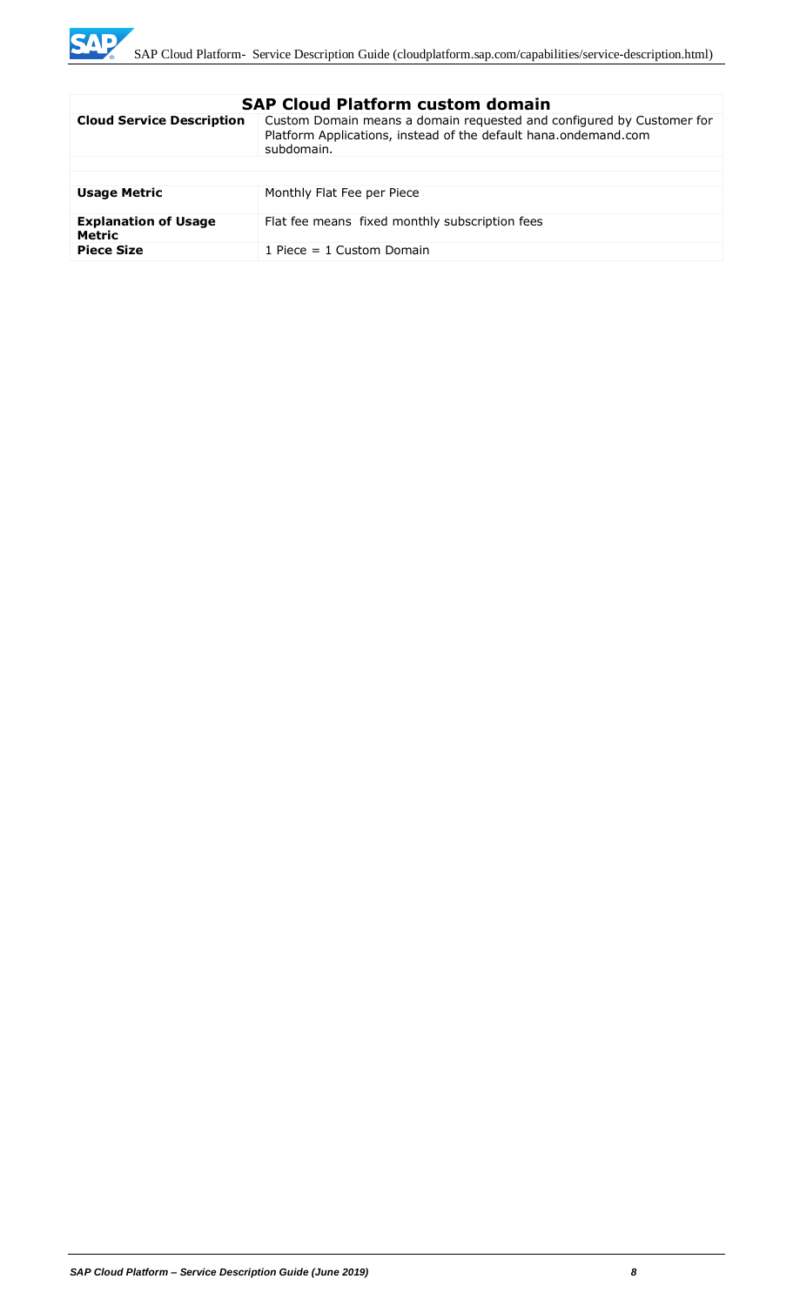

| <b>Cloud Service Description</b><br>Custom Domain means a domain requested and configured by Customer for<br>Platform Applications, instead of the default hana.ondemand.com<br>subdomain.<br><b>Usage Metric</b><br>Monthly Flat Fee per Piece<br><b>Explanation of Usage</b><br>Flat fee means fixed monthly subscription fees<br>Metric<br><b>Piece Size</b><br>1 Piece $= 1$ Custom Domain | элг сючч гасгонн счэсэн чэнгэш |
|------------------------------------------------------------------------------------------------------------------------------------------------------------------------------------------------------------------------------------------------------------------------------------------------------------------------------------------------------------------------------------------------|--------------------------------|
|                                                                                                                                                                                                                                                                                                                                                                                                |                                |
|                                                                                                                                                                                                                                                                                                                                                                                                |                                |
|                                                                                                                                                                                                                                                                                                                                                                                                |                                |
|                                                                                                                                                                                                                                                                                                                                                                                                |                                |
|                                                                                                                                                                                                                                                                                                                                                                                                |                                |
|                                                                                                                                                                                                                                                                                                                                                                                                |                                |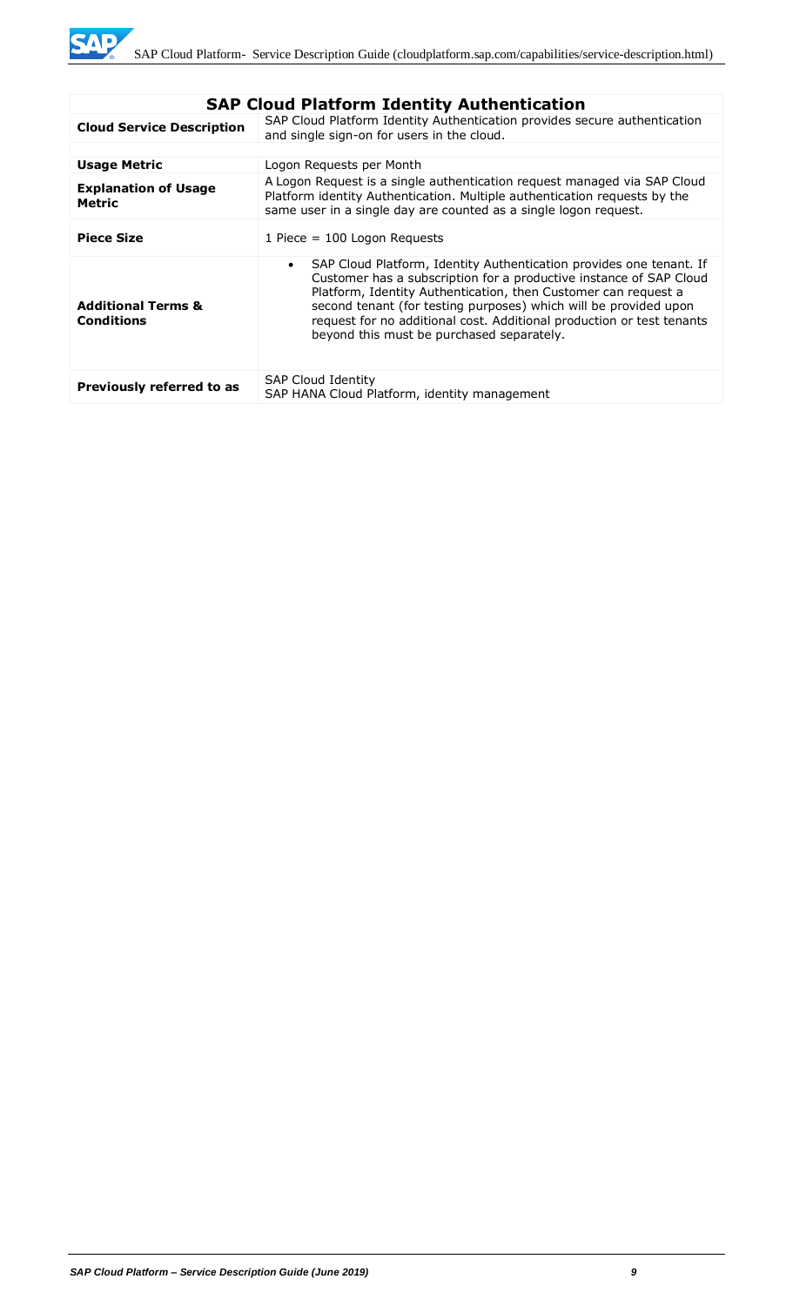| <b>SAP Cloud Platform Identity Authentication</b>  |                                                                                                                                                                                                                                                                                                                                                                                                                    |  |
|----------------------------------------------------|--------------------------------------------------------------------------------------------------------------------------------------------------------------------------------------------------------------------------------------------------------------------------------------------------------------------------------------------------------------------------------------------------------------------|--|
| <b>Cloud Service Description</b>                   | SAP Cloud Platform Identity Authentication provides secure authentication<br>and single sign-on for users in the cloud.                                                                                                                                                                                                                                                                                            |  |
|                                                    |                                                                                                                                                                                                                                                                                                                                                                                                                    |  |
| <b>Usage Metric</b>                                | Logon Requests per Month                                                                                                                                                                                                                                                                                                                                                                                           |  |
| <b>Explanation of Usage</b><br>Metric              | A Logon Request is a single authentication request managed via SAP Cloud<br>Platform identity Authentication. Multiple authentication requests by the<br>same user in a single day are counted as a single logon request.                                                                                                                                                                                          |  |
| <b>Piece Size</b>                                  | 1 Piece = $100$ Logon Requests                                                                                                                                                                                                                                                                                                                                                                                     |  |
| <b>Additional Terms &amp;</b><br><b>Conditions</b> | SAP Cloud Platform, Identity Authentication provides one tenant. If<br>$\bullet$<br>Customer has a subscription for a productive instance of SAP Cloud<br>Platform, Identity Authentication, then Customer can request a<br>second tenant (for testing purposes) which will be provided upon<br>request for no additional cost. Additional production or test tenants<br>beyond this must be purchased separately. |  |
| Previously referred to as                          | <b>SAP Cloud Identity</b><br>SAP HANA Cloud Platform, identity management                                                                                                                                                                                                                                                                                                                                          |  |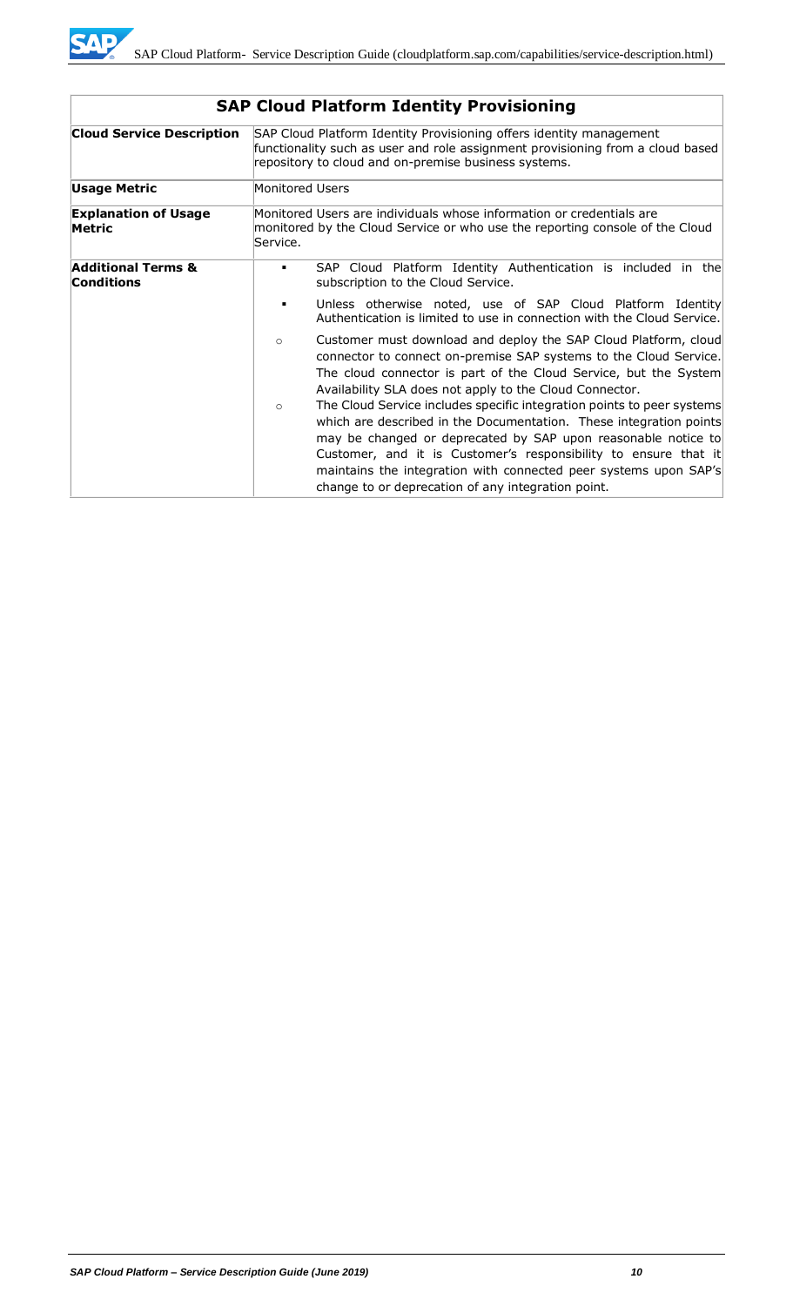

| <b>Cloud Service Description</b>                   |                 | SAP Cloud Platform Identity Provisioning offers identity management<br>functionality such as user and role assignment provisioning from a cloud based<br>repository to cloud and on-premise business systems.                                                                                                                                                                                              |
|----------------------------------------------------|-----------------|------------------------------------------------------------------------------------------------------------------------------------------------------------------------------------------------------------------------------------------------------------------------------------------------------------------------------------------------------------------------------------------------------------|
| Usage Metric                                       | Monitored Users |                                                                                                                                                                                                                                                                                                                                                                                                            |
| <b>Explanation of Usage</b><br>Metric              | Service.        | Monitored Users are individuals whose information or credentials are<br>monitored by the Cloud Service or who use the reporting console of the Cloud                                                                                                                                                                                                                                                       |
| <b>Additional Terms &amp;</b><br><b>Conditions</b> | ٠               | SAP Cloud Platform Identity Authentication is included in the<br>subscription to the Cloud Service.                                                                                                                                                                                                                                                                                                        |
|                                                    | п               | Unless otherwise noted, use of SAP Cloud Platform Identity<br>Authentication is limited to use in connection with the Cloud Service.                                                                                                                                                                                                                                                                       |
|                                                    | $\circ$         | Customer must download and deploy the SAP Cloud Platform, cloud<br>connector to connect on-premise SAP systems to the Cloud Service.<br>The cloud connector is part of the Cloud Service, but the System<br>Availability SLA does not apply to the Cloud Connector.                                                                                                                                        |
|                                                    | $\circ$         | The Cloud Service includes specific integration points to peer systems<br>which are described in the Documentation. These integration points<br>may be changed or deprecated by SAP upon reasonable notice to<br>Customer, and it is Customer's responsibility to ensure that it<br>maintains the integration with connected peer systems upon SAP's<br>change to or deprecation of any integration point. |

# **SAP Cloud Platform Identity Provisioning**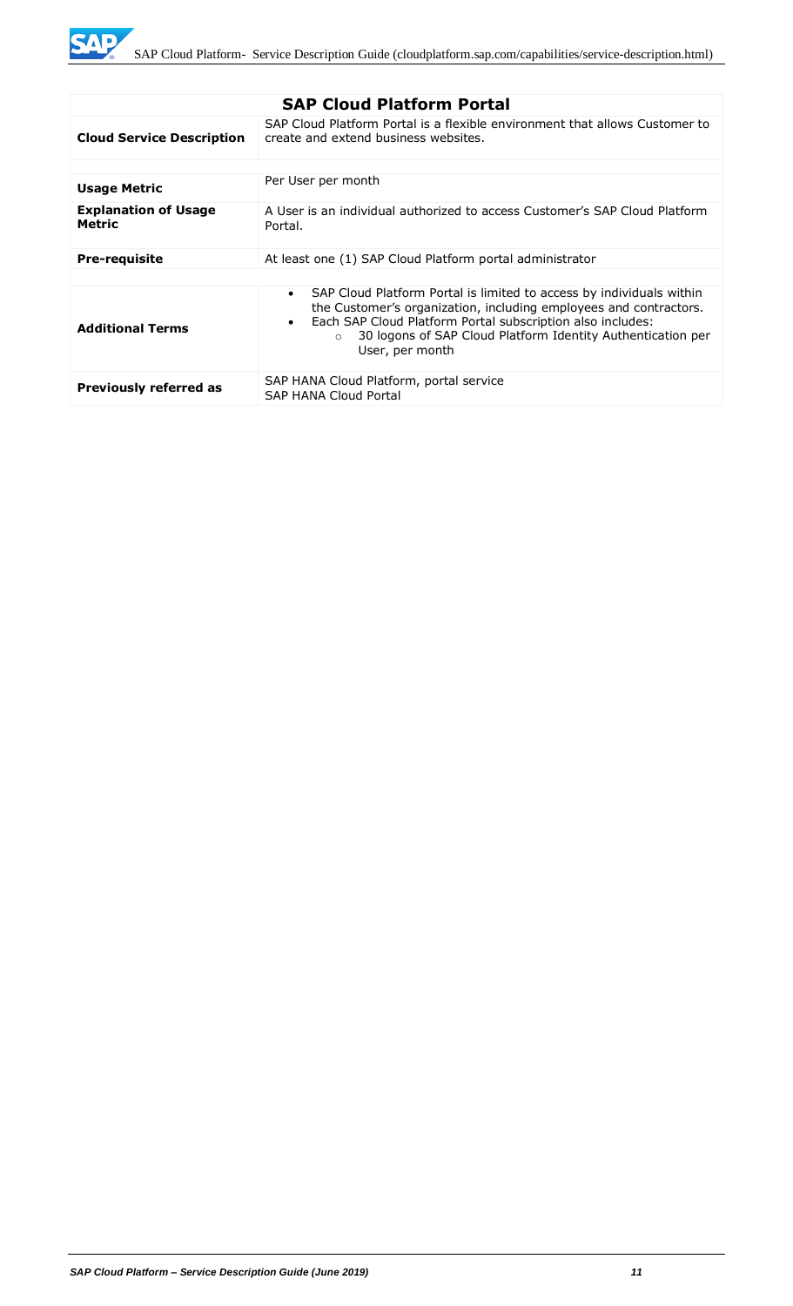**SAP** 

| <b>SAP Cloud Platform Portal</b>             |                                                                                                                                                                                                                                                                                                                                 |  |
|----------------------------------------------|---------------------------------------------------------------------------------------------------------------------------------------------------------------------------------------------------------------------------------------------------------------------------------------------------------------------------------|--|
| <b>Cloud Service Description</b>             | SAP Cloud Platform Portal is a flexible environment that allows Customer to<br>create and extend business websites.                                                                                                                                                                                                             |  |
|                                              |                                                                                                                                                                                                                                                                                                                                 |  |
| <b>Usage Metric</b>                          | Per User per month                                                                                                                                                                                                                                                                                                              |  |
| <b>Explanation of Usage</b><br><b>Metric</b> | A User is an individual authorized to access Customer's SAP Cloud Platform<br>Portal.                                                                                                                                                                                                                                           |  |
| <b>Pre-requisite</b>                         | At least one (1) SAP Cloud Platform portal administrator                                                                                                                                                                                                                                                                        |  |
|                                              |                                                                                                                                                                                                                                                                                                                                 |  |
| <b>Additional Terms</b>                      | SAP Cloud Platform Portal is limited to access by individuals within<br>$\bullet$<br>the Customer's organization, including employees and contractors.<br>Each SAP Cloud Platform Portal subscription also includes:<br>$\bullet$<br>30 logons of SAP Cloud Platform Identity Authentication per<br>$\Omega$<br>User, per month |  |
| <b>Previously referred as</b>                | SAP HANA Cloud Platform, portal service<br><b>SAP HANA Cloud Portal</b>                                                                                                                                                                                                                                                         |  |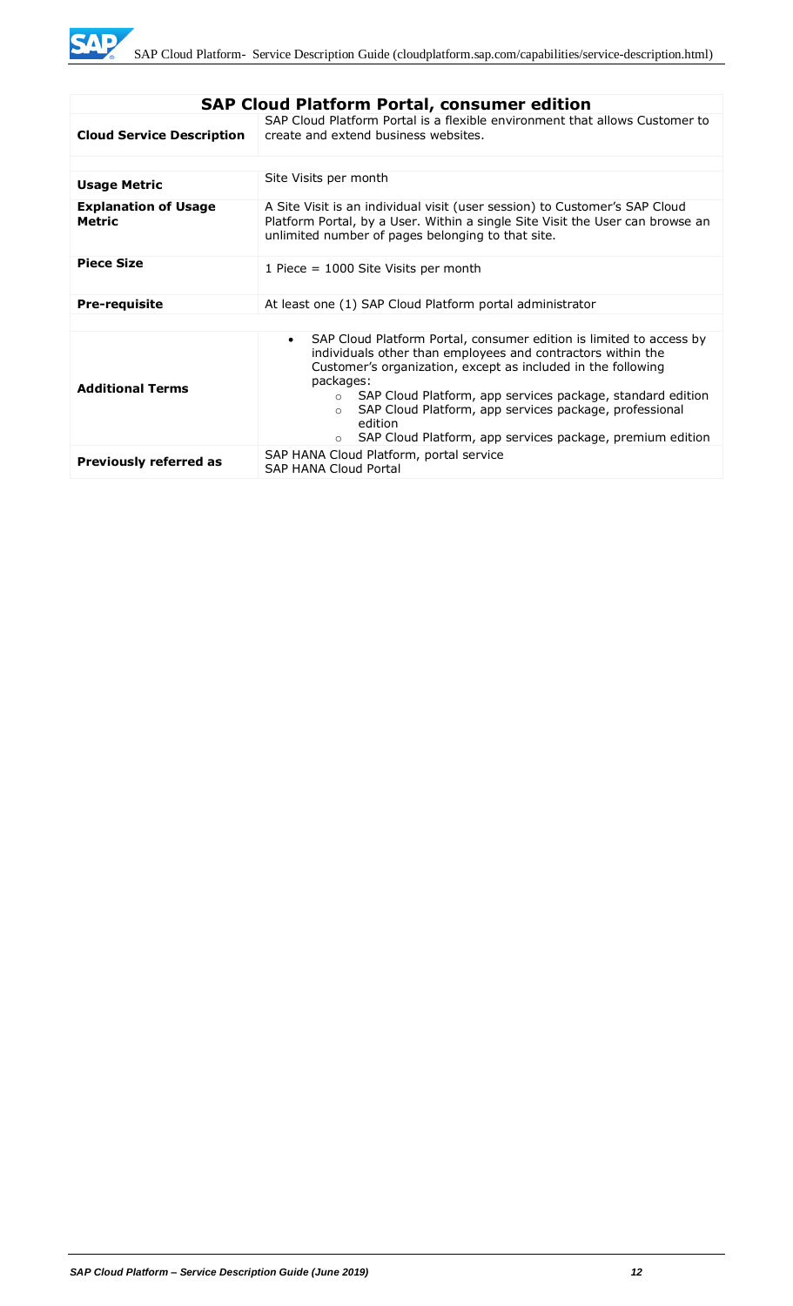| <b>SAP Cloud Platform Portal, consumer edition</b> |                                                                                                                                                                                                                                                                                                                                                                                                                                                                |  |
|----------------------------------------------------|----------------------------------------------------------------------------------------------------------------------------------------------------------------------------------------------------------------------------------------------------------------------------------------------------------------------------------------------------------------------------------------------------------------------------------------------------------------|--|
| <b>Cloud Service Description</b>                   | SAP Cloud Platform Portal is a flexible environment that allows Customer to<br>create and extend business websites.                                                                                                                                                                                                                                                                                                                                            |  |
|                                                    |                                                                                                                                                                                                                                                                                                                                                                                                                                                                |  |
| <b>Usage Metric</b>                                | Site Visits per month                                                                                                                                                                                                                                                                                                                                                                                                                                          |  |
| <b>Explanation of Usage</b><br><b>Metric</b>       | A Site Visit is an individual visit (user session) to Customer's SAP Cloud<br>Platform Portal, by a User. Within a single Site Visit the User can browse an<br>unlimited number of pages belonging to that site.                                                                                                                                                                                                                                               |  |
| <b>Piece Size</b>                                  | 1 Piece = 1000 Site Visits per month                                                                                                                                                                                                                                                                                                                                                                                                                           |  |
| <b>Pre-requisite</b>                               | At least one (1) SAP Cloud Platform portal administrator                                                                                                                                                                                                                                                                                                                                                                                                       |  |
|                                                    |                                                                                                                                                                                                                                                                                                                                                                                                                                                                |  |
| <b>Additional Terms</b>                            | SAP Cloud Platform Portal, consumer edition is limited to access by<br>$\bullet$<br>individuals other than employees and contractors within the<br>Customer's organization, except as included in the following<br>packages:<br>SAP Cloud Platform, app services package, standard edition<br>$\circ$<br>SAP Cloud Platform, app services package, professional<br>$\Omega$<br>edition<br>SAP Cloud Platform, app services package, premium edition<br>$\circ$ |  |
| <b>Previously referred as</b>                      | SAP HANA Cloud Platform, portal service<br><b>SAP HANA Cloud Portal</b>                                                                                                                                                                                                                                                                                                                                                                                        |  |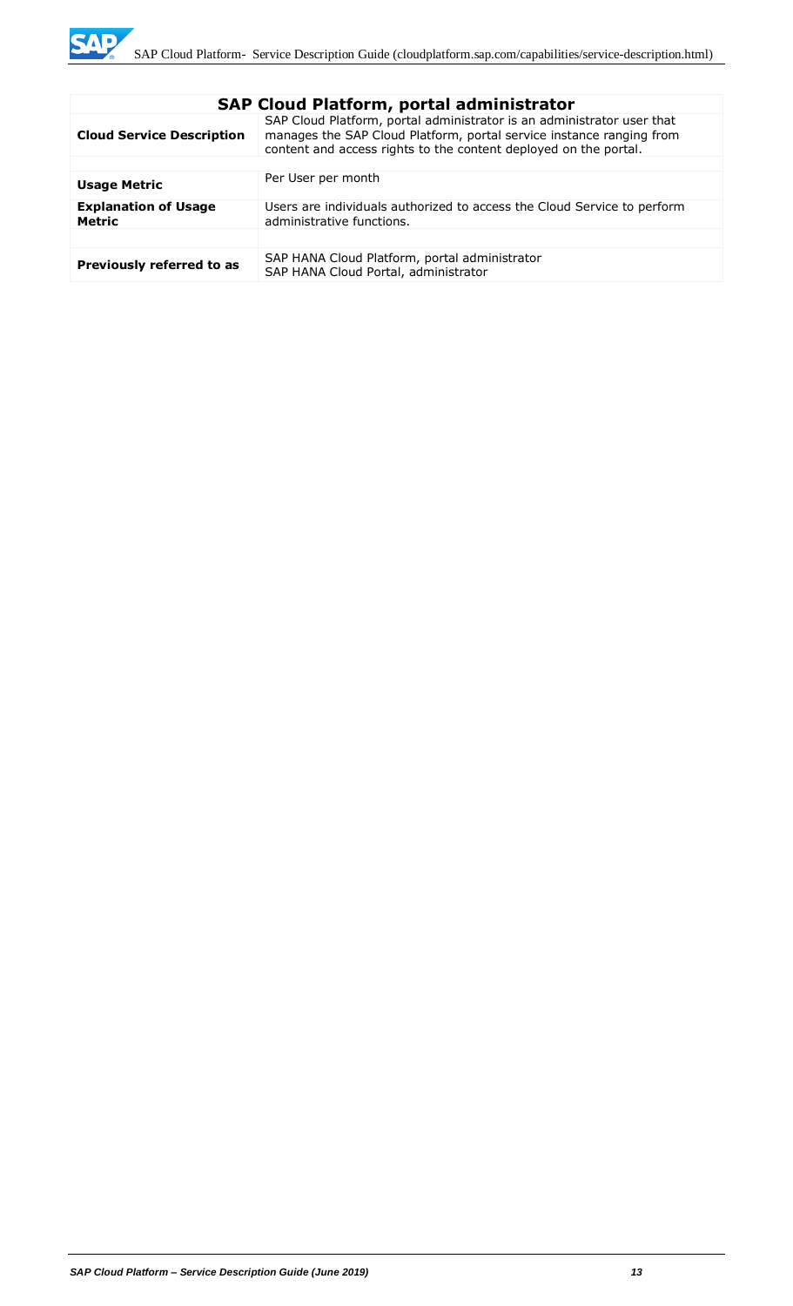| <b>SAP Cloud Platform, portal administrator</b> |                                                                                                                                                                                                                    |  |
|-------------------------------------------------|--------------------------------------------------------------------------------------------------------------------------------------------------------------------------------------------------------------------|--|
| <b>Cloud Service Description</b>                | SAP Cloud Platform, portal administrator is an administrator user that<br>manages the SAP Cloud Platform, portal service instance ranging from<br>content and access rights to the content deployed on the portal. |  |
|                                                 |                                                                                                                                                                                                                    |  |
| <b>Usage Metric</b>                             | Per User per month                                                                                                                                                                                                 |  |
| <b>Explanation of Usage</b><br><b>Metric</b>    | Users are individuals authorized to access the Cloud Service to perform<br>administrative functions.                                                                                                               |  |
|                                                 |                                                                                                                                                                                                                    |  |
| Previously referred to as                       | SAP HANA Cloud Platform, portal administrator<br>SAP HANA Cloud Portal, administrator                                                                                                                              |  |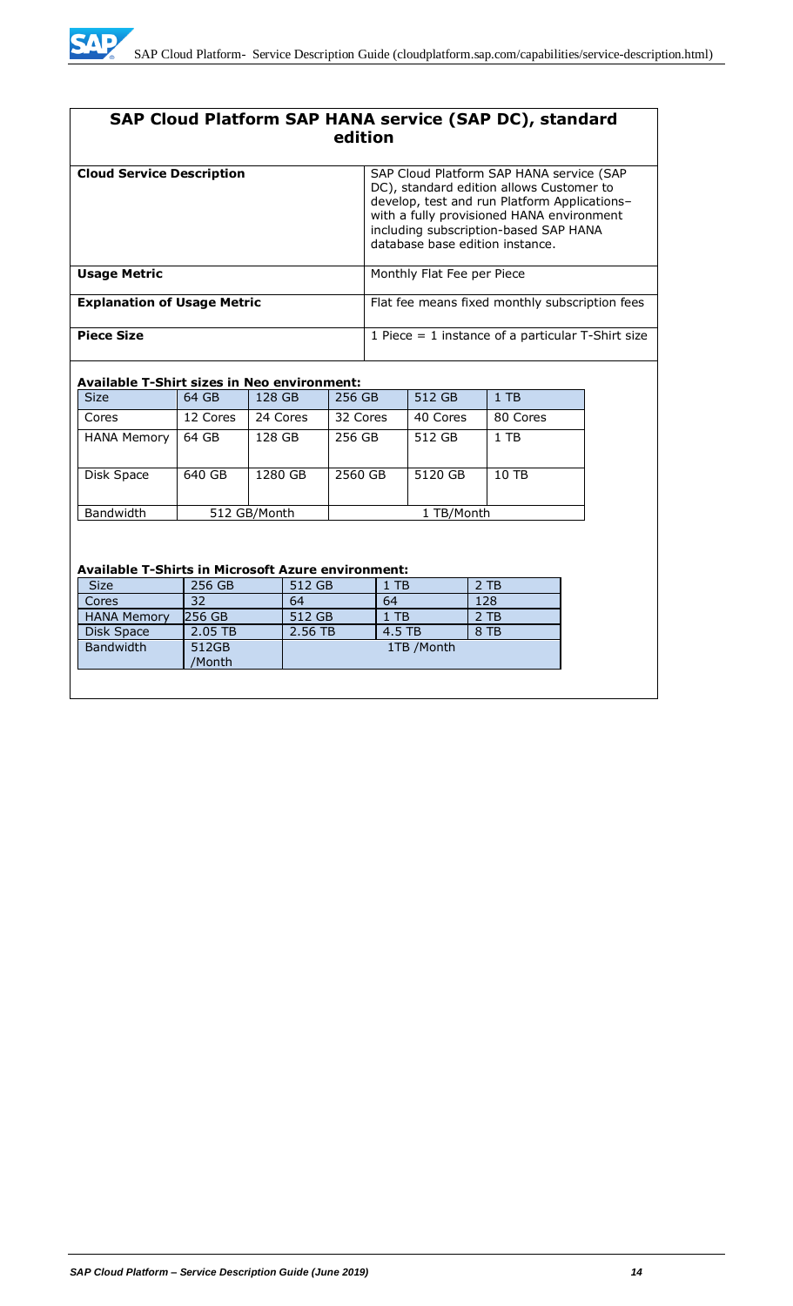

# **SAP Cloud Platform SAP HANA service (SAP DC), standard edition**

| <b>Cloud Service Description</b>   | SAP Cloud Platform SAP HANA service (SAP<br>DC), standard edition allows Customer to<br>develop, test and run Platform Applications-<br>with a fully provisioned HANA environment<br>including subscription-based SAP HANA<br>database base edition instance. |
|------------------------------------|---------------------------------------------------------------------------------------------------------------------------------------------------------------------------------------------------------------------------------------------------------------|
| <b>Usage Metric</b>                | Monthly Flat Fee per Piece                                                                                                                                                                                                                                    |
| <b>Explanation of Usage Metric</b> | Flat fee means fixed monthly subscription fees                                                                                                                                                                                                                |
| <b>Piece Size</b>                  | 1 Piece $=$ 1 instance of a particular T-Shirt size                                                                                                                                                                                                           |

#### **Available T-Shirt sizes in Neo environment:**

| <b>Size</b>        | 64 GB    | 128 GB       | 256 GB   | 512 GB     | $1$ TB   |
|--------------------|----------|--------------|----------|------------|----------|
| Cores              | 12 Cores | 24 Cores     | 32 Cores | 40 Cores   | 80 Cores |
| <b>HANA Memory</b> | 64 GB    | 128 GB       | 256 GB   | 512 GB     | $1$ TB   |
| Disk Space         | 640 GB   | 1280 GB      | 2560 GB  | 5120 GB    | 10 TB    |
| <b>Bandwidth</b>   |          | 512 GB/Month |          | 1 TB/Month |          |

#### **Available T-Shirts in Microsoft Azure environment:**

| <b>Size</b>        | 256 GB          | 512 GB  | 1 TB       | $2$ TB |
|--------------------|-----------------|---------|------------|--------|
| Cores              | 32              | 64      | 64         | 128    |
| <b>HANA Memory</b> | 256 GB          | 512 GB  | 1 TB       | $2$ TB |
| Disk Space         | 2.05 TB         | 2.56 TB | 4.5 TB     | 8 TB   |
| <b>Bandwidth</b>   | 512GB<br>/Month |         | 1TB /Month |        |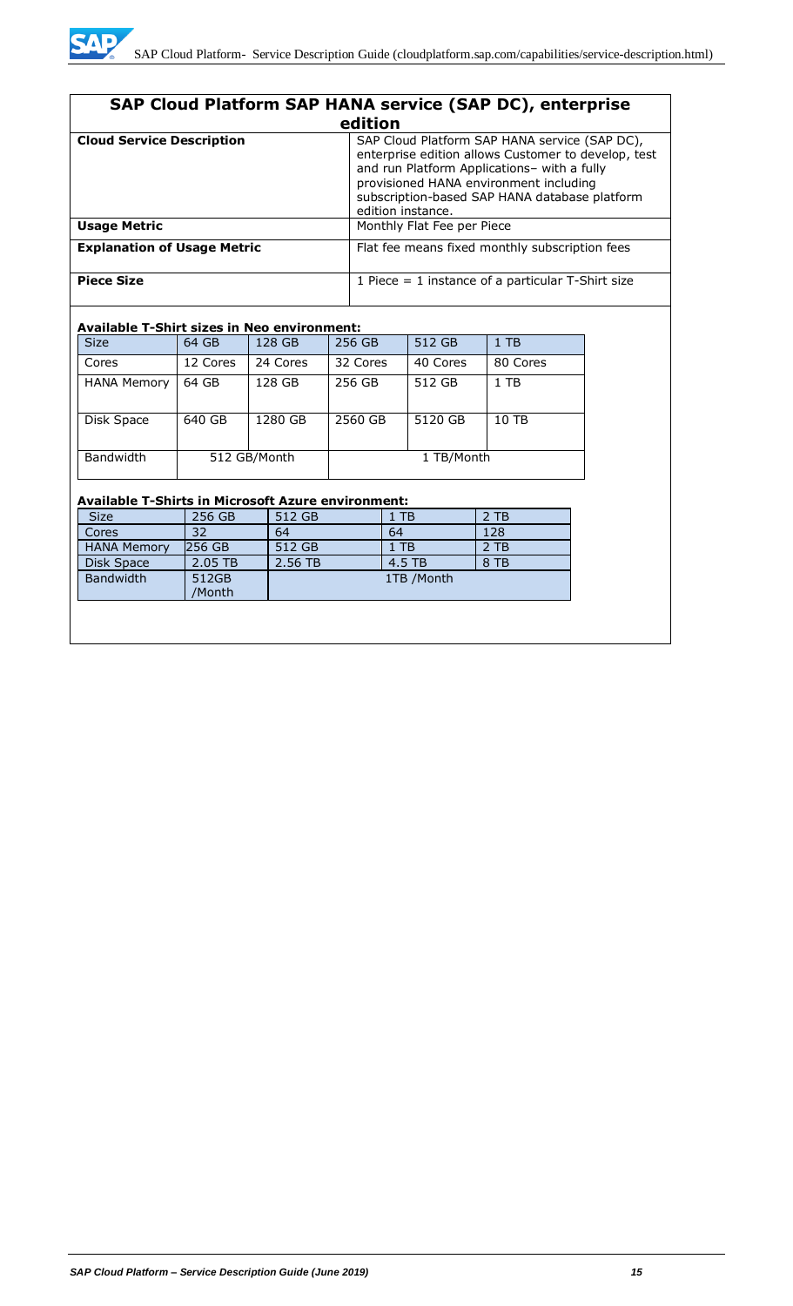| SAP Cloud Platform SAP HANA service (SAP DC), enterprise |                                                                                                                                                                                                                                                                     |  |  |  |  |
|----------------------------------------------------------|---------------------------------------------------------------------------------------------------------------------------------------------------------------------------------------------------------------------------------------------------------------------|--|--|--|--|
| edition                                                  |                                                                                                                                                                                                                                                                     |  |  |  |  |
| <b>Cloud Service Description</b>                         | SAP Cloud Platform SAP HANA service (SAP DC),<br>enterprise edition allows Customer to develop, test<br>and run Platform Applications- with a fully<br>provisioned HANA environment including<br>subscription-based SAP HANA database platform<br>edition instance. |  |  |  |  |
| <b>Usage Metric</b>                                      | Monthly Flat Fee per Piece                                                                                                                                                                                                                                          |  |  |  |  |
| <b>Explanation of Usage Metric</b>                       | Flat fee means fixed monthly subscription fees                                                                                                                                                                                                                      |  |  |  |  |
| <b>Piece Size</b>                                        | 1 Piece $=$ 1 instance of a particular T-Shirt size                                                                                                                                                                                                                 |  |  |  |  |

#### **Available T-Shirt sizes in Neo environment:**

| <b>Size</b>        | 64 GB        | 128 GB   | 256 GB     | 512 GB   | $1$ TB   |
|--------------------|--------------|----------|------------|----------|----------|
| Cores              | 12 Cores     | 24 Cores | 32 Cores   | 40 Cores | 80 Cores |
| <b>HANA Memory</b> | 64 GB        | 128 GB   | 256 GB     | 512 GB   | $1$ TB   |
| Disk Space         | 640 GB       | 1280 GB  | 2560 GB    | 5120 GB  | 10 TB    |
| Bandwidth          | 512 GB/Month |          | 1 TB/Month |          |          |

#### **Available T-Shirts in Microsoft Azure environment:**

| <b>Size</b>        | 256 GB          | 512 GB  | $1$ TB     | 2 TB |
|--------------------|-----------------|---------|------------|------|
| Cores              | 32              | 64      | 64         | 128  |
| <b>HANA Memory</b> | 256 GB          | 512 GB  | $1$ TB     | 2 TB |
| Disk Space         | 2.05 TB         | 2.56 TB | 4.5 TB     | 8 TB |
| <b>Bandwidth</b>   | 512GB<br>/Month |         | 1TB /Month |      |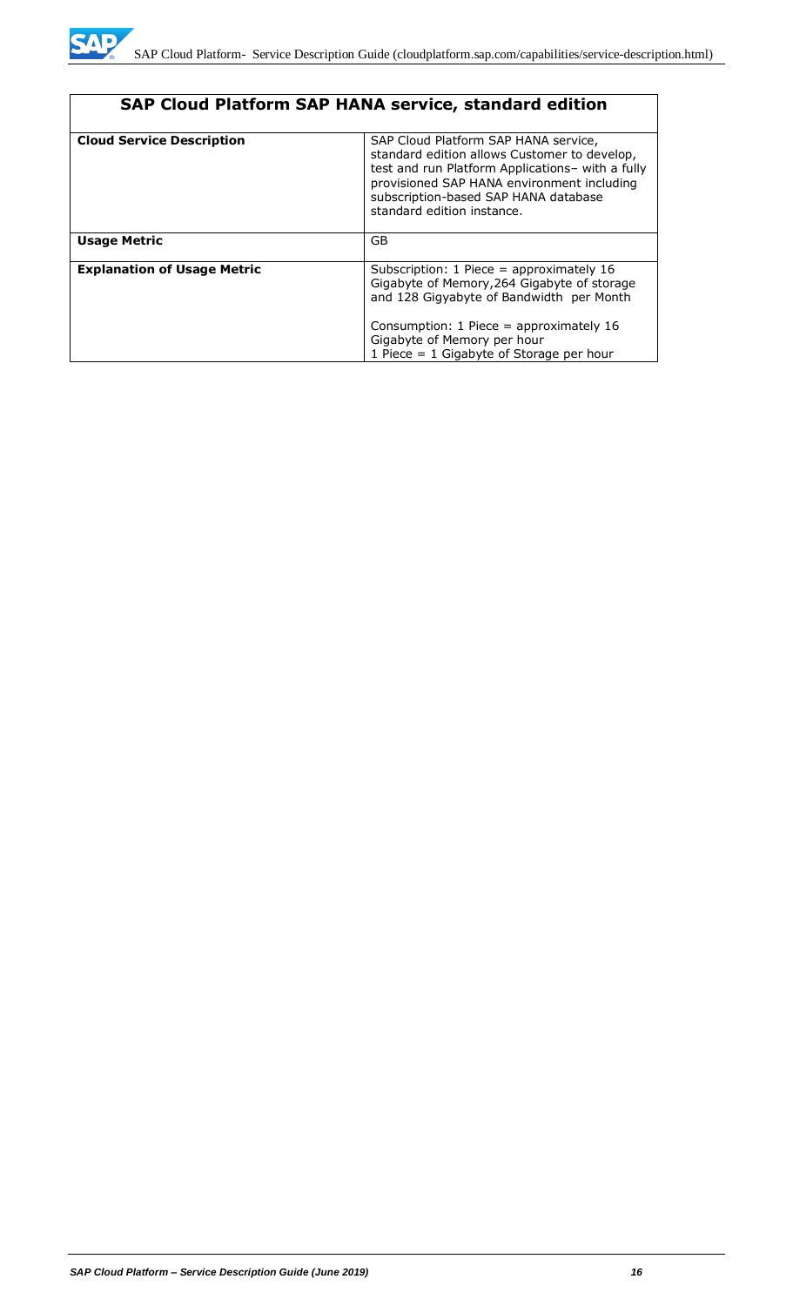| <b>SAP Cloud Platform SAP HANA service, standard edition</b> |                                                                                                                                                                                                                                                              |  |  |
|--------------------------------------------------------------|--------------------------------------------------------------------------------------------------------------------------------------------------------------------------------------------------------------------------------------------------------------|--|--|
| <b>Cloud Service Description</b>                             | SAP Cloud Platform SAP HANA service,<br>standard edition allows Customer to develop,<br>test and run Platform Applications- with a fully<br>provisioned SAP HANA environment including<br>subscription-based SAP HANA database<br>standard edition instance. |  |  |
| <b>Usage Metric</b>                                          | GB                                                                                                                                                                                                                                                           |  |  |
| <b>Explanation of Usage Metric</b>                           | Subscription: 1 Piece = approximately 16<br>Gigabyte of Memory, 264 Gigabyte of storage<br>and 128 Gigyabyte of Bandwidth per Month<br>Consumption: 1 Piece = approximately 16<br>Gigabyte of Memory per hour<br>1 Piece = $1$ Gigabyte of Storage per hour  |  |  |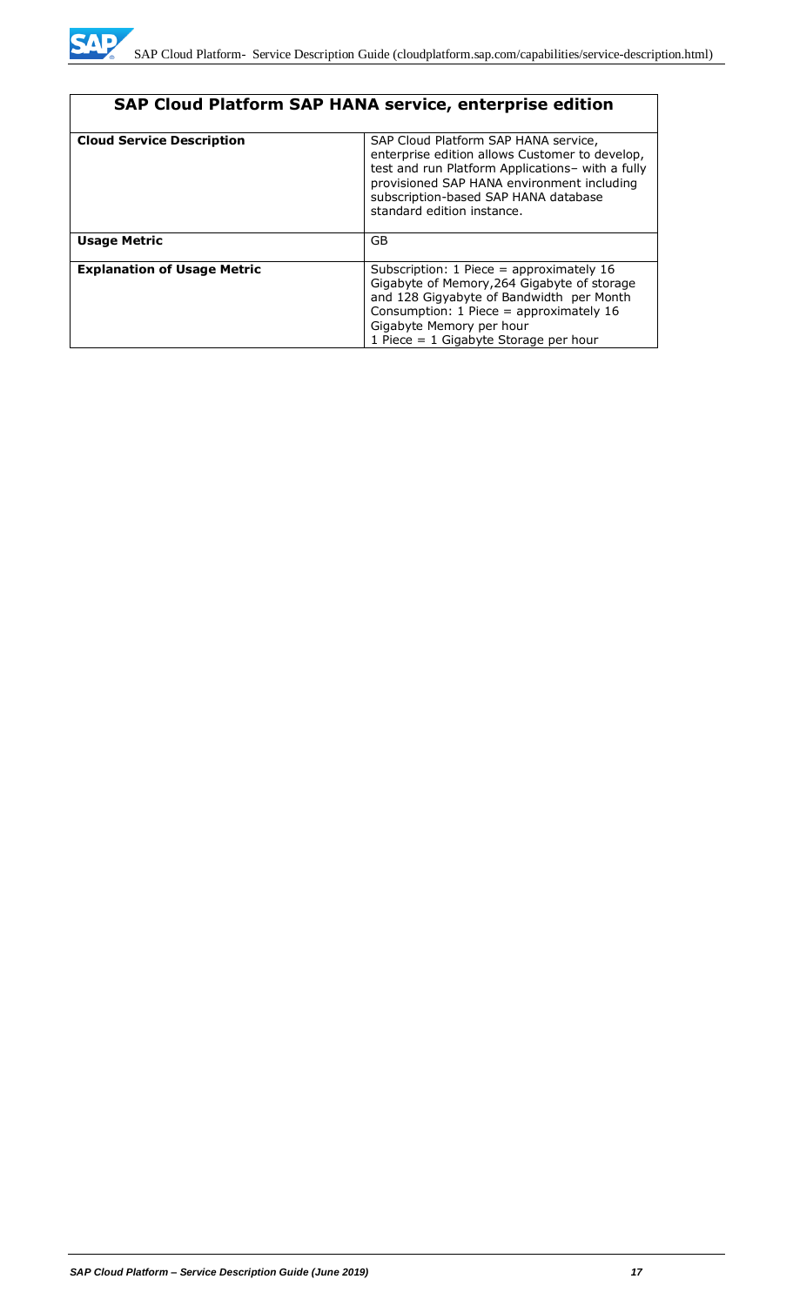

| SAP Cloud Platform SAP HANA service, enterprise edition |                                                                                                                                                                                                                                                                |  |  |
|---------------------------------------------------------|----------------------------------------------------------------------------------------------------------------------------------------------------------------------------------------------------------------------------------------------------------------|--|--|
| <b>Cloud Service Description</b>                        | SAP Cloud Platform SAP HANA service,<br>enterprise edition allows Customer to develop,<br>test and run Platform Applications- with a fully<br>provisioned SAP HANA environment including<br>subscription-based SAP HANA database<br>standard edition instance. |  |  |
| <b>Usage Metric</b>                                     | <b>GB</b>                                                                                                                                                                                                                                                      |  |  |
| <b>Explanation of Usage Metric</b>                      | Subscription: $1$ Piece = approximately $16$<br>Gigabyte of Memory, 264 Gigabyte of storage<br>and 128 Gigyabyte of Bandwidth per Month<br>Consumption: $1$ Piece = approximately $16$<br>Gigabyte Memory per hour<br>1 Piece $= 1$ Gigabyte Storage per hour  |  |  |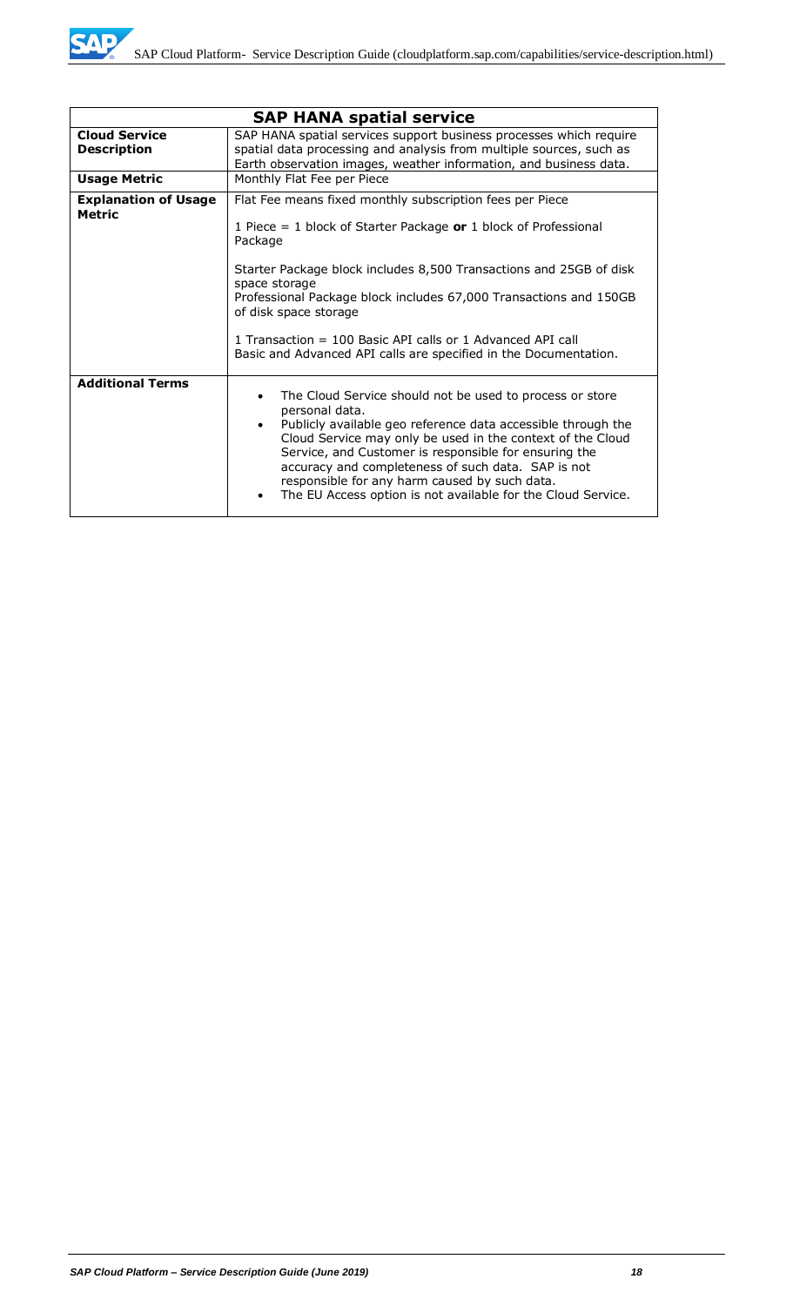|                                            | <b>SAP HANA spatial service</b>                                                                                                                                                                                                                                                                                                                                                                                                          |  |  |
|--------------------------------------------|------------------------------------------------------------------------------------------------------------------------------------------------------------------------------------------------------------------------------------------------------------------------------------------------------------------------------------------------------------------------------------------------------------------------------------------|--|--|
| <b>Cloud Service</b><br><b>Description</b> | SAP HANA spatial services support business processes which require<br>spatial data processing and analysis from multiple sources, such as<br>Earth observation images, weather information, and business data.                                                                                                                                                                                                                           |  |  |
| <b>Usage Metric</b>                        | Monthly Flat Fee per Piece                                                                                                                                                                                                                                                                                                                                                                                                               |  |  |
| <b>Explanation of Usage</b><br>Metric      | Flat Fee means fixed monthly subscription fees per Piece<br>1 Piece = 1 block of Starter Package or 1 block of Professional<br>Package<br>Starter Package block includes 8,500 Transactions and 25GB of disk<br>space storage<br>Professional Package block includes 67,000 Transactions and 150GB<br>of disk space storage<br>1 Transaction = 100 Basic API calls or 1 Advanced API call                                                |  |  |
|                                            | Basic and Advanced API calls are specified in the Documentation.                                                                                                                                                                                                                                                                                                                                                                         |  |  |
| <b>Additional Terms</b>                    | The Cloud Service should not be used to process or store<br>personal data.<br>Publicly available geo reference data accessible through the<br>Cloud Service may only be used in the context of the Cloud<br>Service, and Customer is responsible for ensuring the<br>accuracy and completeness of such data. SAP is not<br>responsible for any harm caused by such data.<br>The EU Access option is not available for the Cloud Service. |  |  |

WD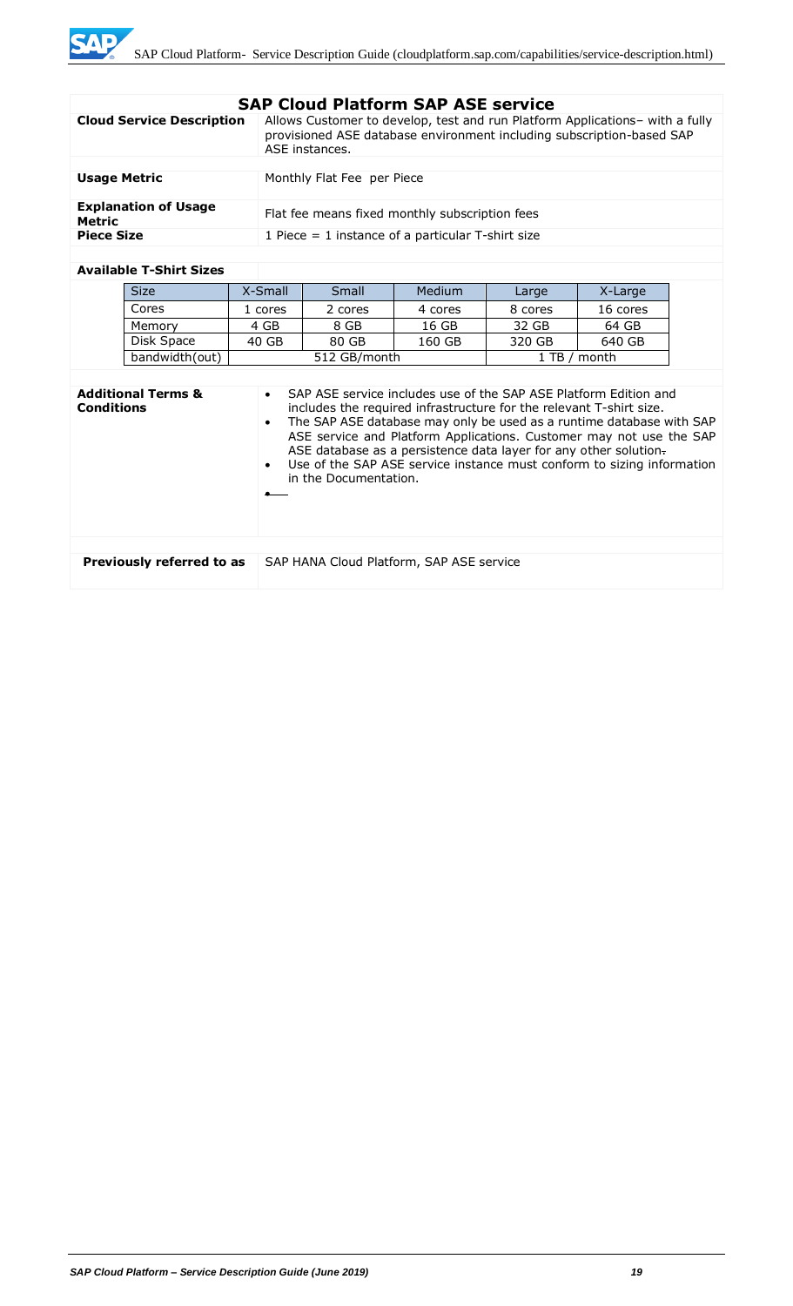|  |  | <b>SAP Cloud Platform SAP ASE service</b> |  |  |  |
|--|--|-------------------------------------------|--|--|--|
|--|--|-------------------------------------------|--|--|--|

| <b>Cloud Service Description</b>      | Allows Customer to develop, test and run Platform Applications- with a fully<br>provisioned ASE database environment including subscription-based SAP<br>ASE instances. |
|---------------------------------------|-------------------------------------------------------------------------------------------------------------------------------------------------------------------------|
|                                       |                                                                                                                                                                         |
| <b>Usage Metric</b>                   | Monthly Flat Fee per Piece                                                                                                                                              |
| <b>Explanation of Usage</b><br>Metric | Flat fee means fixed monthly subscription fees                                                                                                                          |
| <b>Piece Size</b>                     | 1 Piece $=$ 1 instance of a particular T-shirt size                                                                                                                     |

#### **Available T-Shirt Sizes**

| <b>Size</b>    | X-Small | Small                | <b>Medium</b> | Large   | X-Large  |
|----------------|---------|----------------------|---------------|---------|----------|
| Cores          | 1 cores | 2 cores              | 4 cores       | 8 cores | 16 cores |
| Memory         | 4 GB    | 8 GB                 | 16 GB         | 32 GB   | 64 GB    |
| Disk Space     | 40 GB   | 80 GB                | 160 GB        | 320 GB  | 640 GB   |
| bandwidth(out) |         | 512 GB/month<br>1 TB |               |         | month    |

| <b>Additional Terms &amp;</b><br><b>Conditions</b> | SAP ASE service includes use of the SAP ASE Platform Edition and<br>$\bullet$<br>includes the required infrastructure for the relevant T-shirt size.<br>The SAP ASE database may only be used as a runtime database with SAP<br>$\bullet$<br>ASE service and Platform Applications. Customer may not use the SAP<br>ASE database as a persistence data layer for any other solution.<br>Use of the SAP ASE service instance must conform to sizing information<br>$\bullet$<br>in the Documentation. |
|----------------------------------------------------|------------------------------------------------------------------------------------------------------------------------------------------------------------------------------------------------------------------------------------------------------------------------------------------------------------------------------------------------------------------------------------------------------------------------------------------------------------------------------------------------------|
|                                                    |                                                                                                                                                                                                                                                                                                                                                                                                                                                                                                      |
| Previously referred to as                          | SAP HANA Cloud Platform, SAP ASE service                                                                                                                                                                                                                                                                                                                                                                                                                                                             |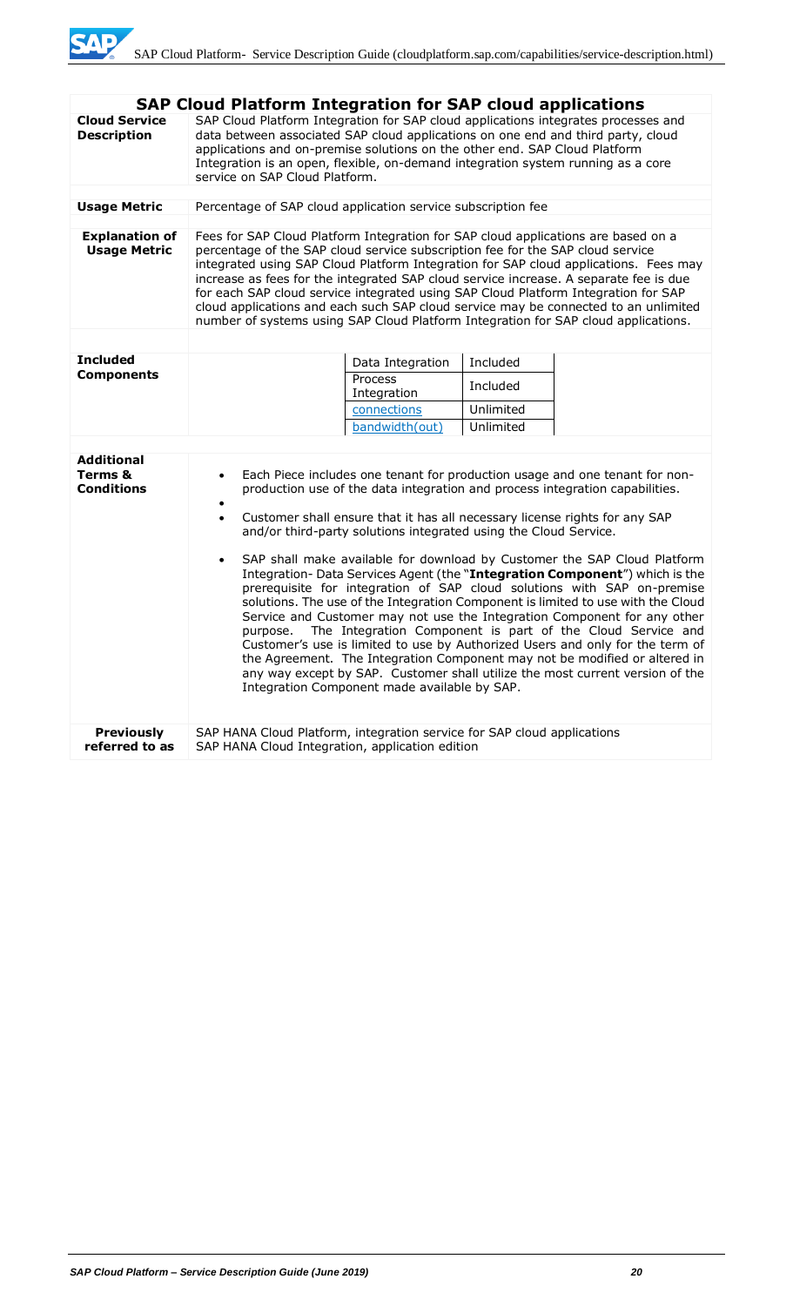|                                                   | <b>SAP Cloud Platform Integration for SAP cloud applications</b>                                                                                                                                                                                                                                                                                                                                                                                                                                                                                                                                                                                                                                                                                                                                                                                                                                                                                                                                                                                                                                                                                  |                        |           |  |
|---------------------------------------------------|---------------------------------------------------------------------------------------------------------------------------------------------------------------------------------------------------------------------------------------------------------------------------------------------------------------------------------------------------------------------------------------------------------------------------------------------------------------------------------------------------------------------------------------------------------------------------------------------------------------------------------------------------------------------------------------------------------------------------------------------------------------------------------------------------------------------------------------------------------------------------------------------------------------------------------------------------------------------------------------------------------------------------------------------------------------------------------------------------------------------------------------------------|------------------------|-----------|--|
| <b>Cloud Service</b><br><b>Description</b>        | SAP Cloud Platform Integration for SAP cloud applications integrates processes and<br>data between associated SAP cloud applications on one end and third party, cloud<br>applications and on-premise solutions on the other end. SAP Cloud Platform<br>Integration is an open, flexible, on-demand integration system running as a core<br>service on SAP Cloud Platform.                                                                                                                                                                                                                                                                                                                                                                                                                                                                                                                                                                                                                                                                                                                                                                        |                        |           |  |
| <b>Usage Metric</b>                               | Percentage of SAP cloud application service subscription fee                                                                                                                                                                                                                                                                                                                                                                                                                                                                                                                                                                                                                                                                                                                                                                                                                                                                                                                                                                                                                                                                                      |                        |           |  |
|                                                   |                                                                                                                                                                                                                                                                                                                                                                                                                                                                                                                                                                                                                                                                                                                                                                                                                                                                                                                                                                                                                                                                                                                                                   |                        |           |  |
| <b>Explanation of</b><br><b>Usage Metric</b>      | Fees for SAP Cloud Platform Integration for SAP cloud applications are based on a<br>percentage of the SAP cloud service subscription fee for the SAP cloud service<br>integrated using SAP Cloud Platform Integration for SAP cloud applications. Fees may<br>increase as fees for the integrated SAP cloud service increase. A separate fee is due<br>for each SAP cloud service integrated using SAP Cloud Platform Integration for SAP<br>cloud applications and each such SAP cloud service may be connected to an unlimited<br>number of systems using SAP Cloud Platform Integration for SAP cloud applications.                                                                                                                                                                                                                                                                                                                                                                                                                                                                                                                           |                        |           |  |
|                                                   |                                                                                                                                                                                                                                                                                                                                                                                                                                                                                                                                                                                                                                                                                                                                                                                                                                                                                                                                                                                                                                                                                                                                                   |                        |           |  |
| <b>Included</b>                                   |                                                                                                                                                                                                                                                                                                                                                                                                                                                                                                                                                                                                                                                                                                                                                                                                                                                                                                                                                                                                                                                                                                                                                   | Data Integration       | Included  |  |
| <b>Components</b>                                 |                                                                                                                                                                                                                                                                                                                                                                                                                                                                                                                                                                                                                                                                                                                                                                                                                                                                                                                                                                                                                                                                                                                                                   | Process<br>Integration | Included  |  |
|                                                   |                                                                                                                                                                                                                                                                                                                                                                                                                                                                                                                                                                                                                                                                                                                                                                                                                                                                                                                                                                                                                                                                                                                                                   | connections            | Unlimited |  |
|                                                   |                                                                                                                                                                                                                                                                                                                                                                                                                                                                                                                                                                                                                                                                                                                                                                                                                                                                                                                                                                                                                                                                                                                                                   | bandwidth(out)         | Unlimited |  |
| <b>Additional</b><br>Terms &<br><b>Conditions</b> | Each Piece includes one tenant for production usage and one tenant for non-<br>$\bullet$<br>production use of the data integration and process integration capabilities.<br>$\bullet$<br>Customer shall ensure that it has all necessary license rights for any SAP<br>$\bullet$<br>and/or third-party solutions integrated using the Cloud Service.<br>SAP shall make available for download by Customer the SAP Cloud Platform<br>$\bullet$<br>Integration- Data Services Agent (the "Integration Component") which is the<br>prerequisite for integration of SAP cloud solutions with SAP on-premise<br>solutions. The use of the Integration Component is limited to use with the Cloud<br>Service and Customer may not use the Integration Component for any other<br>The Integration Component is part of the Cloud Service and<br>purpose.<br>Customer's use is limited to use by Authorized Users and only for the term of<br>the Agreement. The Integration Component may not be modified or altered in<br>any way except by SAP. Customer shall utilize the most current version of the<br>Integration Component made available by SAP. |                        |           |  |
| <b>Previously</b><br>referred to as               | SAP HANA Cloud Platform, integration service for SAP cloud applications<br>SAP HANA Cloud Integration, application edition                                                                                                                                                                                                                                                                                                                                                                                                                                                                                                                                                                                                                                                                                                                                                                                                                                                                                                                                                                                                                        |                        |           |  |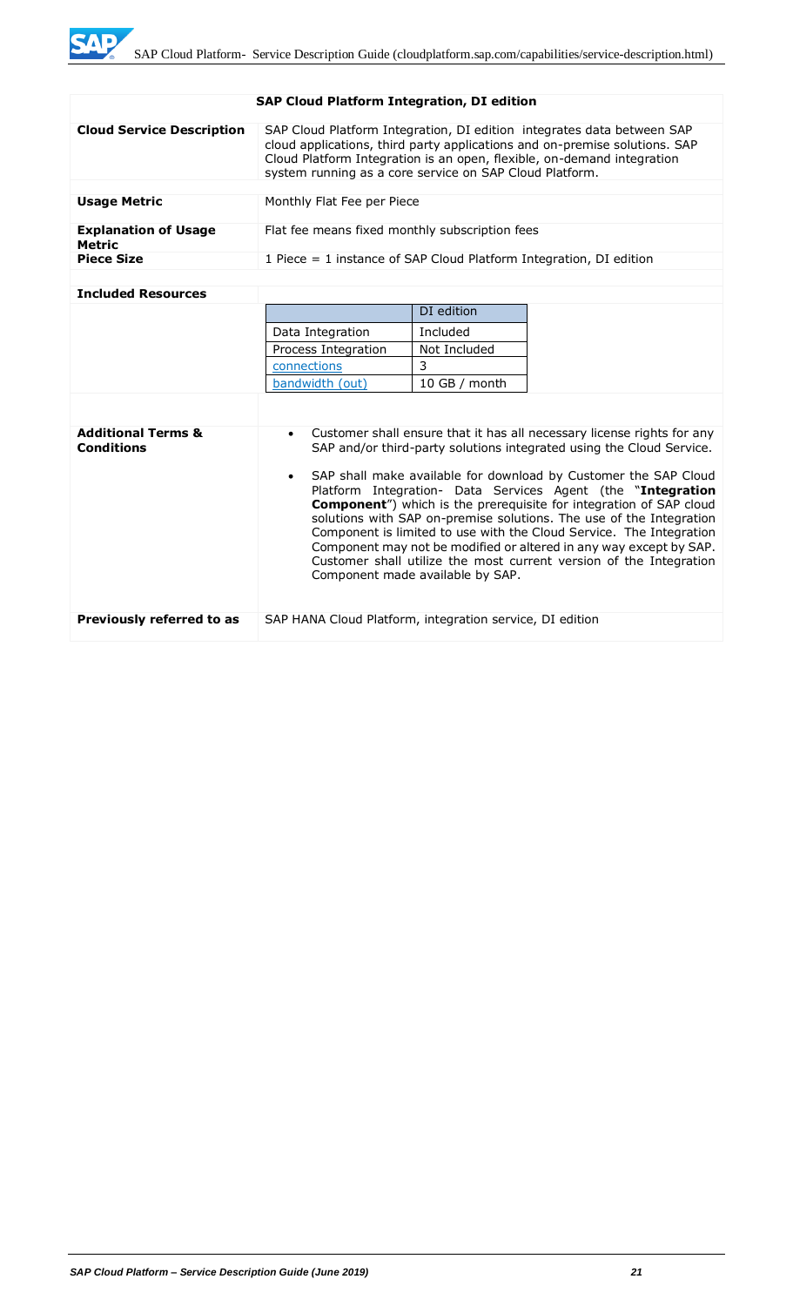| <b>Cloud Service Description</b>      | SAP Cloud Platform Integration, DI edition integrates data between SAP<br>cloud applications, third party applications and on-premise solutions. SAP<br>Cloud Platform Integration is an open, flexible, on-demand integration<br>system running as a core service on SAP Cloud Platform. |            |  |  |  |
|---------------------------------------|-------------------------------------------------------------------------------------------------------------------------------------------------------------------------------------------------------------------------------------------------------------------------------------------|------------|--|--|--|
|                                       |                                                                                                                                                                                                                                                                                           |            |  |  |  |
| <b>Usage Metric</b>                   | Monthly Flat Fee per Piece                                                                                                                                                                                                                                                                |            |  |  |  |
| <b>Explanation of Usage</b><br>Metric | Flat fee means fixed monthly subscription fees                                                                                                                                                                                                                                            |            |  |  |  |
| <b>Piece Size</b>                     | 1 Piece $=$ 1 instance of SAP Cloud Platform Integration, DI edition                                                                                                                                                                                                                      |            |  |  |  |
|                                       |                                                                                                                                                                                                                                                                                           |            |  |  |  |
| <b>Included Resources</b>             |                                                                                                                                                                                                                                                                                           |            |  |  |  |
|                                       |                                                                                                                                                                                                                                                                                           | DI edition |  |  |  |
|                                       | Data Integration                                                                                                                                                                                                                                                                          | Included   |  |  |  |
|                                       | Process Integration<br>Not Included                                                                                                                                                                                                                                                       |            |  |  |  |
|                                       | २<br>connections                                                                                                                                                                                                                                                                          |            |  |  |  |

|                                                    | connections                                              | J                                |                                                                                                                                                                                                                                                                                                                                                                                                                                                                                                                                                                                                                                                            |
|----------------------------------------------------|----------------------------------------------------------|----------------------------------|------------------------------------------------------------------------------------------------------------------------------------------------------------------------------------------------------------------------------------------------------------------------------------------------------------------------------------------------------------------------------------------------------------------------------------------------------------------------------------------------------------------------------------------------------------------------------------------------------------------------------------------------------------|
|                                                    | bandwidth (out)                                          | 10 GB / month                    |                                                                                                                                                                                                                                                                                                                                                                                                                                                                                                                                                                                                                                                            |
|                                                    |                                                          |                                  |                                                                                                                                                                                                                                                                                                                                                                                                                                                                                                                                                                                                                                                            |
| <b>Additional Terms &amp;</b><br><b>Conditions</b> | $\bullet$                                                | Component made available by SAP. | Customer shall ensure that it has all necessary license rights for any<br>SAP and/or third-party solutions integrated using the Cloud Service.<br>• SAP shall make available for download by Customer the SAP Cloud<br>Platform Integration- Data Services Agent (the "Integration<br><b>Component</b> ") which is the prerequisite for integration of SAP cloud<br>solutions with SAP on-premise solutions. The use of the Integration<br>Component is limited to use with the Cloud Service. The Integration<br>Component may not be modified or altered in any way except by SAP.<br>Customer shall utilize the most current version of the Integration |
| Previously referred to as                          | SAP HANA Cloud Platform, integration service, DI edition |                                  |                                                                                                                                                                                                                                                                                                                                                                                                                                                                                                                                                                                                                                                            |

#### **SAP Cloud Platform Integration, DI edition**

WD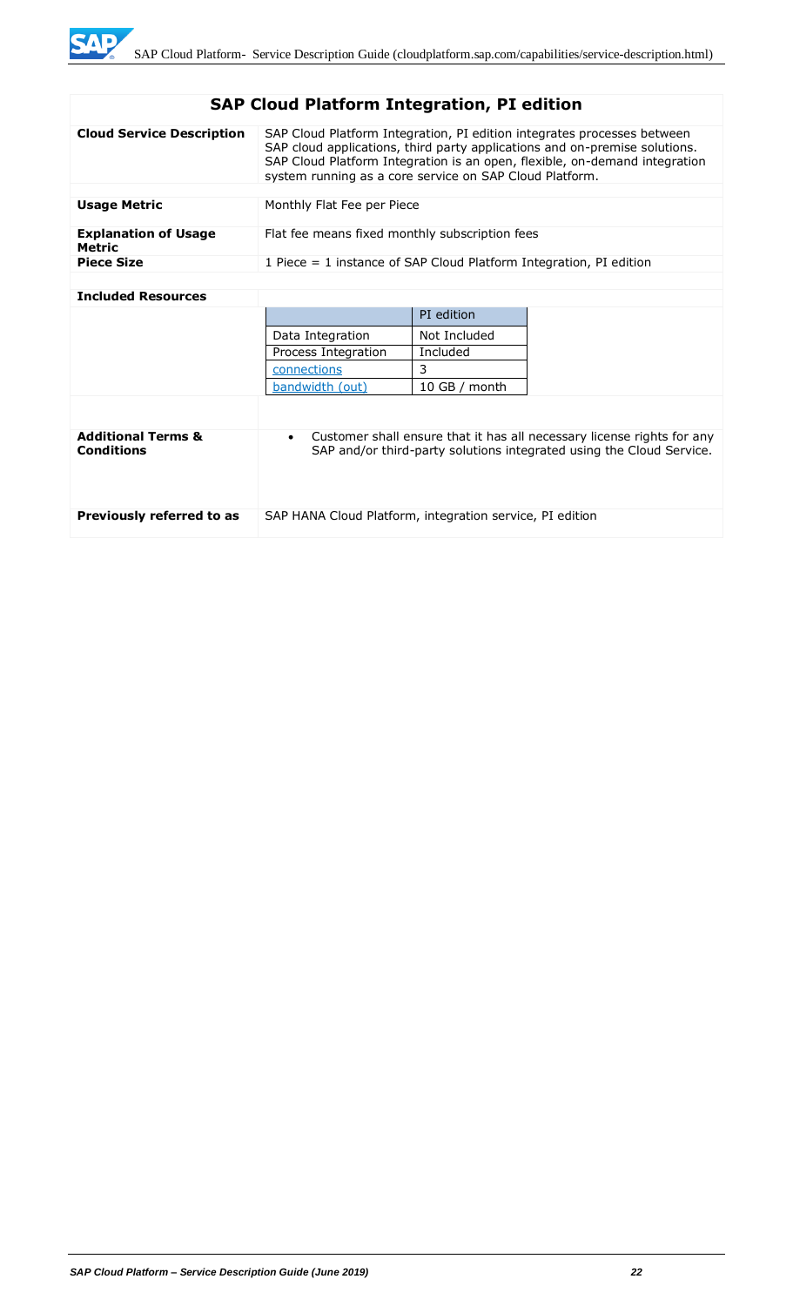# **SAP Cloud Platform Integration, PI edition**

| <b>Cloud Service Description</b>      | SAP Cloud Platform Integration, PI edition integrates processes between<br>SAP cloud applications, third party applications and on-premise solutions.<br>SAP Cloud Platform Integration is an open, flexible, on-demand integration<br>system running as a core service on SAP Cloud Platform. |
|---------------------------------------|------------------------------------------------------------------------------------------------------------------------------------------------------------------------------------------------------------------------------------------------------------------------------------------------|
|                                       |                                                                                                                                                                                                                                                                                                |
| <b>Usage Metric</b>                   | Monthly Flat Fee per Piece                                                                                                                                                                                                                                                                     |
| <b>Explanation of Usage</b><br>Metric | Flat fee means fixed monthly subscription fees                                                                                                                                                                                                                                                 |
| <b>Piece Size</b>                     | 1 Piece $=$ 1 instance of SAP Cloud Platform Integration, PI edition                                                                                                                                                                                                                           |
|                                       |                                                                                                                                                                                                                                                                                                |

#### **Included Resources**

|                                                    |                                                          | PI edition    |                                                                                                                                                |
|----------------------------------------------------|----------------------------------------------------------|---------------|------------------------------------------------------------------------------------------------------------------------------------------------|
|                                                    | Data Integration                                         | Not Included  |                                                                                                                                                |
|                                                    | Process Integration                                      | Included      |                                                                                                                                                |
|                                                    | connections                                              | 3             |                                                                                                                                                |
|                                                    | bandwidth (out)                                          | 10 GB / month |                                                                                                                                                |
|                                                    |                                                          |               |                                                                                                                                                |
| <b>Additional Terms &amp;</b><br><b>Conditions</b> | $\bullet$                                                |               | Customer shall ensure that it has all necessary license rights for any<br>SAP and/or third-party solutions integrated using the Cloud Service. |
| Previously referred to as                          | SAP HANA Cloud Platform, integration service, PI edition |               |                                                                                                                                                |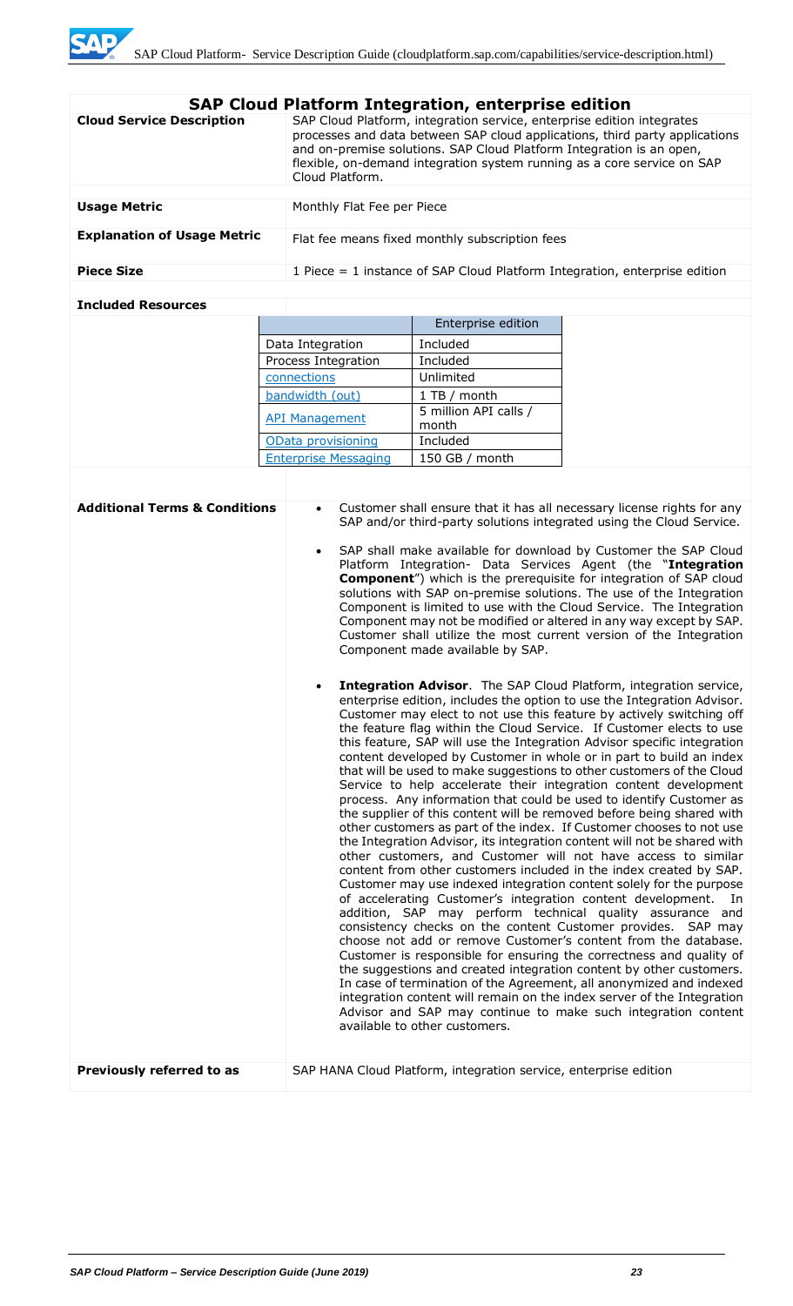| <b>SAP Cloud Platform Integration, enterprise edition</b> |                                                                                                                                                                                                                                                                                                                             |  |  |  |
|-----------------------------------------------------------|-----------------------------------------------------------------------------------------------------------------------------------------------------------------------------------------------------------------------------------------------------------------------------------------------------------------------------|--|--|--|
| <b>Cloud Service Description</b>                          | SAP Cloud Platform, integration service, enterprise edition integrates<br>processes and data between SAP cloud applications, third party applications<br>and on-premise solutions. SAP Cloud Platform Integration is an open,<br>flexible, on-demand integration system running as a core service on SAP<br>Cloud Platform. |  |  |  |
|                                                           |                                                                                                                                                                                                                                                                                                                             |  |  |  |
| <b>Usage Metric</b>                                       | Monthly Flat Fee per Piece                                                                                                                                                                                                                                                                                                  |  |  |  |
| <b>Explanation of Usage Metric</b>                        | Flat fee means fixed monthly subscription fees                                                                                                                                                                                                                                                                              |  |  |  |
| <b>Piece Size</b>                                         | 1 Piece $=$ 1 instance of SAP Cloud Platform Integration, enterprise edition                                                                                                                                                                                                                                                |  |  |  |
|                                                           |                                                                                                                                                                                                                                                                                                                             |  |  |  |

#### **Included Resources**

|                             | Enterprise edition             |
|-----------------------------|--------------------------------|
| Data Integration            | Included                       |
| Process Integration         | Included                       |
| connections                 | Unlimited                      |
| bandwidth (out)             | 1 TB / month                   |
| <b>API Management</b>       | 5 million API calls /<br>month |
| OData provisioning          | Included                       |
| <b>Enterprise Messaging</b> | 150 GB / month                 |

| <b>Additional Terms &amp; Conditions</b> | Customer shall ensure that it has all necessary license rights for any<br>SAP and/or third-party solutions integrated using the Cloud Service.<br>SAP shall make available for download by Customer the SAP Cloud<br>Platform Integration- Data Services Agent (the "Integration<br><b>Component</b> ") which is the prerequisite for integration of SAP cloud<br>solutions with SAP on-premise solutions. The use of the Integration<br>Component is limited to use with the Cloud Service. The Integration<br>Component may not be modified or altered in any way except by SAP.<br>Customer shall utilize the most current version of the Integration<br>Component made available by SAP.<br>Integration Advisor. The SAP Cloud Platform, integration service,<br>enterprise edition, includes the option to use the Integration Advisor.                                                                                                                                                                                                                                                                                                                                                                                                                                                                                                                                                                                                                                                                                                                                                                                         |
|------------------------------------------|--------------------------------------------------------------------------------------------------------------------------------------------------------------------------------------------------------------------------------------------------------------------------------------------------------------------------------------------------------------------------------------------------------------------------------------------------------------------------------------------------------------------------------------------------------------------------------------------------------------------------------------------------------------------------------------------------------------------------------------------------------------------------------------------------------------------------------------------------------------------------------------------------------------------------------------------------------------------------------------------------------------------------------------------------------------------------------------------------------------------------------------------------------------------------------------------------------------------------------------------------------------------------------------------------------------------------------------------------------------------------------------------------------------------------------------------------------------------------------------------------------------------------------------------------------------------------------------------------------------------------------------|
|                                          | Customer may elect to not use this feature by actively switching off<br>the feature flag within the Cloud Service. If Customer elects to use<br>this feature, SAP will use the Integration Advisor specific integration<br>content developed by Customer in whole or in part to build an index<br>that will be used to make suggestions to other customers of the Cloud<br>Service to help accelerate their integration content development<br>process. Any information that could be used to identify Customer as<br>the supplier of this content will be removed before being shared with<br>other customers as part of the index. If Customer chooses to not use<br>the Integration Advisor, its integration content will not be shared with<br>other customers, and Customer will not have access to similar<br>content from other customers included in the index created by SAP.<br>Customer may use indexed integration content solely for the purpose<br>of accelerating Customer's integration content development.<br>- In<br>addition, SAP may perform technical quality assurance and<br>consistency checks on the content Customer provides. SAP may<br>choose not add or remove Customer's content from the database.<br>Customer is responsible for ensuring the correctness and quality of<br>the suggestions and created integration content by other customers.<br>In case of termination of the Agreement, all anonymized and indexed<br>integration content will remain on the index server of the Integration<br>Advisor and SAP may continue to make such integration content<br>available to other customers. |
| Previously referred to as                | SAP HANA Cloud Platform, integration service, enterprise edition                                                                                                                                                                                                                                                                                                                                                                                                                                                                                                                                                                                                                                                                                                                                                                                                                                                                                                                                                                                                                                                                                                                                                                                                                                                                                                                                                                                                                                                                                                                                                                     |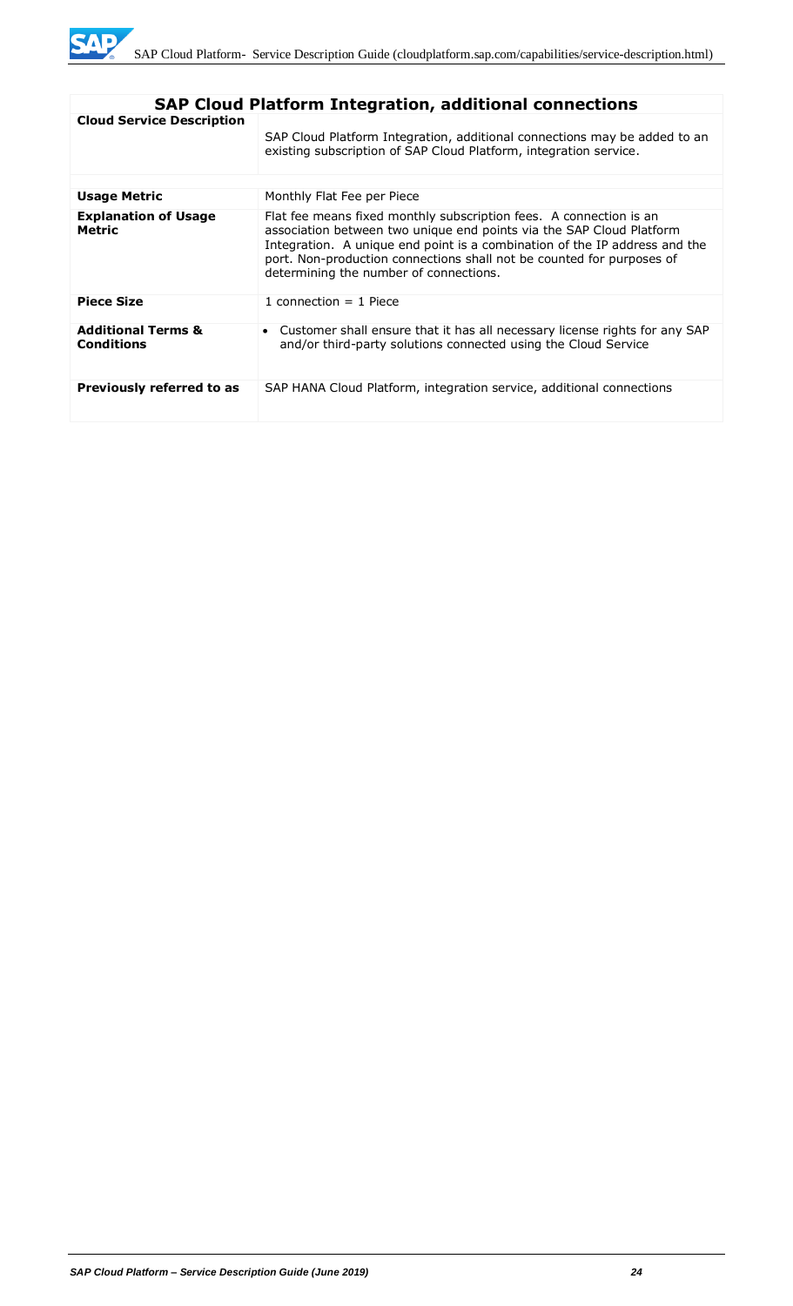

| <b>SAP Cloud Platform Integration, additional connections</b> |                                                                                                                                                                                                                                                                                                                                             |  |  |  |
|---------------------------------------------------------------|---------------------------------------------------------------------------------------------------------------------------------------------------------------------------------------------------------------------------------------------------------------------------------------------------------------------------------------------|--|--|--|
| <b>Cloud Service Description</b>                              | SAP Cloud Platform Integration, additional connections may be added to an<br>existing subscription of SAP Cloud Platform, integration service.                                                                                                                                                                                              |  |  |  |
| Usage Metric                                                  | Monthly Flat Fee per Piece                                                                                                                                                                                                                                                                                                                  |  |  |  |
| <b>Explanation of Usage</b><br><b>Metric</b>                  | Flat fee means fixed monthly subscription fees. A connection is an<br>association between two unique end points via the SAP Cloud Platform<br>Integration. A unique end point is a combination of the IP address and the<br>port. Non-production connections shall not be counted for purposes of<br>determining the number of connections. |  |  |  |
| <b>Piece Size</b>                                             | 1 connection $=$ 1 Piece                                                                                                                                                                                                                                                                                                                    |  |  |  |
| <b>Additional Terms &amp;</b><br><b>Conditions</b>            | • Customer shall ensure that it has all necessary license rights for any SAP<br>and/or third-party solutions connected using the Cloud Service                                                                                                                                                                                              |  |  |  |
| Previously referred to as                                     | SAP HANA Cloud Platform, integration service, additional connections                                                                                                                                                                                                                                                                        |  |  |  |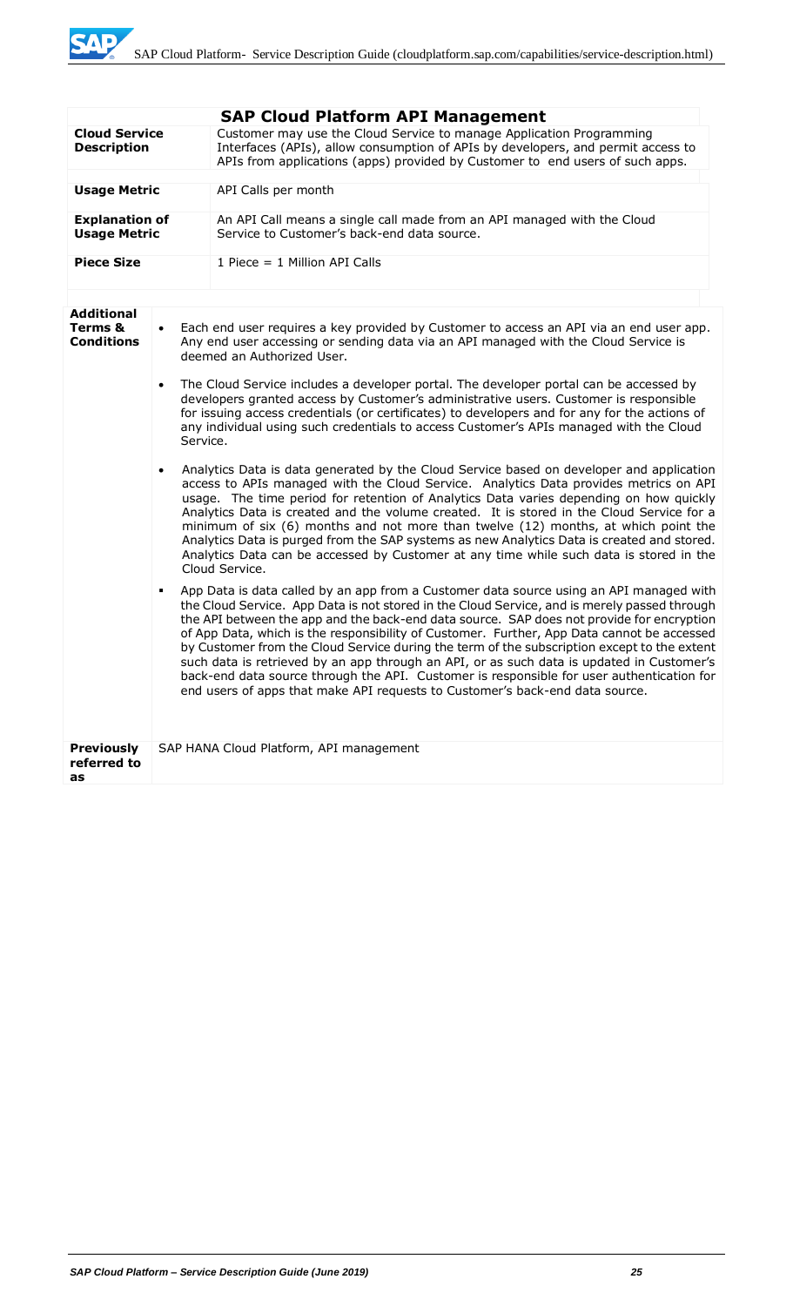**SAP** 

|                                                   |           | <b>SAP Cloud Platform API Management</b>                                                                                                                                                                                                                                                                                                                                                                                                                                                                                                                                                                                                                                                                                                                    |  |  |  |
|---------------------------------------------------|-----------|-------------------------------------------------------------------------------------------------------------------------------------------------------------------------------------------------------------------------------------------------------------------------------------------------------------------------------------------------------------------------------------------------------------------------------------------------------------------------------------------------------------------------------------------------------------------------------------------------------------------------------------------------------------------------------------------------------------------------------------------------------------|--|--|--|
| <b>Cloud Service</b><br><b>Description</b>        |           | Customer may use the Cloud Service to manage Application Programming<br>Interfaces (APIs), allow consumption of APIs by developers, and permit access to<br>APIs from applications (apps) provided by Customer to end users of such apps.                                                                                                                                                                                                                                                                                                                                                                                                                                                                                                                   |  |  |  |
| <b>Usage Metric</b>                               |           | API Calls per month                                                                                                                                                                                                                                                                                                                                                                                                                                                                                                                                                                                                                                                                                                                                         |  |  |  |
| <b>Explanation of</b><br><b>Usage Metric</b>      |           | An API Call means a single call made from an API managed with the Cloud<br>Service to Customer's back-end data source.                                                                                                                                                                                                                                                                                                                                                                                                                                                                                                                                                                                                                                      |  |  |  |
| <b>Piece Size</b>                                 |           | 1 Piece $= 1$ Million API Calls                                                                                                                                                                                                                                                                                                                                                                                                                                                                                                                                                                                                                                                                                                                             |  |  |  |
|                                                   |           |                                                                                                                                                                                                                                                                                                                                                                                                                                                                                                                                                                                                                                                                                                                                                             |  |  |  |
| <b>Additional</b><br>Terms &<br><b>Conditions</b> | $\bullet$ | Each end user requires a key provided by Customer to access an API via an end user app.<br>Any end user accessing or sending data via an API managed with the Cloud Service is<br>deemed an Authorized User.                                                                                                                                                                                                                                                                                                                                                                                                                                                                                                                                                |  |  |  |
|                                                   |           | The Cloud Service includes a developer portal. The developer portal can be accessed by<br>developers granted access by Customer's administrative users. Customer is responsible<br>for issuing access credentials (or certificates) to developers and for any for the actions of<br>any individual using such credentials to access Customer's APIs managed with the Cloud<br>Service.                                                                                                                                                                                                                                                                                                                                                                      |  |  |  |
|                                                   |           | Analytics Data is data generated by the Cloud Service based on developer and application<br>access to APIs managed with the Cloud Service. Analytics Data provides metrics on API<br>usage. The time period for retention of Analytics Data varies depending on how quickly<br>Analytics Data is created and the volume created. It is stored in the Cloud Service for a<br>minimum of six (6) months and not more than twelve (12) months, at which point the<br>Analytics Data is purged from the SAP systems as new Analytics Data is created and stored.<br>Analytics Data can be accessed by Customer at any time while such data is stored in the<br>Cloud Service.                                                                                   |  |  |  |
|                                                   | ٠         | App Data is data called by an app from a Customer data source using an API managed with<br>the Cloud Service. App Data is not stored in the Cloud Service, and is merely passed through<br>the API between the app and the back-end data source. SAP does not provide for encryption<br>of App Data, which is the responsibility of Customer. Further, App Data cannot be accessed<br>by Customer from the Cloud Service during the term of the subscription except to the extent<br>such data is retrieved by an app through an API, or as such data is updated in Customer's<br>back-end data source through the API. Customer is responsible for user authentication for<br>end users of apps that make API requests to Customer's back-end data source. |  |  |  |
| <b>Previously</b><br>referred to<br>as            |           | SAP HANA Cloud Platform, API management                                                                                                                                                                                                                                                                                                                                                                                                                                                                                                                                                                                                                                                                                                                     |  |  |  |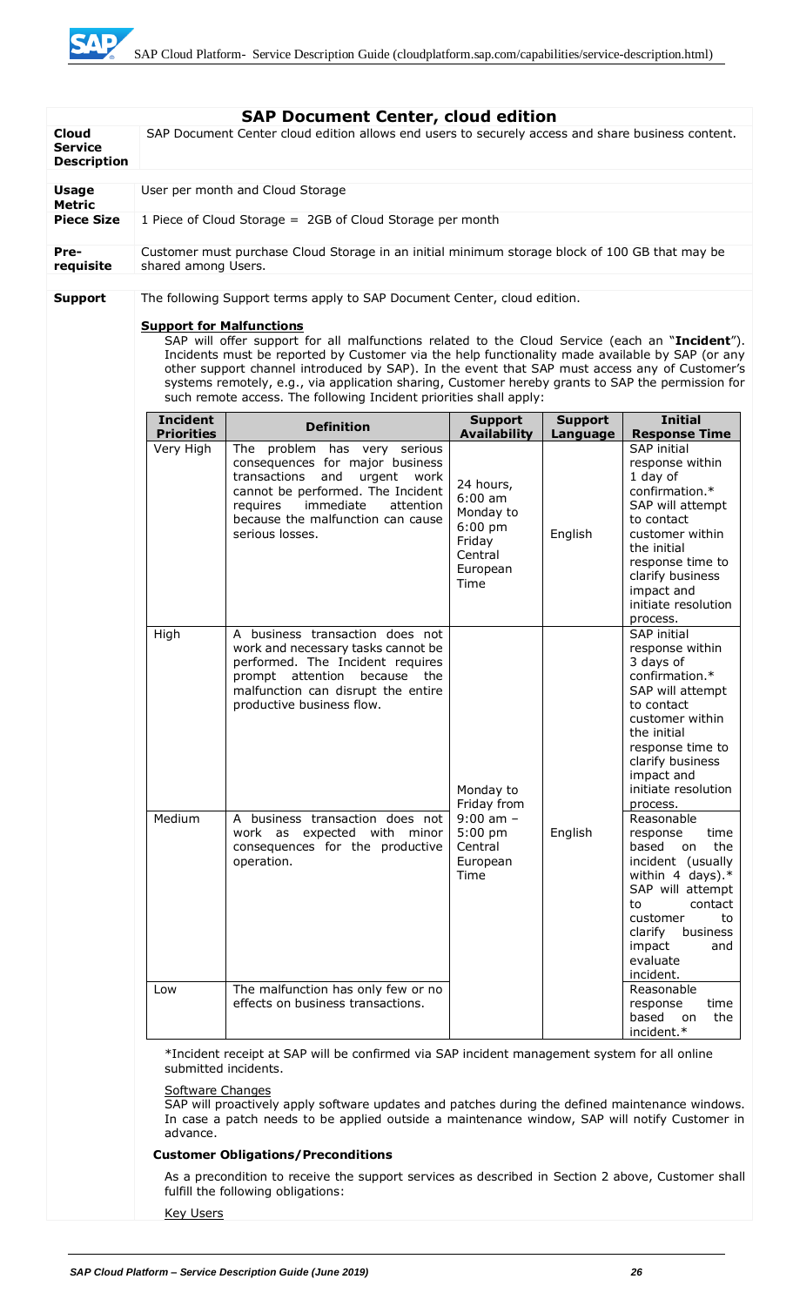SAD

| <b>Cloud</b><br><b>Service</b> |                                                                                                                                                                                                                                                                                                                                                                                                                                                                                                                  | <b>SAP Document Center, cloud edition</b><br>SAP Document Center cloud edition allows end users to securely access and share business content.                                                                                                                              |                                                                                                                  |                     |                                                                                                                                                                                                                                                                                |  |
|--------------------------------|------------------------------------------------------------------------------------------------------------------------------------------------------------------------------------------------------------------------------------------------------------------------------------------------------------------------------------------------------------------------------------------------------------------------------------------------------------------------------------------------------------------|-----------------------------------------------------------------------------------------------------------------------------------------------------------------------------------------------------------------------------------------------------------------------------|------------------------------------------------------------------------------------------------------------------|---------------------|--------------------------------------------------------------------------------------------------------------------------------------------------------------------------------------------------------------------------------------------------------------------------------|--|
| <b>Description</b>             |                                                                                                                                                                                                                                                                                                                                                                                                                                                                                                                  |                                                                                                                                                                                                                                                                             |                                                                                                                  |                     |                                                                                                                                                                                                                                                                                |  |
| <b>Usage</b><br><b>Metric</b>  | User per month and Cloud Storage                                                                                                                                                                                                                                                                                                                                                                                                                                                                                 |                                                                                                                                                                                                                                                                             |                                                                                                                  |                     |                                                                                                                                                                                                                                                                                |  |
| <b>Piece Size</b>              |                                                                                                                                                                                                                                                                                                                                                                                                                                                                                                                  | 1 Piece of Cloud Storage = 2GB of Cloud Storage per month                                                                                                                                                                                                                   |                                                                                                                  |                     |                                                                                                                                                                                                                                                                                |  |
| Pre-<br>requisite              | shared among Users.                                                                                                                                                                                                                                                                                                                                                                                                                                                                                              | Customer must purchase Cloud Storage in an initial minimum storage block of 100 GB that may be                                                                                                                                                                              |                                                                                                                  |                     |                                                                                                                                                                                                                                                                                |  |
| <b>Support</b>                 |                                                                                                                                                                                                                                                                                                                                                                                                                                                                                                                  | The following Support terms apply to SAP Document Center, cloud edition.                                                                                                                                                                                                    |                                                                                                                  |                     |                                                                                                                                                                                                                                                                                |  |
|                                | <b>Support for Malfunctions</b><br>SAP will offer support for all malfunctions related to the Cloud Service (each an "Incident").<br>Incidents must be reported by Customer via the help functionality made available by SAP (or any<br>other support channel introduced by SAP). In the event that SAP must access any of Customer's<br>systems remotely, e.g., via application sharing, Customer hereby grants to SAP the permission for<br>such remote access. The following Incident priorities shall apply: |                                                                                                                                                                                                                                                                             |                                                                                                                  |                     |                                                                                                                                                                                                                                                                                |  |
|                                | <b>Incident</b>                                                                                                                                                                                                                                                                                                                                                                                                                                                                                                  | <b>Definition</b>                                                                                                                                                                                                                                                           | <b>Support</b>                                                                                                   | <b>Support</b>      | <b>Initial</b>                                                                                                                                                                                                                                                                 |  |
|                                | <b>Priorities</b><br>Very High<br>High                                                                                                                                                                                                                                                                                                                                                                                                                                                                           | The problem has very serious<br>consequences for major business<br>transactions and<br>urgent<br>work<br>cannot be performed. The Incident<br>immediate<br>requires<br>attention<br>because the malfunction can cause<br>serious losses.<br>A business transaction does not | <b>Availability</b><br>24 hours,<br>$6:00$ am<br>Monday to<br>$6:00$ pm<br>Friday<br>Central<br>European<br>Time | Language<br>English | <b>Response Time</b><br><b>SAP</b> initial<br>response within<br>1 day of<br>confirmation.*<br>SAP will attempt<br>to contact<br>customer within<br>the initial<br>response time to<br>clarify business<br>impact and<br>initiate resolution<br>process.<br><b>SAP</b> initial |  |
|                                |                                                                                                                                                                                                                                                                                                                                                                                                                                                                                                                  | work and necessary tasks cannot be<br>performed. The Incident requires<br>prompt attention because<br>the<br>malfunction can disrupt the entire<br>productive business flow.                                                                                                | Monday to<br>Friday from<br>$9:00$ am $-$<br>$5:00$ pm<br>Central<br>European<br>Time                            |                     | response within<br>3 days of<br>confirmation.*<br>SAP will attempt<br>to contact<br>customer within<br>the initial<br>response time to<br>clarify business<br>impact and<br>initiate resolution<br>process.                                                                    |  |
|                                | Medium                                                                                                                                                                                                                                                                                                                                                                                                                                                                                                           | A business transaction does not<br>work as expected with minor<br>consequences for the productive<br>operation.                                                                                                                                                             |                                                                                                                  | English             | Reasonable<br>time<br>response<br>based<br>the<br>on<br>incident (usually<br>within 4 days). $*$<br>SAP will attempt<br>contact<br>to<br>customer<br>to<br>business<br>clarify<br>impact<br>and<br>evaluate<br>incident.                                                       |  |
|                                | Low                                                                                                                                                                                                                                                                                                                                                                                                                                                                                                              | The malfunction has only few or no<br>effects on business transactions.                                                                                                                                                                                                     |                                                                                                                  |                     | Reasonable<br>response<br>time<br>based<br>the<br>on<br>incident.*                                                                                                                                                                                                             |  |
|                                | *Incident receipt at SAP will be confirmed via SAP incident management system for all online<br>submitted incidents.                                                                                                                                                                                                                                                                                                                                                                                             |                                                                                                                                                                                                                                                                             |                                                                                                                  |                     |                                                                                                                                                                                                                                                                                |  |
|                                | <b>Software Changes</b><br>SAP will proactively apply software updates and patches during the defined maintenance windows.<br>In case a patch needs to be applied outside a maintenance window, SAP will notify Customer in<br>advance.                                                                                                                                                                                                                                                                          |                                                                                                                                                                                                                                                                             |                                                                                                                  |                     |                                                                                                                                                                                                                                                                                |  |
|                                |                                                                                                                                                                                                                                                                                                                                                                                                                                                                                                                  | <b>Customer Obligations/Preconditions</b>                                                                                                                                                                                                                                   |                                                                                                                  |                     |                                                                                                                                                                                                                                                                                |  |
|                                | As a precondition to receive the support services as described in Section 2 above, Customer shall<br>fulfill the following obligations:                                                                                                                                                                                                                                                                                                                                                                          |                                                                                                                                                                                                                                                                             |                                                                                                                  |                     |                                                                                                                                                                                                                                                                                |  |
|                                | <b>Key Users</b>                                                                                                                                                                                                                                                                                                                                                                                                                                                                                                 |                                                                                                                                                                                                                                                                             |                                                                                                                  |                     |                                                                                                                                                                                                                                                                                |  |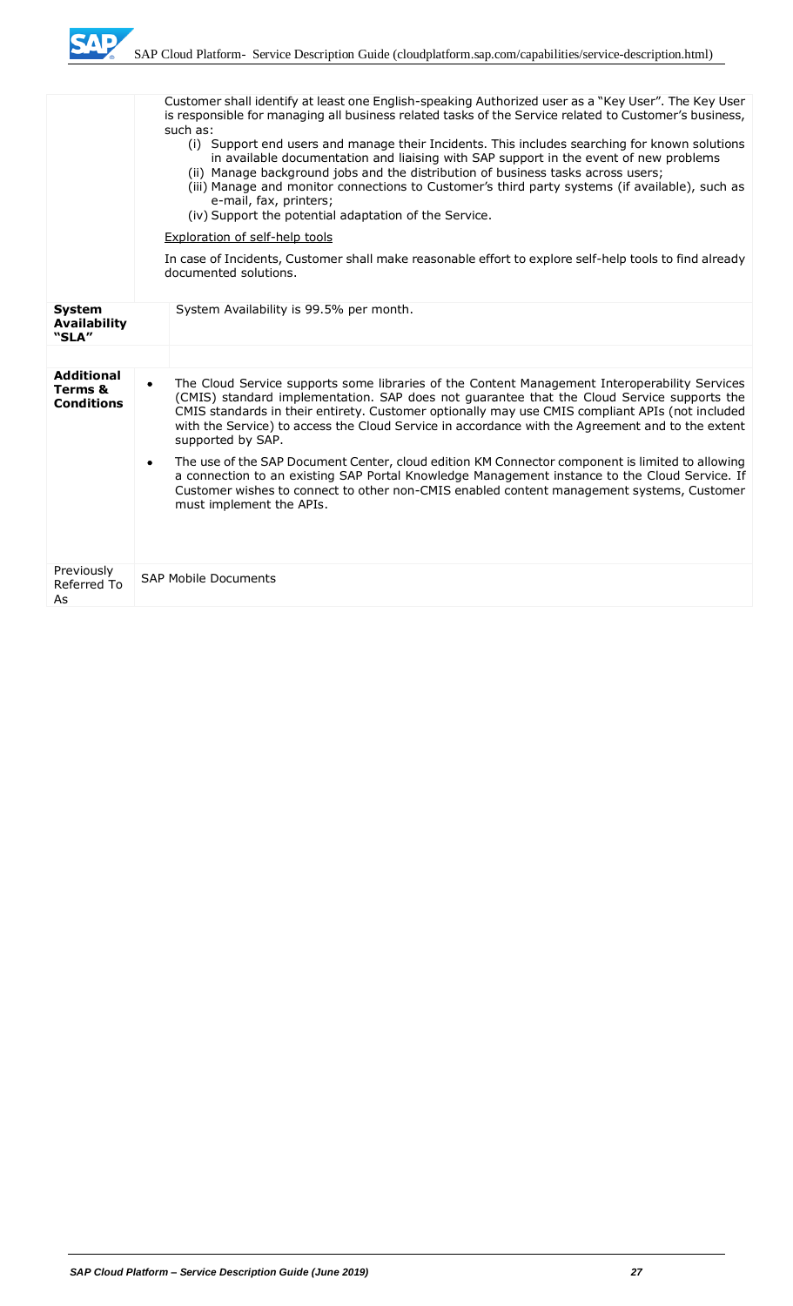

|                                                   | Customer shall identify at least one English-speaking Authorized user as a "Key User". The Key User<br>is responsible for managing all business related tasks of the Service related to Customer's business,<br>such as:<br>(i) Support end users and manage their Incidents. This includes searching for known solutions<br>in available documentation and liaising with SAP support in the event of new problems<br>(ii) Manage background jobs and the distribution of business tasks across users;<br>(iii) Manage and monitor connections to Customer's third party systems (if available), such as<br>e-mail, fax, printers;<br>(iv) Support the potential adaptation of the Service.<br><b>Exploration of self-help tools</b> |                                                                                                                                                                                                                                                                                                                                                                                                                         |  |  |
|---------------------------------------------------|--------------------------------------------------------------------------------------------------------------------------------------------------------------------------------------------------------------------------------------------------------------------------------------------------------------------------------------------------------------------------------------------------------------------------------------------------------------------------------------------------------------------------------------------------------------------------------------------------------------------------------------------------------------------------------------------------------------------------------------|-------------------------------------------------------------------------------------------------------------------------------------------------------------------------------------------------------------------------------------------------------------------------------------------------------------------------------------------------------------------------------------------------------------------------|--|--|
|                                                   | In case of Incidents, Customer shall make reasonable effort to explore self-help tools to find already<br>documented solutions.                                                                                                                                                                                                                                                                                                                                                                                                                                                                                                                                                                                                      |                                                                                                                                                                                                                                                                                                                                                                                                                         |  |  |
| <b>System</b><br><b>Availability</b><br>"SLA"     |                                                                                                                                                                                                                                                                                                                                                                                                                                                                                                                                                                                                                                                                                                                                      | System Availability is 99.5% per month.                                                                                                                                                                                                                                                                                                                                                                                 |  |  |
|                                                   |                                                                                                                                                                                                                                                                                                                                                                                                                                                                                                                                                                                                                                                                                                                                      |                                                                                                                                                                                                                                                                                                                                                                                                                         |  |  |
| <b>Additional</b><br>Terms &<br><b>Conditions</b> | $\bullet$                                                                                                                                                                                                                                                                                                                                                                                                                                                                                                                                                                                                                                                                                                                            | The Cloud Service supports some libraries of the Content Management Interoperability Services<br>(CMIS) standard implementation. SAP does not guarantee that the Cloud Service supports the<br>CMIS standards in their entirety. Customer optionally may use CMIS compliant APIs (not included<br>with the Service) to access the Cloud Service in accordance with the Agreement and to the extent<br>supported by SAP. |  |  |
|                                                   |                                                                                                                                                                                                                                                                                                                                                                                                                                                                                                                                                                                                                                                                                                                                      | The use of the SAP Document Center, cloud edition KM Connector component is limited to allowing<br>a connection to an existing SAP Portal Knowledge Management instance to the Cloud Service. If<br>Customer wishes to connect to other non-CMIS enabled content management systems, Customer<br>must implement the APIs.                                                                                               |  |  |
| Previously<br>Referred To<br>As                   |                                                                                                                                                                                                                                                                                                                                                                                                                                                                                                                                                                                                                                                                                                                                      | <b>SAP Mobile Documents</b>                                                                                                                                                                                                                                                                                                                                                                                             |  |  |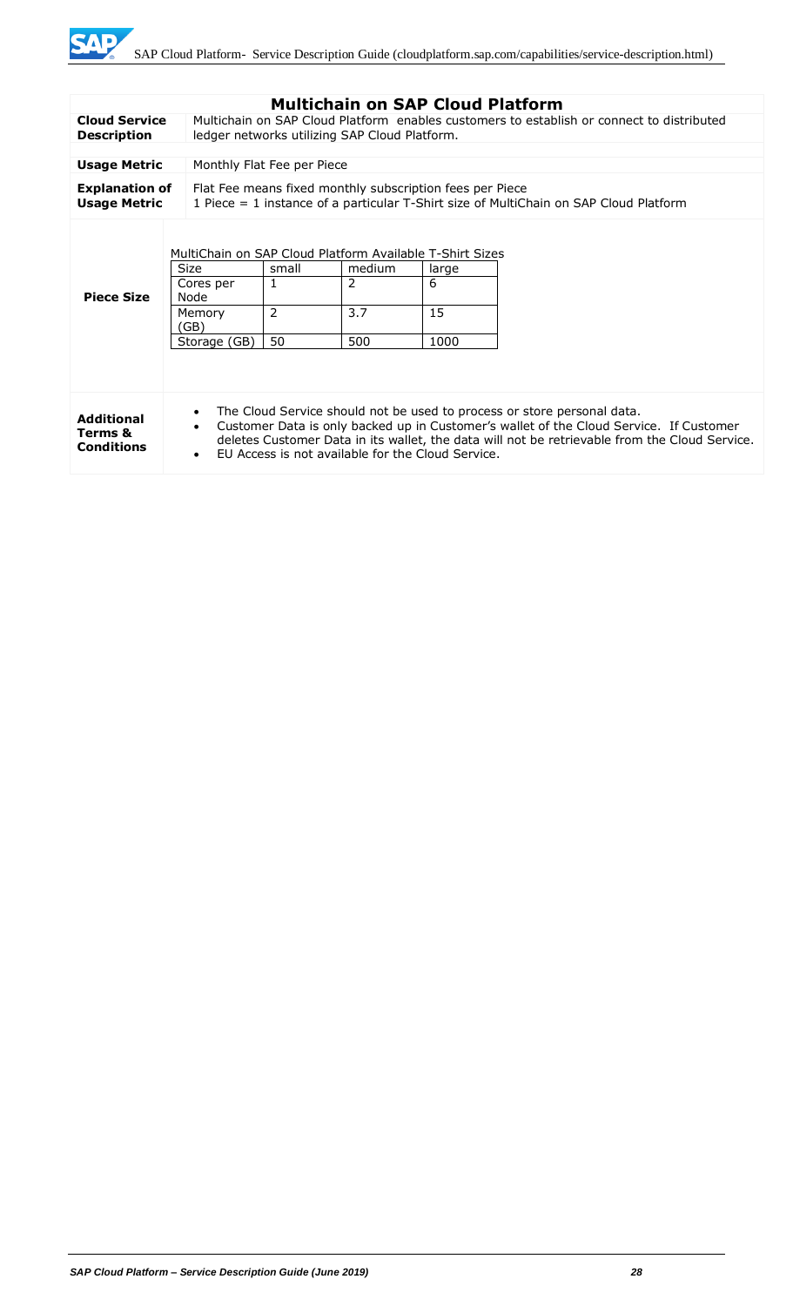

|                                                   |                                                                                                                                                                                                                                                                                                                                                                |                                                                                                                                                     | <b>Multichain on SAP Cloud Platform</b> |                          |  |
|---------------------------------------------------|----------------------------------------------------------------------------------------------------------------------------------------------------------------------------------------------------------------------------------------------------------------------------------------------------------------------------------------------------------------|-----------------------------------------------------------------------------------------------------------------------------------------------------|-----------------------------------------|--------------------------|--|
| <b>Cloud Service</b><br><b>Description</b>        |                                                                                                                                                                                                                                                                                                                                                                | Multichain on SAP Cloud Platform enables customers to establish or connect to distributed<br>ledger networks utilizing SAP Cloud Platform.          |                                         |                          |  |
|                                                   |                                                                                                                                                                                                                                                                                                                                                                |                                                                                                                                                     |                                         |                          |  |
| <b>Usage Metric</b>                               | Monthly Flat Fee per Piece                                                                                                                                                                                                                                                                                                                                     |                                                                                                                                                     |                                         |                          |  |
| <b>Explanation of</b><br><b>Usage Metric</b>      |                                                                                                                                                                                                                                                                                                                                                                | Flat Fee means fixed monthly subscription fees per Piece<br>1 Piece $=$ 1 instance of a particular T-Shirt size of MultiChain on SAP Cloud Platform |                                         |                          |  |
| <b>Piece Size</b>                                 | MultiChain on SAP Cloud Platform Available T-Shirt Sizes<br><b>Size</b><br>Cores per<br>Node<br>Memory<br>(GB)<br>Storage (GB)                                                                                                                                                                                                                                 | small<br>$\mathbf{1}$<br>$\overline{2}$<br>50                                                                                                       | medium<br>2<br>3.7<br>500               | large<br>6<br>15<br>1000 |  |
| <b>Additional</b><br>Terms &<br><b>Conditions</b> | The Cloud Service should not be used to process or store personal data.<br>$\bullet$<br>Customer Data is only backed up in Customer's wallet of the Cloud Service. If Customer<br>$\bullet$<br>deletes Customer Data in its wallet, the data will not be retrievable from the Cloud Service.<br>EU Access is not available for the Cloud Service.<br>$\bullet$ |                                                                                                                                                     |                                         |                          |  |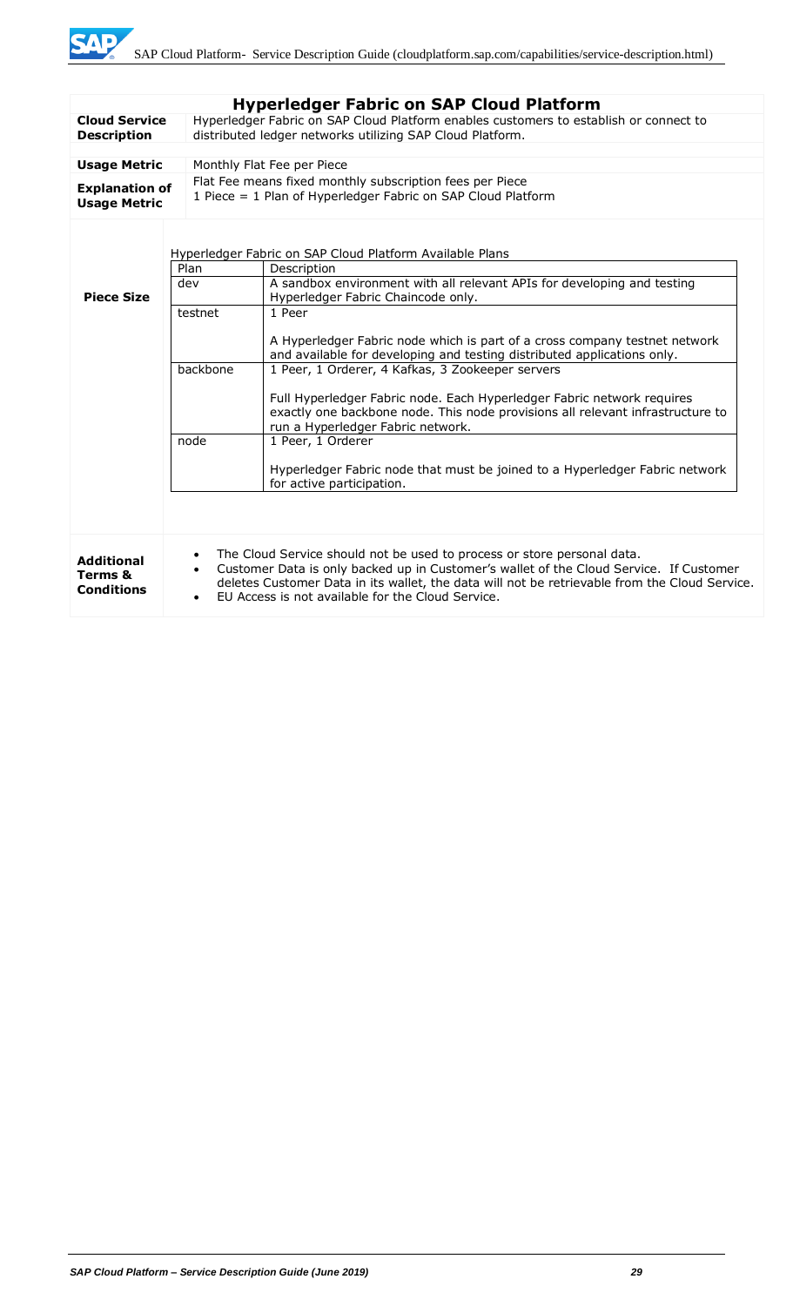|                                                   |                                                                                                                                                                                                                                                                                                                                                                | <b>Hyperledger Fabric on SAP Cloud Platform</b>                                                                                                                                               |  |  |
|---------------------------------------------------|----------------------------------------------------------------------------------------------------------------------------------------------------------------------------------------------------------------------------------------------------------------------------------------------------------------------------------------------------------------|-----------------------------------------------------------------------------------------------------------------------------------------------------------------------------------------------|--|--|
| <b>Cloud Service</b><br><b>Description</b>        |                                                                                                                                                                                                                                                                                                                                                                | Hyperledger Fabric on SAP Cloud Platform enables customers to establish or connect to<br>distributed ledger networks utilizing SAP Cloud Platform.                                            |  |  |
|                                                   |                                                                                                                                                                                                                                                                                                                                                                |                                                                                                                                                                                               |  |  |
| <b>Usage Metric</b>                               |                                                                                                                                                                                                                                                                                                                                                                | Monthly Flat Fee per Piece                                                                                                                                                                    |  |  |
| <b>Explanation of</b><br><b>Usage Metric</b>      |                                                                                                                                                                                                                                                                                                                                                                | Flat Fee means fixed monthly subscription fees per Piece<br>1 Piece = 1 Plan of Hyperledger Fabric on SAP Cloud Platform                                                                      |  |  |
|                                                   | Plan                                                                                                                                                                                                                                                                                                                                                           | Hyperledger Fabric on SAP Cloud Platform Available Plans<br>Description                                                                                                                       |  |  |
| <b>Piece Size</b>                                 | dev                                                                                                                                                                                                                                                                                                                                                            | A sandbox environment with all relevant APIs for developing and testing<br>Hyperledger Fabric Chaincode only.                                                                                 |  |  |
|                                                   | testnet                                                                                                                                                                                                                                                                                                                                                        | 1 Peer                                                                                                                                                                                        |  |  |
|                                                   |                                                                                                                                                                                                                                                                                                                                                                | A Hyperledger Fabric node which is part of a cross company testnet network<br>and available for developing and testing distributed applications only.                                         |  |  |
|                                                   | backbone                                                                                                                                                                                                                                                                                                                                                       | 1 Peer, 1 Orderer, 4 Kafkas, 3 Zookeeper servers                                                                                                                                              |  |  |
|                                                   |                                                                                                                                                                                                                                                                                                                                                                | Full Hyperledger Fabric node. Each Hyperledger Fabric network requires<br>exactly one backbone node. This node provisions all relevant infrastructure to<br>run a Hyperledger Fabric network. |  |  |
|                                                   | node                                                                                                                                                                                                                                                                                                                                                           | 1 Peer, 1 Orderer                                                                                                                                                                             |  |  |
|                                                   |                                                                                                                                                                                                                                                                                                                                                                | Hyperledger Fabric node that must be joined to a Hyperledger Fabric network<br>for active participation.                                                                                      |  |  |
|                                                   |                                                                                                                                                                                                                                                                                                                                                                |                                                                                                                                                                                               |  |  |
| <b>Additional</b><br>Terms &<br><b>Conditions</b> | The Cloud Service should not be used to process or store personal data.<br>$\bullet$<br>Customer Data is only backed up in Customer's wallet of the Cloud Service. If Customer<br>$\bullet$<br>deletes Customer Data in its wallet, the data will not be retrievable from the Cloud Service.<br>EU Access is not available for the Cloud Service.<br>$\bullet$ |                                                                                                                                                                                               |  |  |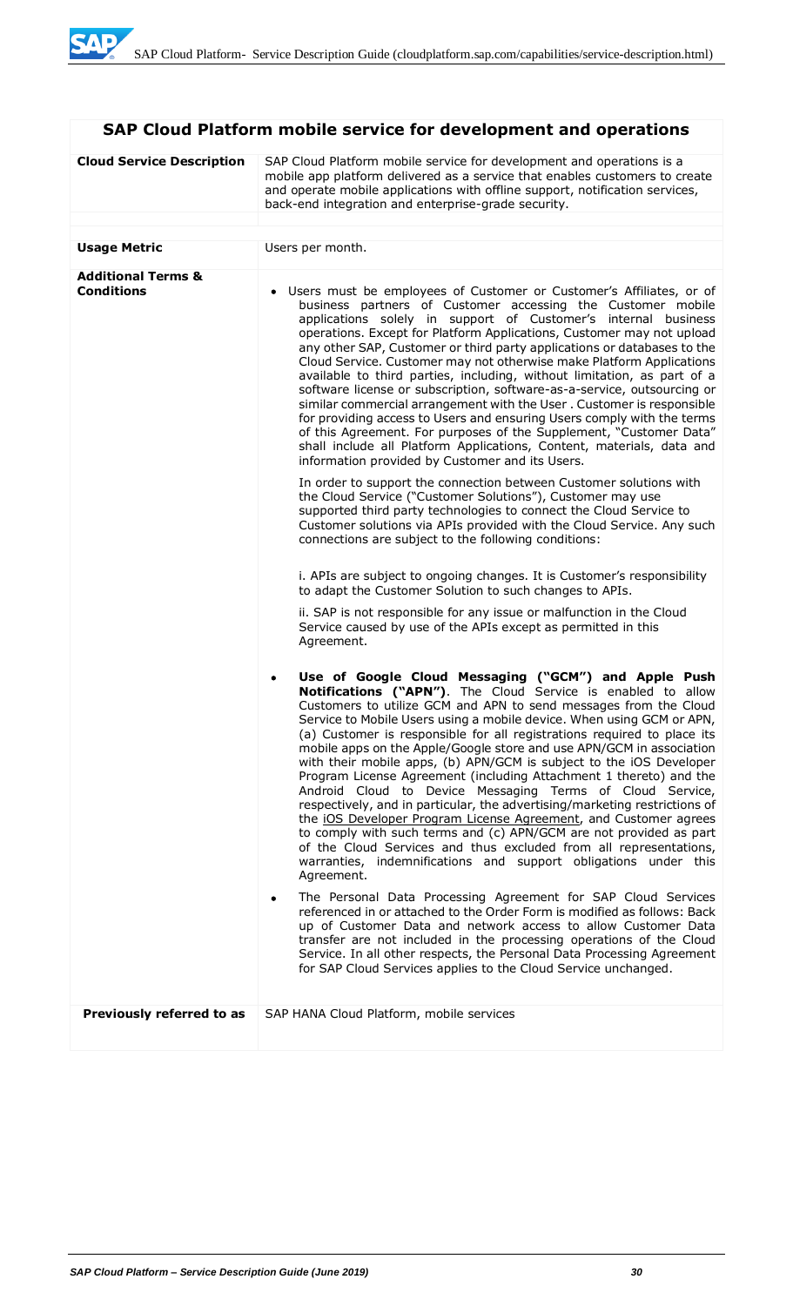# **SAP Cloud Platform mobile service for development and operations**

| <b>Cloud Service Description</b>                   | SAP Cloud Platform mobile service for development and operations is a<br>mobile app platform delivered as a service that enables customers to create<br>and operate mobile applications with offline support, notification services,<br>back-end integration and enterprise-grade security.                                                                                                                                                                                                                                                                                                                                                                                                                                                                                                                                                                                                                                                                                                                                                                                                                                                                                                                                                                                                                                                                                                                                                                                                                                                                                                                    |  |  |
|----------------------------------------------------|----------------------------------------------------------------------------------------------------------------------------------------------------------------------------------------------------------------------------------------------------------------------------------------------------------------------------------------------------------------------------------------------------------------------------------------------------------------------------------------------------------------------------------------------------------------------------------------------------------------------------------------------------------------------------------------------------------------------------------------------------------------------------------------------------------------------------------------------------------------------------------------------------------------------------------------------------------------------------------------------------------------------------------------------------------------------------------------------------------------------------------------------------------------------------------------------------------------------------------------------------------------------------------------------------------------------------------------------------------------------------------------------------------------------------------------------------------------------------------------------------------------------------------------------------------------------------------------------------------------|--|--|
|                                                    |                                                                                                                                                                                                                                                                                                                                                                                                                                                                                                                                                                                                                                                                                                                                                                                                                                                                                                                                                                                                                                                                                                                                                                                                                                                                                                                                                                                                                                                                                                                                                                                                                |  |  |
| <b>Usage Metric</b>                                | Users per month.                                                                                                                                                                                                                                                                                                                                                                                                                                                                                                                                                                                                                                                                                                                                                                                                                                                                                                                                                                                                                                                                                                                                                                                                                                                                                                                                                                                                                                                                                                                                                                                               |  |  |
| <b>Additional Terms &amp;</b><br><b>Conditions</b> | • Users must be employees of Customer or Customer's Affiliates, or of<br>business partners of Customer accessing the Customer mobile<br>applications solely in support of Customer's internal business<br>operations. Except for Platform Applications, Customer may not upload<br>any other SAP, Customer or third party applications or databases to the<br>Cloud Service. Customer may not otherwise make Platform Applications<br>available to third parties, including, without limitation, as part of a<br>software license or subscription, software-as-a-service, outsourcing or<br>similar commercial arrangement with the User. Customer is responsible<br>for providing access to Users and ensuring Users comply with the terms<br>of this Agreement. For purposes of the Supplement, "Customer Data"<br>shall include all Platform Applications, Content, materials, data and<br>information provided by Customer and its Users.<br>In order to support the connection between Customer solutions with<br>the Cloud Service ("Customer Solutions"), Customer may use<br>supported third party technologies to connect the Cloud Service to<br>Customer solutions via APIs provided with the Cloud Service. Any such<br>connections are subject to the following conditions:<br>i. APIs are subject to ongoing changes. It is Customer's responsibility<br>to adapt the Customer Solution to such changes to APIs.                                                                                                                                                                                 |  |  |
|                                                    | ii. SAP is not responsible for any issue or malfunction in the Cloud<br>Service caused by use of the APIs except as permitted in this<br>Agreement.<br>Use of Google Cloud Messaging ("GCM") and Apple Push<br>٠<br>Notifications ("APN"). The Cloud Service is enabled to allow<br>Customers to utilize GCM and APN to send messages from the Cloud<br>Service to Mobile Users using a mobile device. When using GCM or APN,<br>(a) Customer is responsible for all registrations required to place its<br>mobile apps on the Apple/Google store and use APN/GCM in association<br>with their mobile apps, (b) APN/GCM is subject to the iOS Developer<br>Program License Agreement (including Attachment 1 thereto) and the<br>Android Cloud to Device Messaging Terms of Cloud Service,<br>respectively, and in particular, the advertising/marketing restrictions of<br>the iOS Developer Program License Agreement, and Customer agrees<br>to comply with such terms and (c) APN/GCM are not provided as part<br>of the Cloud Services and thus excluded from all representations,<br>warranties, indemnifications and support obligations under this<br>Agreement.<br>The Personal Data Processing Agreement for SAP Cloud Services<br>٠<br>referenced in or attached to the Order Form is modified as follows: Back<br>up of Customer Data and network access to allow Customer Data<br>transfer are not included in the processing operations of the Cloud<br>Service. In all other respects, the Personal Data Processing Agreement<br>for SAP Cloud Services applies to the Cloud Service unchanged. |  |  |
| Previously referred to as                          | SAP HANA Cloud Platform, mobile services                                                                                                                                                                                                                                                                                                                                                                                                                                                                                                                                                                                                                                                                                                                                                                                                                                                                                                                                                                                                                                                                                                                                                                                                                                                                                                                                                                                                                                                                                                                                                                       |  |  |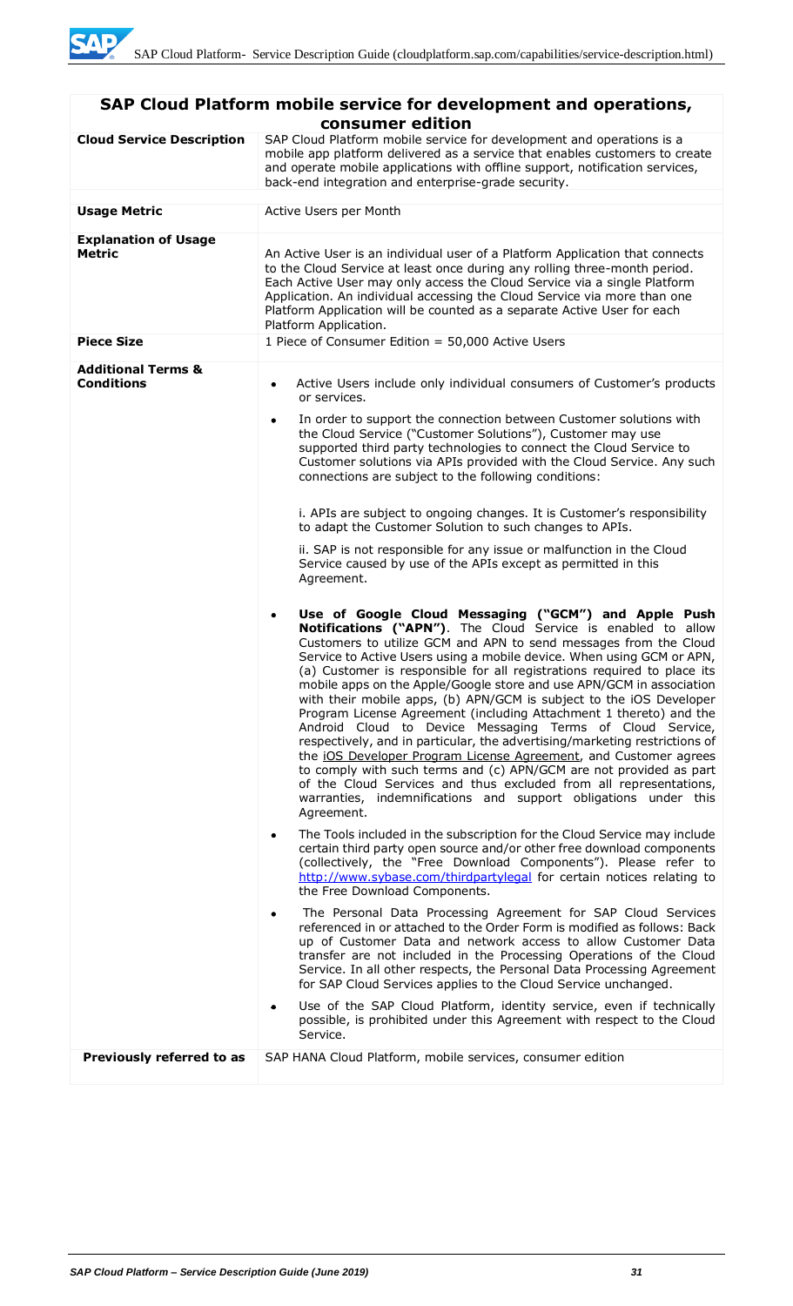| SAP Cloud Platform mobile service for development and operations,<br>consumer edition |                                                                                                                                                                                                                                                                                                                                                                                                                                                                                                                                                                                                                                                                                                                                                                                                                                                                                                                                                                                                                                                                                                                                                                                                                                                                                                                                                                                                                                                                                                                                                                                                                                                                                                                                                                                                                                                                                                                                                                                                                                                                                                                                                                                                                                                                                                                                                                                                                                                                                                                                                                   |  |  |  |
|---------------------------------------------------------------------------------------|-------------------------------------------------------------------------------------------------------------------------------------------------------------------------------------------------------------------------------------------------------------------------------------------------------------------------------------------------------------------------------------------------------------------------------------------------------------------------------------------------------------------------------------------------------------------------------------------------------------------------------------------------------------------------------------------------------------------------------------------------------------------------------------------------------------------------------------------------------------------------------------------------------------------------------------------------------------------------------------------------------------------------------------------------------------------------------------------------------------------------------------------------------------------------------------------------------------------------------------------------------------------------------------------------------------------------------------------------------------------------------------------------------------------------------------------------------------------------------------------------------------------------------------------------------------------------------------------------------------------------------------------------------------------------------------------------------------------------------------------------------------------------------------------------------------------------------------------------------------------------------------------------------------------------------------------------------------------------------------------------------------------------------------------------------------------------------------------------------------------------------------------------------------------------------------------------------------------------------------------------------------------------------------------------------------------------------------------------------------------------------------------------------------------------------------------------------------------------------------------------------------------------------------------------------------------|--|--|--|
| <b>Cloud Service Description</b>                                                      | SAP Cloud Platform mobile service for development and operations is a<br>mobile app platform delivered as a service that enables customers to create<br>and operate mobile applications with offline support, notification services,<br>back-end integration and enterprise-grade security.                                                                                                                                                                                                                                                                                                                                                                                                                                                                                                                                                                                                                                                                                                                                                                                                                                                                                                                                                                                                                                                                                                                                                                                                                                                                                                                                                                                                                                                                                                                                                                                                                                                                                                                                                                                                                                                                                                                                                                                                                                                                                                                                                                                                                                                                       |  |  |  |
| <b>Usage Metric</b>                                                                   | Active Users per Month                                                                                                                                                                                                                                                                                                                                                                                                                                                                                                                                                                                                                                                                                                                                                                                                                                                                                                                                                                                                                                                                                                                                                                                                                                                                                                                                                                                                                                                                                                                                                                                                                                                                                                                                                                                                                                                                                                                                                                                                                                                                                                                                                                                                                                                                                                                                                                                                                                                                                                                                            |  |  |  |
| <b>Explanation of Usage</b><br>Metric<br><b>Piece Size</b>                            | An Active User is an individual user of a Platform Application that connects<br>to the Cloud Service at least once during any rolling three-month period.<br>Each Active User may only access the Cloud Service via a single Platform<br>Application. An individual accessing the Cloud Service via more than one<br>Platform Application will be counted as a separate Active User for each<br>Platform Application.                                                                                                                                                                                                                                                                                                                                                                                                                                                                                                                                                                                                                                                                                                                                                                                                                                                                                                                                                                                                                                                                                                                                                                                                                                                                                                                                                                                                                                                                                                                                                                                                                                                                                                                                                                                                                                                                                                                                                                                                                                                                                                                                             |  |  |  |
|                                                                                       | 1 Piece of Consumer Edition = 50,000 Active Users                                                                                                                                                                                                                                                                                                                                                                                                                                                                                                                                                                                                                                                                                                                                                                                                                                                                                                                                                                                                                                                                                                                                                                                                                                                                                                                                                                                                                                                                                                                                                                                                                                                                                                                                                                                                                                                                                                                                                                                                                                                                                                                                                                                                                                                                                                                                                                                                                                                                                                                 |  |  |  |
| <b>Additional Terms &amp;</b><br><b>Conditions</b>                                    | Active Users include only individual consumers of Customer's products<br>٠<br>or services.<br>In order to support the connection between Customer solutions with<br>$\bullet$<br>the Cloud Service ("Customer Solutions"), Customer may use<br>supported third party technologies to connect the Cloud Service to<br>Customer solutions via APIs provided with the Cloud Service. Any such<br>connections are subject to the following conditions:<br>i. APIs are subject to ongoing changes. It is Customer's responsibility<br>to adapt the Customer Solution to such changes to APIs.<br>ii. SAP is not responsible for any issue or malfunction in the Cloud<br>Service caused by use of the APIs except as permitted in this<br>Agreement.<br>Use of Google Cloud Messaging ("GCM") and Apple Push<br>$\bullet$<br>Notifications ("APN"). The Cloud Service is enabled to allow<br>Customers to utilize GCM and APN to send messages from the Cloud<br>Service to Active Users using a mobile device. When using GCM or APN,<br>(a) Customer is responsible for all registrations required to place its<br>mobile apps on the Apple/Google store and use APN/GCM in association<br>with their mobile apps, (b) APN/GCM is subject to the iOS Developer<br>Program License Agreement (including Attachment 1 thereto) and the<br>Android Cloud to Device Messaging Terms of Cloud Service,<br>respectively, and in particular, the advertising/marketing restrictions of<br>the iOS Developer Program License Agreement, and Customer agrees<br>to comply with such terms and (c) APN/GCM are not provided as part<br>of the Cloud Services and thus excluded from all representations,<br>warranties, indemnifications and support obligations under this<br>Agreement.<br>The Tools included in the subscription for the Cloud Service may include<br>٠<br>certain third party open source and/or other free download components<br>(collectively, the "Free Download Components"). Please refer to<br>http://www.sybase.com/thirdpartylegal for certain notices relating to<br>the Free Download Components.<br>The Personal Data Processing Agreement for SAP Cloud Services<br>$\bullet$<br>referenced in or attached to the Order Form is modified as follows: Back<br>up of Customer Data and network access to allow Customer Data<br>transfer are not included in the Processing Operations of the Cloud<br>Service. In all other respects, the Personal Data Processing Agreement<br>for SAP Cloud Services applies to the Cloud Service unchanged. |  |  |  |
|                                                                                       | Use of the SAP Cloud Platform, identity service, even if technically<br>٠<br>possible, is prohibited under this Agreement with respect to the Cloud<br>Service.                                                                                                                                                                                                                                                                                                                                                                                                                                                                                                                                                                                                                                                                                                                                                                                                                                                                                                                                                                                                                                                                                                                                                                                                                                                                                                                                                                                                                                                                                                                                                                                                                                                                                                                                                                                                                                                                                                                                                                                                                                                                                                                                                                                                                                                                                                                                                                                                   |  |  |  |
| Previously referred to as                                                             | SAP HANA Cloud Platform, mobile services, consumer edition                                                                                                                                                                                                                                                                                                                                                                                                                                                                                                                                                                                                                                                                                                                                                                                                                                                                                                                                                                                                                                                                                                                                                                                                                                                                                                                                                                                                                                                                                                                                                                                                                                                                                                                                                                                                                                                                                                                                                                                                                                                                                                                                                                                                                                                                                                                                                                                                                                                                                                        |  |  |  |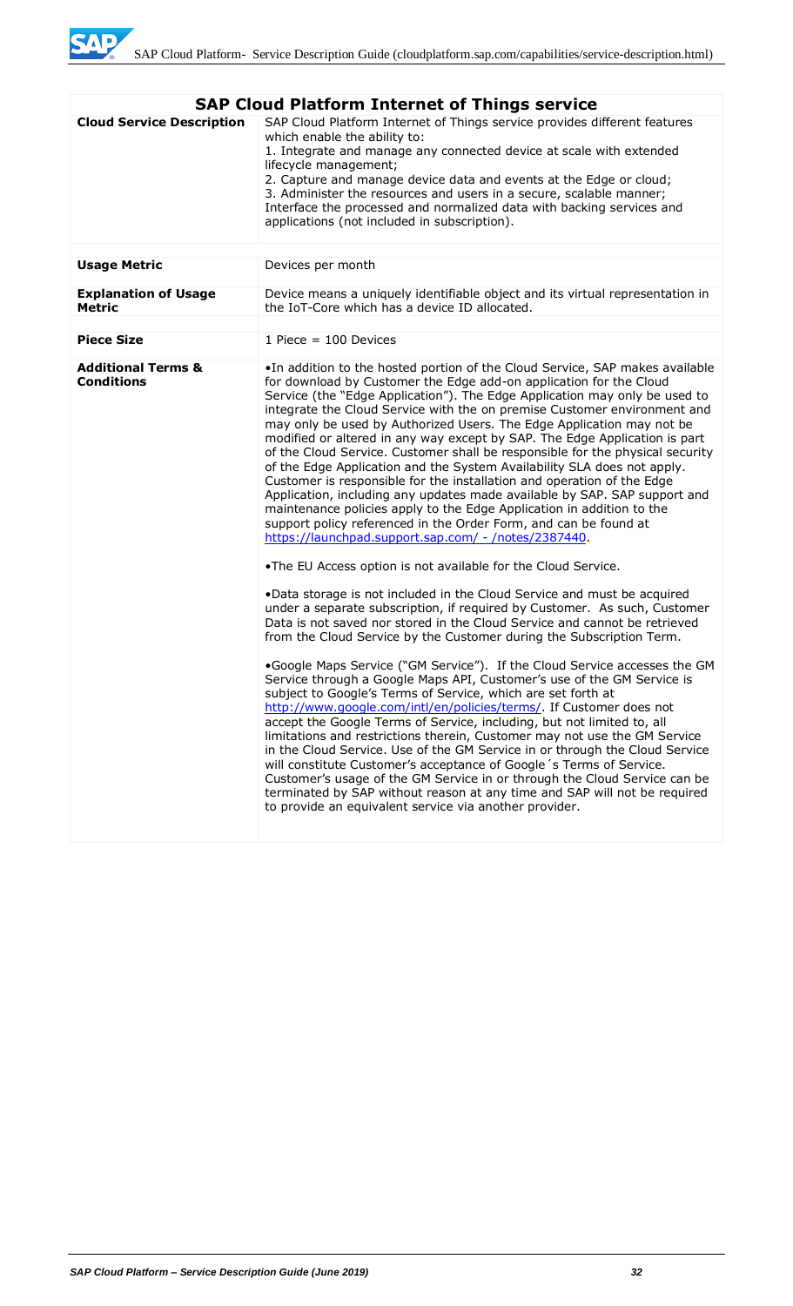

| <b>Cloud Service Description</b><br>SAP Cloud Platform Internet of Things service provides different features<br>which enable the ability to:<br>1. Integrate and manage any connected device at scale with extended<br>lifecycle management;<br>2. Capture and manage device data and events at the Edge or cloud;<br>3. Administer the resources and users in a secure, scalable manner;<br>Interface the processed and normalized data with backing services and<br>applications (not included in subscription).                                                                                                                                                                                                                                                                                                                                                                                                                                                                                                                                                                                                                                                                                        |
|------------------------------------------------------------------------------------------------------------------------------------------------------------------------------------------------------------------------------------------------------------------------------------------------------------------------------------------------------------------------------------------------------------------------------------------------------------------------------------------------------------------------------------------------------------------------------------------------------------------------------------------------------------------------------------------------------------------------------------------------------------------------------------------------------------------------------------------------------------------------------------------------------------------------------------------------------------------------------------------------------------------------------------------------------------------------------------------------------------------------------------------------------------------------------------------------------------|
|                                                                                                                                                                                                                                                                                                                                                                                                                                                                                                                                                                                                                                                                                                                                                                                                                                                                                                                                                                                                                                                                                                                                                                                                            |
| <b>Usage Metric</b><br>Devices per month                                                                                                                                                                                                                                                                                                                                                                                                                                                                                                                                                                                                                                                                                                                                                                                                                                                                                                                                                                                                                                                                                                                                                                   |
| <b>Explanation of Usage</b><br>Device means a uniquely identifiable object and its virtual representation in<br>the IoT-Core which has a device ID allocated.<br><b>Metric</b>                                                                                                                                                                                                                                                                                                                                                                                                                                                                                                                                                                                                                                                                                                                                                                                                                                                                                                                                                                                                                             |
|                                                                                                                                                                                                                                                                                                                                                                                                                                                                                                                                                                                                                                                                                                                                                                                                                                                                                                                                                                                                                                                                                                                                                                                                            |
| <b>Piece Size</b><br>1 Piece $= 100$ Devices                                                                                                                                                                                                                                                                                                                                                                                                                                                                                                                                                                                                                                                                                                                                                                                                                                                                                                                                                                                                                                                                                                                                                               |
| <b>Additional Terms &amp;</b><br>. In addition to the hosted portion of the Cloud Service, SAP makes available<br><b>Conditions</b><br>for download by Customer the Edge add-on application for the Cloud<br>Service (the "Edge Application"). The Edge Application may only be used to<br>integrate the Cloud Service with the on premise Customer environment and<br>may only be used by Authorized Users. The Edge Application may not be<br>modified or altered in any way except by SAP. The Edge Application is part<br>of the Cloud Service. Customer shall be responsible for the physical security<br>of the Edge Application and the System Availability SLA does not apply.<br>Customer is responsible for the installation and operation of the Edge<br>Application, including any updates made available by SAP. SAP support and<br>maintenance policies apply to the Edge Application in addition to the<br>support policy referenced in the Order Form, and can be found at<br>https://launchpad.support.sap.com/ - /notes/2387440.                                                                                                                                                         |
| .The EU Access option is not available for the Cloud Service.<br>•Data storage is not included in the Cloud Service and must be acquired<br>under a separate subscription, if required by Customer. As such, Customer<br>Data is not saved nor stored in the Cloud Service and cannot be retrieved<br>from the Cloud Service by the Customer during the Subscription Term.<br>.Google Maps Service ("GM Service"). If the Cloud Service accesses the GM<br>Service through a Google Maps API, Customer's use of the GM Service is<br>subject to Google's Terms of Service, which are set forth at<br>http://www.google.com/intl/en/policies/terms/. If Customer does not<br>accept the Google Terms of Service, including, but not limited to, all<br>limitations and restrictions therein, Customer may not use the GM Service<br>in the Cloud Service. Use of the GM Service in or through the Cloud Service<br>will constitute Customer's acceptance of Google 's Terms of Service.<br>Customer's usage of the GM Service in or through the Cloud Service can be<br>terminated by SAP without reason at any time and SAP will not be required<br>to provide an equivalent service via another provider. |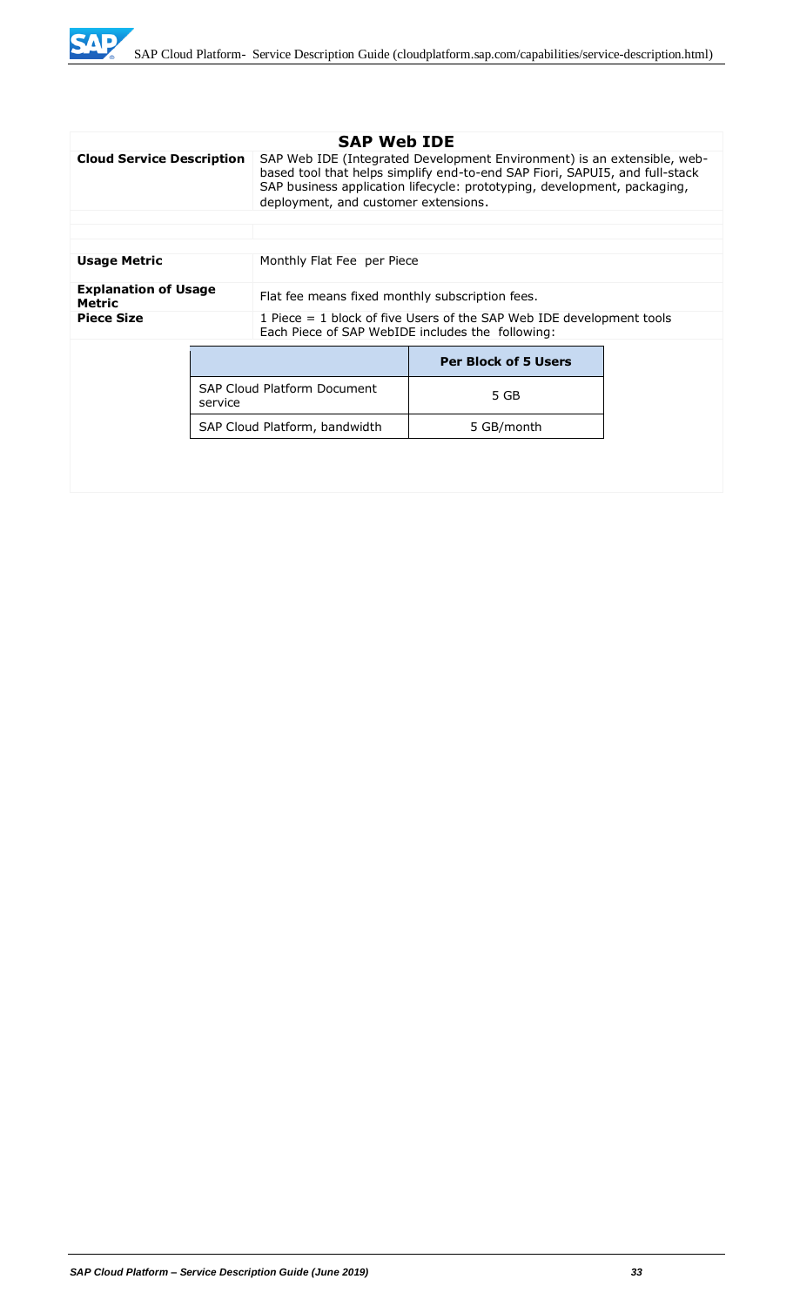

|                                              | <b>SAP Web IDE</b> |                                                                                                                                                                                                                                                                            |                             |  |
|----------------------------------------------|--------------------|----------------------------------------------------------------------------------------------------------------------------------------------------------------------------------------------------------------------------------------------------------------------------|-----------------------------|--|
| <b>Cloud Service Description</b>             |                    | SAP Web IDE (Integrated Development Environment) is an extensible, web-<br>based tool that helps simplify end-to-end SAP Fiori, SAPUI5, and full-stack<br>SAP business application lifecycle: prototyping, development, packaging,<br>deployment, and customer extensions. |                             |  |
|                                              |                    |                                                                                                                                                                                                                                                                            |                             |  |
|                                              |                    |                                                                                                                                                                                                                                                                            |                             |  |
| <b>Usage Metric</b>                          |                    | Monthly Flat Fee per Piece                                                                                                                                                                                                                                                 |                             |  |
| <b>Explanation of Usage</b><br><b>Metric</b> |                    | Flat fee means fixed monthly subscription fees.                                                                                                                                                                                                                            |                             |  |
| <b>Piece Size</b>                            |                    | 1 Piece = 1 block of five Users of the SAP Web IDE development tools<br>Each Piece of SAP WebIDE includes the following:                                                                                                                                                   |                             |  |
| service                                      |                    |                                                                                                                                                                                                                                                                            | <b>Per Block of 5 Users</b> |  |
|                                              |                    | <b>SAP Cloud Platform Document</b>                                                                                                                                                                                                                                         | 5 GB                        |  |
|                                              |                    | SAP Cloud Platform, bandwidth                                                                                                                                                                                                                                              | 5 GB/month                  |  |
|                                              |                    |                                                                                                                                                                                                                                                                            |                             |  |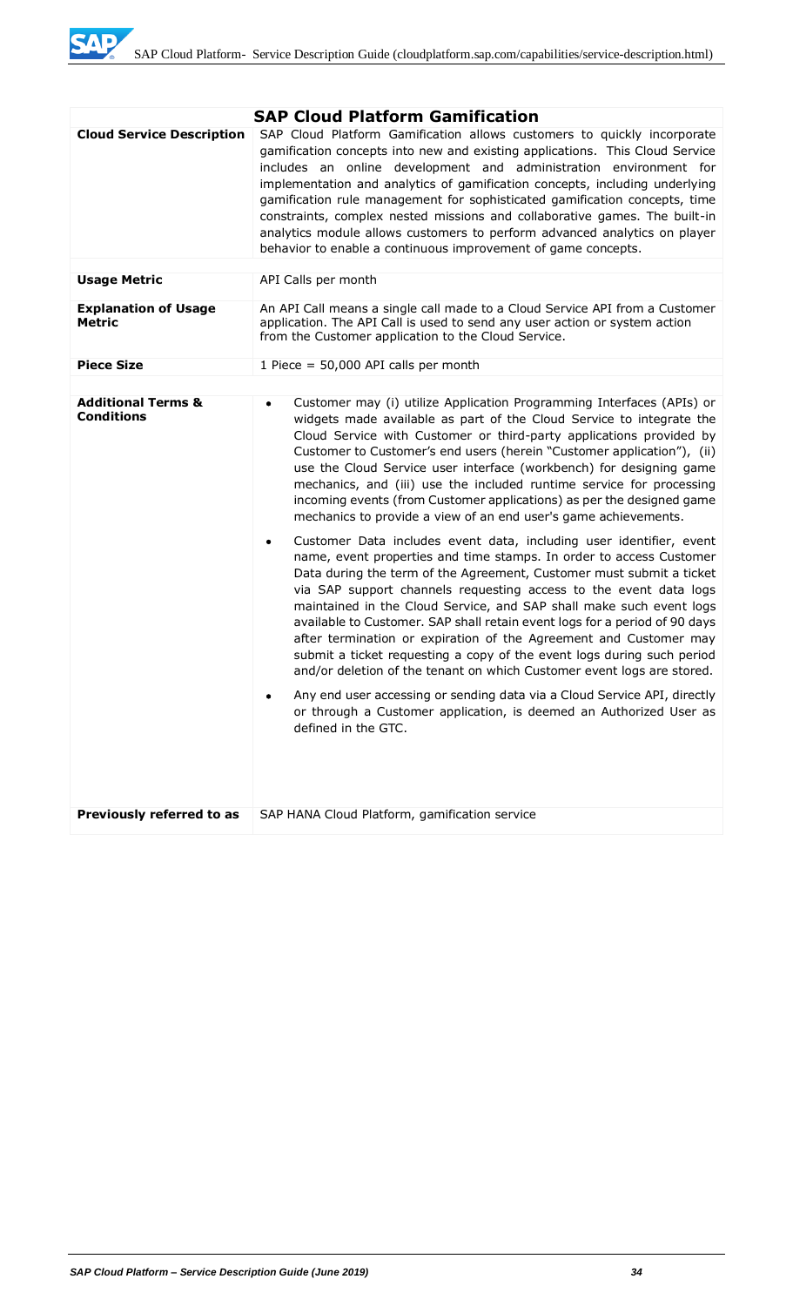

|                                                    | <b>SAP Cloud Platform Gamification</b>                                                                                                                                                                                                                                                                                                                                                                                                                                                                                                                                                                                                                                                                                                                                                                                                                                                                                                                                                                                                                                                                                                                                                                                                                                                                                                                                                                                                                                |  |  |
|----------------------------------------------------|-----------------------------------------------------------------------------------------------------------------------------------------------------------------------------------------------------------------------------------------------------------------------------------------------------------------------------------------------------------------------------------------------------------------------------------------------------------------------------------------------------------------------------------------------------------------------------------------------------------------------------------------------------------------------------------------------------------------------------------------------------------------------------------------------------------------------------------------------------------------------------------------------------------------------------------------------------------------------------------------------------------------------------------------------------------------------------------------------------------------------------------------------------------------------------------------------------------------------------------------------------------------------------------------------------------------------------------------------------------------------------------------------------------------------------------------------------------------------|--|--|
| <b>Cloud Service Description</b>                   | SAP Cloud Platform Gamification allows customers to quickly incorporate<br>gamification concepts into new and existing applications. This Cloud Service<br>includes an online development and administration environment for<br>implementation and analytics of gamification concepts, including underlying<br>gamification rule management for sophisticated gamification concepts, time<br>constraints, complex nested missions and collaborative games. The built-in<br>analytics module allows customers to perform advanced analytics on player<br>behavior to enable a continuous improvement of game concepts.                                                                                                                                                                                                                                                                                                                                                                                                                                                                                                                                                                                                                                                                                                                                                                                                                                                 |  |  |
| <b>Usage Metric</b>                                | API Calls per month                                                                                                                                                                                                                                                                                                                                                                                                                                                                                                                                                                                                                                                                                                                                                                                                                                                                                                                                                                                                                                                                                                                                                                                                                                                                                                                                                                                                                                                   |  |  |
| <b>Explanation of Usage</b><br><b>Metric</b>       | An API Call means a single call made to a Cloud Service API from a Customer<br>application. The API Call is used to send any user action or system action<br>from the Customer application to the Cloud Service.                                                                                                                                                                                                                                                                                                                                                                                                                                                                                                                                                                                                                                                                                                                                                                                                                                                                                                                                                                                                                                                                                                                                                                                                                                                      |  |  |
| <b>Piece Size</b>                                  | 1 Piece = $50,000$ API calls per month                                                                                                                                                                                                                                                                                                                                                                                                                                                                                                                                                                                                                                                                                                                                                                                                                                                                                                                                                                                                                                                                                                                                                                                                                                                                                                                                                                                                                                |  |  |
|                                                    |                                                                                                                                                                                                                                                                                                                                                                                                                                                                                                                                                                                                                                                                                                                                                                                                                                                                                                                                                                                                                                                                                                                                                                                                                                                                                                                                                                                                                                                                       |  |  |
| <b>Additional Terms &amp;</b><br><b>Conditions</b> | Customer may (i) utilize Application Programming Interfaces (APIs) or<br>$\bullet$<br>widgets made available as part of the Cloud Service to integrate the<br>Cloud Service with Customer or third-party applications provided by<br>Customer to Customer's end users (herein "Customer application"), (ii)<br>use the Cloud Service user interface (workbench) for designing game<br>mechanics, and (iii) use the included runtime service for processing<br>incoming events (from Customer applications) as per the designed game<br>mechanics to provide a view of an end user's game achievements.<br>Customer Data includes event data, including user identifier, event<br>$\bullet$<br>name, event properties and time stamps. In order to access Customer<br>Data during the term of the Agreement, Customer must submit a ticket<br>via SAP support channels requesting access to the event data logs<br>maintained in the Cloud Service, and SAP shall make such event logs<br>available to Customer. SAP shall retain event logs for a period of 90 days<br>after termination or expiration of the Agreement and Customer may<br>submit a ticket requesting a copy of the event logs during such period<br>and/or deletion of the tenant on which Customer event logs are stored.<br>Any end user accessing or sending data via a Cloud Service API, directly<br>or through a Customer application, is deemed an Authorized User as<br>defined in the GTC. |  |  |
| Previously referred to as                          | SAP HANA Cloud Platform, gamification service                                                                                                                                                                                                                                                                                                                                                                                                                                                                                                                                                                                                                                                                                                                                                                                                                                                                                                                                                                                                                                                                                                                                                                                                                                                                                                                                                                                                                         |  |  |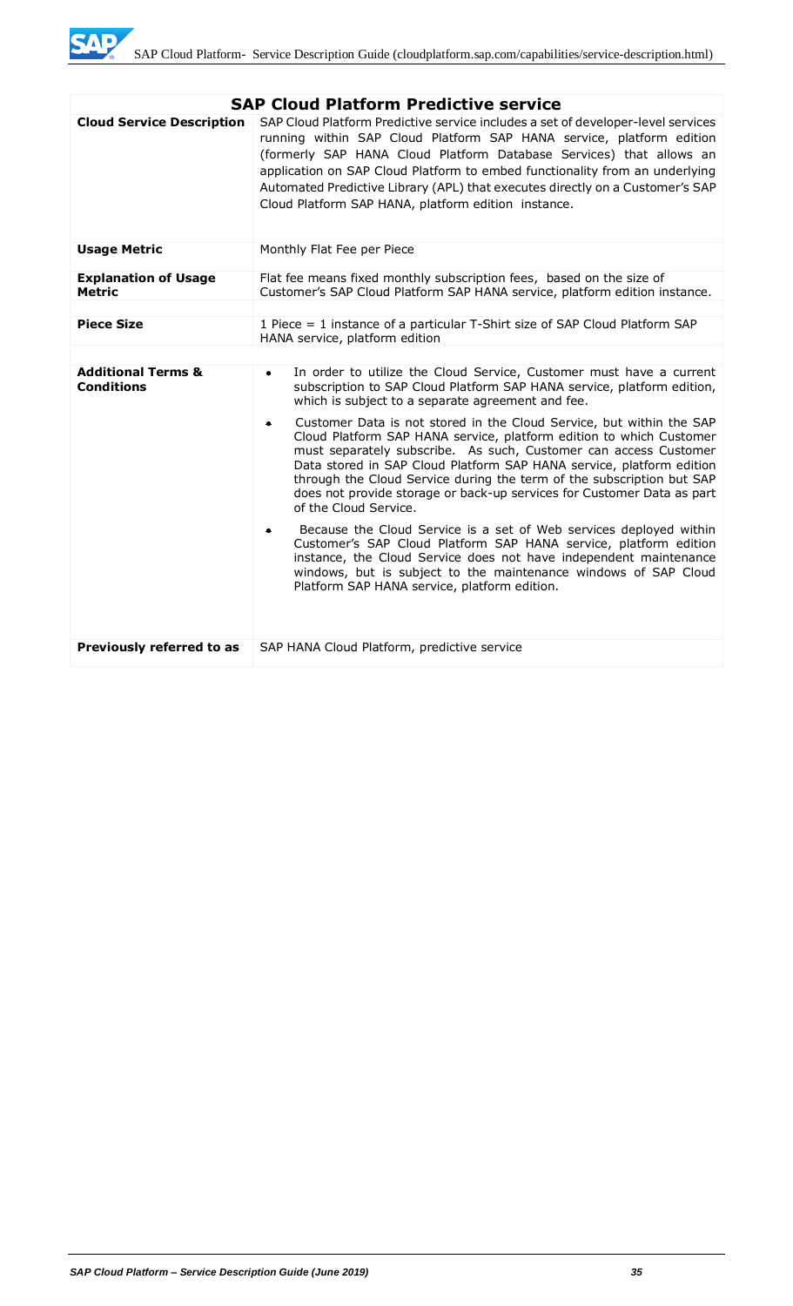

| <b>SAP Cloud Platform Predictive service</b>       |                                                                                                                                                                                                                                                                                                                                                                                                                                                                                  |  |  |
|----------------------------------------------------|----------------------------------------------------------------------------------------------------------------------------------------------------------------------------------------------------------------------------------------------------------------------------------------------------------------------------------------------------------------------------------------------------------------------------------------------------------------------------------|--|--|
| <b>Cloud Service Description</b>                   | SAP Cloud Platform Predictive service includes a set of developer-level services<br>running within SAP Cloud Platform SAP HANA service, platform edition<br>(formerly SAP HANA Cloud Platform Database Services) that allows an<br>application on SAP Cloud Platform to embed functionality from an underlying<br>Automated Predictive Library (APL) that executes directly on a Customer's SAP<br>Cloud Platform SAP HANA, platform edition instance.                           |  |  |
| <b>Usage Metric</b>                                | Monthly Flat Fee per Piece                                                                                                                                                                                                                                                                                                                                                                                                                                                       |  |  |
| <b>Explanation of Usage</b><br><b>Metric</b>       | Flat fee means fixed monthly subscription fees, based on the size of<br>Customer's SAP Cloud Platform SAP HANA service, platform edition instance.                                                                                                                                                                                                                                                                                                                               |  |  |
|                                                    |                                                                                                                                                                                                                                                                                                                                                                                                                                                                                  |  |  |
| <b>Piece Size</b>                                  | 1 Piece = 1 instance of a particular T-Shirt size of SAP Cloud Platform SAP<br>HANA service, platform edition                                                                                                                                                                                                                                                                                                                                                                    |  |  |
|                                                    |                                                                                                                                                                                                                                                                                                                                                                                                                                                                                  |  |  |
| <b>Additional Terms &amp;</b><br><b>Conditions</b> | In order to utilize the Cloud Service, Customer must have a current<br>$\bullet$<br>subscription to SAP Cloud Platform SAP HANA service, platform edition,<br>which is subject to a separate agreement and fee.                                                                                                                                                                                                                                                                  |  |  |
|                                                    | Customer Data is not stored in the Cloud Service, but within the SAP<br>$\bullet$<br>Cloud Platform SAP HANA service, platform edition to which Customer<br>must separately subscribe. As such, Customer can access Customer<br>Data stored in SAP Cloud Platform SAP HANA service, platform edition<br>through the Cloud Service during the term of the subscription but SAP<br>does not provide storage or back-up services for Customer Data as part<br>of the Cloud Service. |  |  |
|                                                    | Because the Cloud Service is a set of Web services deployed within<br>٠<br>Customer's SAP Cloud Platform SAP HANA service, platform edition<br>instance, the Cloud Service does not have independent maintenance<br>windows, but is subject to the maintenance windows of SAP Cloud<br>Platform SAP HANA service, platform edition.                                                                                                                                              |  |  |
| Previously referred to as                          | SAP HANA Cloud Platform, predictive service                                                                                                                                                                                                                                                                                                                                                                                                                                      |  |  |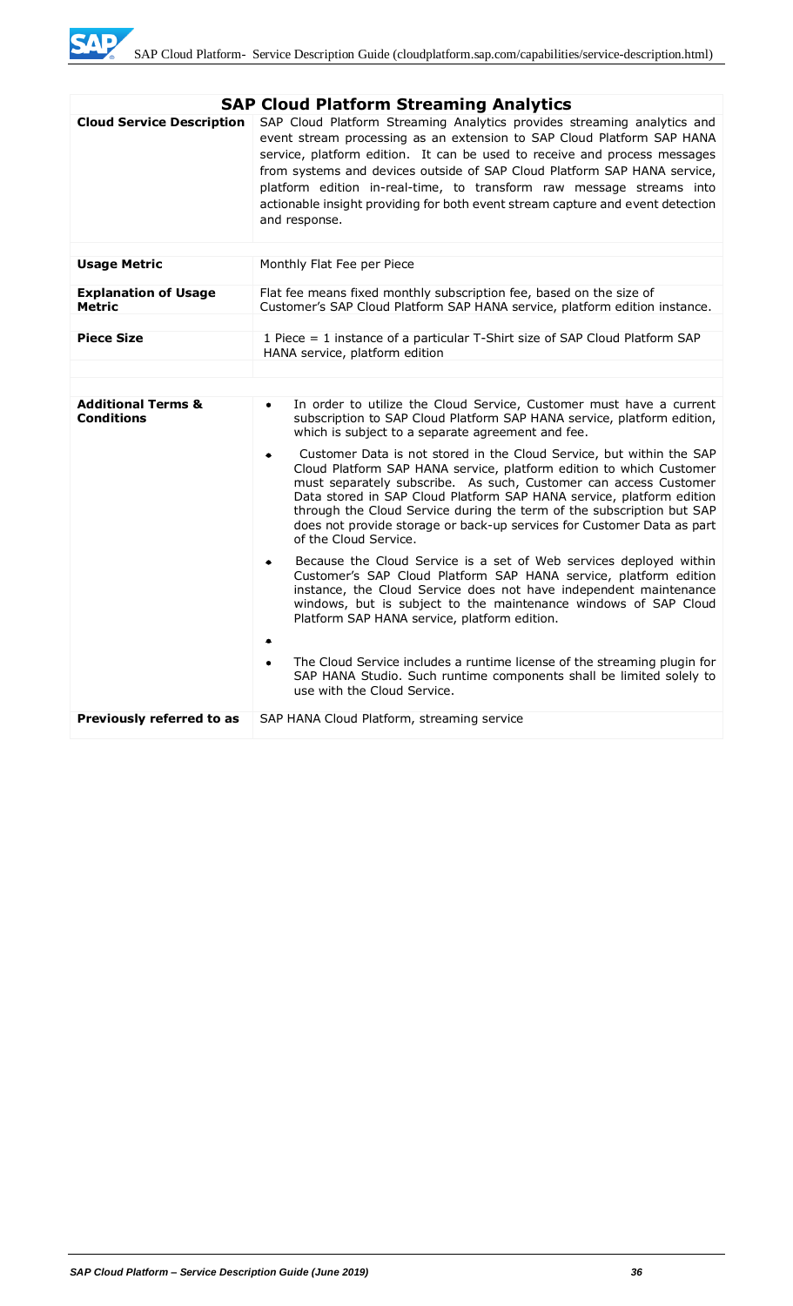

|                                                    | <b>SAP Cloud Platform Streaming Analytics</b>                                                                                                                                                                                                                                                                                                                                                                                                                                         |  |  |
|----------------------------------------------------|---------------------------------------------------------------------------------------------------------------------------------------------------------------------------------------------------------------------------------------------------------------------------------------------------------------------------------------------------------------------------------------------------------------------------------------------------------------------------------------|--|--|
| <b>Cloud Service Description</b>                   | SAP Cloud Platform Streaming Analytics provides streaming analytics and<br>event stream processing as an extension to SAP Cloud Platform SAP HANA<br>service, platform edition. It can be used to receive and process messages<br>from systems and devices outside of SAP Cloud Platform SAP HANA service,<br>platform edition in-real-time, to transform raw message streams into<br>actionable insight providing for both event stream capture and event detection<br>and response. |  |  |
|                                                    |                                                                                                                                                                                                                                                                                                                                                                                                                                                                                       |  |  |
| <b>Usage Metric</b>                                | Monthly Flat Fee per Piece                                                                                                                                                                                                                                                                                                                                                                                                                                                            |  |  |
| <b>Explanation of Usage</b><br><b>Metric</b>       | Flat fee means fixed monthly subscription fee, based on the size of<br>Customer's SAP Cloud Platform SAP HANA service, platform edition instance.                                                                                                                                                                                                                                                                                                                                     |  |  |
| <b>Piece Size</b>                                  |                                                                                                                                                                                                                                                                                                                                                                                                                                                                                       |  |  |
|                                                    | 1 Piece = 1 instance of a particular T-Shirt size of SAP Cloud Platform SAP<br>HANA service, platform edition                                                                                                                                                                                                                                                                                                                                                                         |  |  |
|                                                    |                                                                                                                                                                                                                                                                                                                                                                                                                                                                                       |  |  |
|                                                    |                                                                                                                                                                                                                                                                                                                                                                                                                                                                                       |  |  |
| <b>Additional Terms &amp;</b><br><b>Conditions</b> | In order to utilize the Cloud Service, Customer must have a current<br>$\bullet$<br>subscription to SAP Cloud Platform SAP HANA service, platform edition,<br>which is subject to a separate agreement and fee.                                                                                                                                                                                                                                                                       |  |  |
|                                                    | Customer Data is not stored in the Cloud Service, but within the SAP<br>٠<br>Cloud Platform SAP HANA service, platform edition to which Customer<br>must separately subscribe. As such, Customer can access Customer<br>Data stored in SAP Cloud Platform SAP HANA service, platform edition<br>through the Cloud Service during the term of the subscription but SAP<br>does not provide storage or back-up services for Customer Data as part<br>of the Cloud Service.              |  |  |
|                                                    | Because the Cloud Service is a set of Web services deployed within<br>$\bullet$<br>Customer's SAP Cloud Platform SAP HANA service, platform edition<br>instance, the Cloud Service does not have independent maintenance<br>windows, but is subject to the maintenance windows of SAP Cloud<br>Platform SAP HANA service, platform edition.                                                                                                                                           |  |  |
|                                                    | The Cloud Service includes a runtime license of the streaming plugin for<br>SAP HANA Studio. Such runtime components shall be limited solely to<br>use with the Cloud Service.                                                                                                                                                                                                                                                                                                        |  |  |
| Previously referred to as                          | SAP HANA Cloud Platform, streaming service                                                                                                                                                                                                                                                                                                                                                                                                                                            |  |  |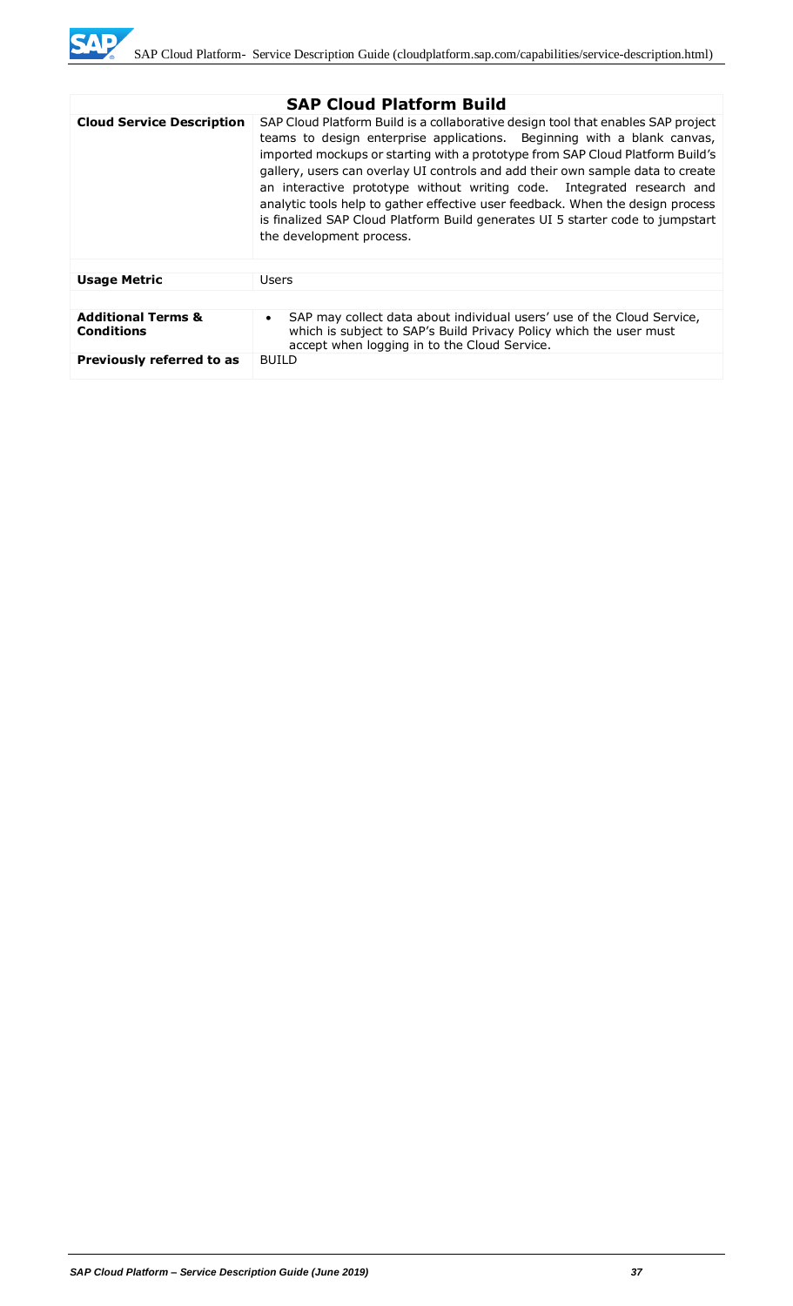

| <b>SAP Cloud Platform Build</b>                    |                                                                                                                                                                                                                                                                                                                                                                                                                                                                                                                                                                                                          |  |  |  |
|----------------------------------------------------|----------------------------------------------------------------------------------------------------------------------------------------------------------------------------------------------------------------------------------------------------------------------------------------------------------------------------------------------------------------------------------------------------------------------------------------------------------------------------------------------------------------------------------------------------------------------------------------------------------|--|--|--|
| <b>Cloud Service Description</b>                   | SAP Cloud Platform Build is a collaborative design tool that enables SAP project<br>teams to design enterprise applications. Beginning with a blank canvas,<br>imported mockups or starting with a prototype from SAP Cloud Platform Build's<br>gallery, users can overlay UI controls and add their own sample data to create<br>an interactive prototype without writing code. Integrated research and<br>analytic tools help to gather effective user feedback. When the design process<br>is finalized SAP Cloud Platform Build generates UI 5 starter code to jumpstart<br>the development process. |  |  |  |
|                                                    |                                                                                                                                                                                                                                                                                                                                                                                                                                                                                                                                                                                                          |  |  |  |
| <b>Usage Metric</b><br>Users                       |                                                                                                                                                                                                                                                                                                                                                                                                                                                                                                                                                                                                          |  |  |  |
|                                                    |                                                                                                                                                                                                                                                                                                                                                                                                                                                                                                                                                                                                          |  |  |  |
| <b>Additional Terms &amp;</b><br><b>Conditions</b> | SAP may collect data about individual users' use of the Cloud Service,<br>$\bullet$<br>which is subject to SAP's Build Privacy Policy which the user must<br>accept when logging in to the Cloud Service.                                                                                                                                                                                                                                                                                                                                                                                                |  |  |  |
| Previously referred to as<br><b>BUILD</b>          |                                                                                                                                                                                                                                                                                                                                                                                                                                                                                                                                                                                                          |  |  |  |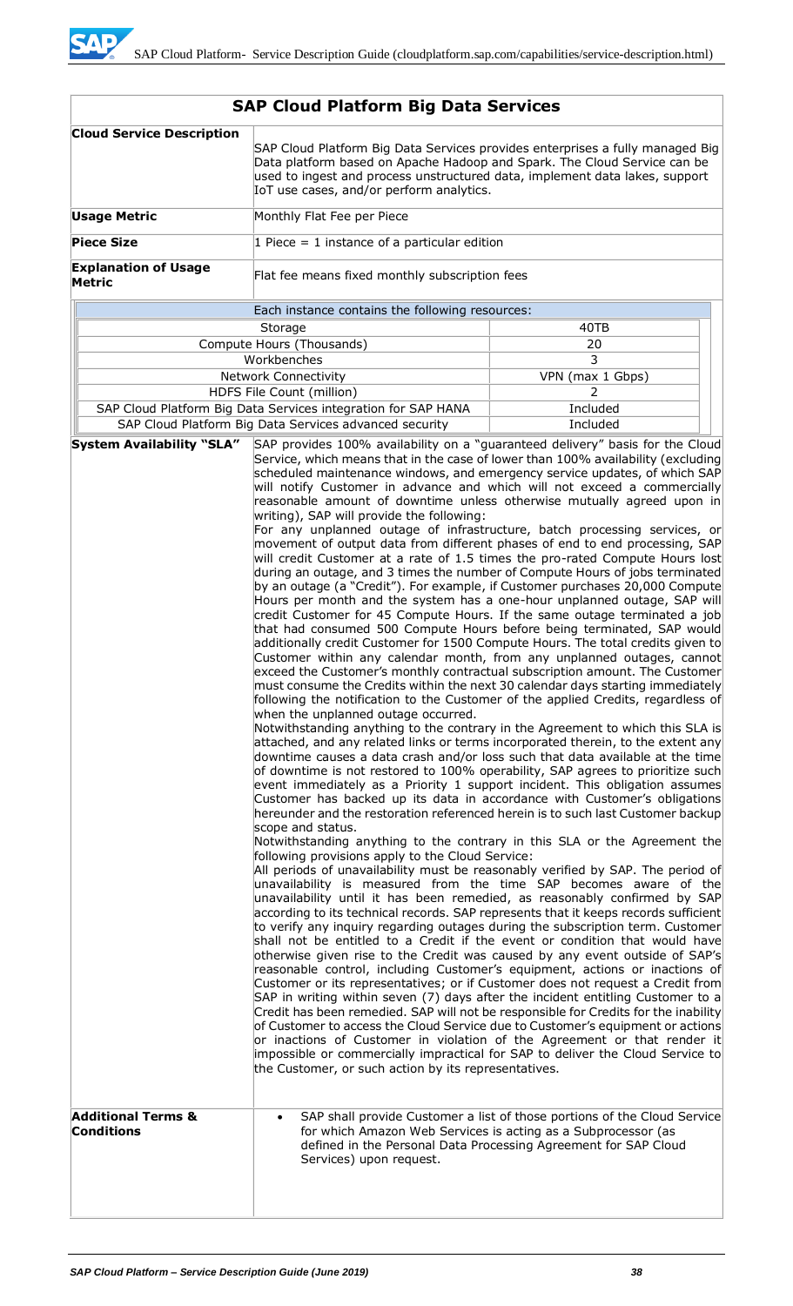| <b>Cloud Service Description</b>             | SAP Cloud Platform Big Data Services provides enterprises a fully managed Big<br>Data platform based on Apache Hadoop and Spark. The Cloud Service can be<br>used to ingest and process unstructured data, implement data lakes, support<br>IoT use cases, and/or perform analytics.                                                                                                                                                                                                                                                                                                                                                                                                                                                                                                                                                                                                                                                                                                                                                                                                                                                                                                                                                                                                                                                                                                                                                                                                                                                                                                                                                                                                                                                                                                                                                                                                                                                                                                                                                                                                                                                                                                                                                                                                                                                                                                                                                                                                                                                                                                                                                                                                                                                                                                                                                                                                                                                                                                                                                                                                                                                                                                                                                                                                                                                                                                                                                                                                                                                                                                                                               |                                                                                                                                             |  |  |  |
|----------------------------------------------|------------------------------------------------------------------------------------------------------------------------------------------------------------------------------------------------------------------------------------------------------------------------------------------------------------------------------------------------------------------------------------------------------------------------------------------------------------------------------------------------------------------------------------------------------------------------------------------------------------------------------------------------------------------------------------------------------------------------------------------------------------------------------------------------------------------------------------------------------------------------------------------------------------------------------------------------------------------------------------------------------------------------------------------------------------------------------------------------------------------------------------------------------------------------------------------------------------------------------------------------------------------------------------------------------------------------------------------------------------------------------------------------------------------------------------------------------------------------------------------------------------------------------------------------------------------------------------------------------------------------------------------------------------------------------------------------------------------------------------------------------------------------------------------------------------------------------------------------------------------------------------------------------------------------------------------------------------------------------------------------------------------------------------------------------------------------------------------------------------------------------------------------------------------------------------------------------------------------------------------------------------------------------------------------------------------------------------------------------------------------------------------------------------------------------------------------------------------------------------------------------------------------------------------------------------------------------------------------------------------------------------------------------------------------------------------------------------------------------------------------------------------------------------------------------------------------------------------------------------------------------------------------------------------------------------------------------------------------------------------------------------------------------------------------------------------------------------------------------------------------------------------------------------------------------------------------------------------------------------------------------------------------------------------------------------------------------------------------------------------------------------------------------------------------------------------------------------------------------------------------------------------------------------------------------------------------------------------------------------------------------------|---------------------------------------------------------------------------------------------------------------------------------------------|--|--|--|
| <b>Usage Metric</b>                          | Monthly Flat Fee per Piece                                                                                                                                                                                                                                                                                                                                                                                                                                                                                                                                                                                                                                                                                                                                                                                                                                                                                                                                                                                                                                                                                                                                                                                                                                                                                                                                                                                                                                                                                                                                                                                                                                                                                                                                                                                                                                                                                                                                                                                                                                                                                                                                                                                                                                                                                                                                                                                                                                                                                                                                                                                                                                                                                                                                                                                                                                                                                                                                                                                                                                                                                                                                                                                                                                                                                                                                                                                                                                                                                                                                                                                                         |                                                                                                                                             |  |  |  |
| <b>Piece Size</b>                            | 1 Piece = 1 instance of a particular edition                                                                                                                                                                                                                                                                                                                                                                                                                                                                                                                                                                                                                                                                                                                                                                                                                                                                                                                                                                                                                                                                                                                                                                                                                                                                                                                                                                                                                                                                                                                                                                                                                                                                                                                                                                                                                                                                                                                                                                                                                                                                                                                                                                                                                                                                                                                                                                                                                                                                                                                                                                                                                                                                                                                                                                                                                                                                                                                                                                                                                                                                                                                                                                                                                                                                                                                                                                                                                                                                                                                                                                                       |                                                                                                                                             |  |  |  |
| <b>Explanation of Usage</b><br><b>Metric</b> | Flat fee means fixed monthly subscription fees                                                                                                                                                                                                                                                                                                                                                                                                                                                                                                                                                                                                                                                                                                                                                                                                                                                                                                                                                                                                                                                                                                                                                                                                                                                                                                                                                                                                                                                                                                                                                                                                                                                                                                                                                                                                                                                                                                                                                                                                                                                                                                                                                                                                                                                                                                                                                                                                                                                                                                                                                                                                                                                                                                                                                                                                                                                                                                                                                                                                                                                                                                                                                                                                                                                                                                                                                                                                                                                                                                                                                                                     |                                                                                                                                             |  |  |  |
|                                              | Each instance contains the following resources:                                                                                                                                                                                                                                                                                                                                                                                                                                                                                                                                                                                                                                                                                                                                                                                                                                                                                                                                                                                                                                                                                                                                                                                                                                                                                                                                                                                                                                                                                                                                                                                                                                                                                                                                                                                                                                                                                                                                                                                                                                                                                                                                                                                                                                                                                                                                                                                                                                                                                                                                                                                                                                                                                                                                                                                                                                                                                                                                                                                                                                                                                                                                                                                                                                                                                                                                                                                                                                                                                                                                                                                    |                                                                                                                                             |  |  |  |
|                                              | 40TB<br>Storage                                                                                                                                                                                                                                                                                                                                                                                                                                                                                                                                                                                                                                                                                                                                                                                                                                                                                                                                                                                                                                                                                                                                                                                                                                                                                                                                                                                                                                                                                                                                                                                                                                                                                                                                                                                                                                                                                                                                                                                                                                                                                                                                                                                                                                                                                                                                                                                                                                                                                                                                                                                                                                                                                                                                                                                                                                                                                                                                                                                                                                                                                                                                                                                                                                                                                                                                                                                                                                                                                                                                                                                                                    |                                                                                                                                             |  |  |  |
|                                              | Compute Hours (Thousands)                                                                                                                                                                                                                                                                                                                                                                                                                                                                                                                                                                                                                                                                                                                                                                                                                                                                                                                                                                                                                                                                                                                                                                                                                                                                                                                                                                                                                                                                                                                                                                                                                                                                                                                                                                                                                                                                                                                                                                                                                                                                                                                                                                                                                                                                                                                                                                                                                                                                                                                                                                                                                                                                                                                                                                                                                                                                                                                                                                                                                                                                                                                                                                                                                                                                                                                                                                                                                                                                                                                                                                                                          | 20                                                                                                                                          |  |  |  |
|                                              | Workbenches                                                                                                                                                                                                                                                                                                                                                                                                                                                                                                                                                                                                                                                                                                                                                                                                                                                                                                                                                                                                                                                                                                                                                                                                                                                                                                                                                                                                                                                                                                                                                                                                                                                                                                                                                                                                                                                                                                                                                                                                                                                                                                                                                                                                                                                                                                                                                                                                                                                                                                                                                                                                                                                                                                                                                                                                                                                                                                                                                                                                                                                                                                                                                                                                                                                                                                                                                                                                                                                                                                                                                                                                                        | 3                                                                                                                                           |  |  |  |
|                                              | <b>Network Connectivity</b><br>VPN (max 1 Gbps)                                                                                                                                                                                                                                                                                                                                                                                                                                                                                                                                                                                                                                                                                                                                                                                                                                                                                                                                                                                                                                                                                                                                                                                                                                                                                                                                                                                                                                                                                                                                                                                                                                                                                                                                                                                                                                                                                                                                                                                                                                                                                                                                                                                                                                                                                                                                                                                                                                                                                                                                                                                                                                                                                                                                                                                                                                                                                                                                                                                                                                                                                                                                                                                                                                                                                                                                                                                                                                                                                                                                                                                    |                                                                                                                                             |  |  |  |
|                                              | HDFS File Count (million)<br>2                                                                                                                                                                                                                                                                                                                                                                                                                                                                                                                                                                                                                                                                                                                                                                                                                                                                                                                                                                                                                                                                                                                                                                                                                                                                                                                                                                                                                                                                                                                                                                                                                                                                                                                                                                                                                                                                                                                                                                                                                                                                                                                                                                                                                                                                                                                                                                                                                                                                                                                                                                                                                                                                                                                                                                                                                                                                                                                                                                                                                                                                                                                                                                                                                                                                                                                                                                                                                                                                                                                                                                                                     |                                                                                                                                             |  |  |  |
|                                              |                                                                                                                                                                                                                                                                                                                                                                                                                                                                                                                                                                                                                                                                                                                                                                                                                                                                                                                                                                                                                                                                                                                                                                                                                                                                                                                                                                                                                                                                                                                                                                                                                                                                                                                                                                                                                                                                                                                                                                                                                                                                                                                                                                                                                                                                                                                                                                                                                                                                                                                                                                                                                                                                                                                                                                                                                                                                                                                                                                                                                                                                                                                                                                                                                                                                                                                                                                                                                                                                                                                                                                                                                                    |                                                                                                                                             |  |  |  |
| <b>System Availability "SLA"</b>             |                                                                                                                                                                                                                                                                                                                                                                                                                                                                                                                                                                                                                                                                                                                                                                                                                                                                                                                                                                                                                                                                                                                                                                                                                                                                                                                                                                                                                                                                                                                                                                                                                                                                                                                                                                                                                                                                                                                                                                                                                                                                                                                                                                                                                                                                                                                                                                                                                                                                                                                                                                                                                                                                                                                                                                                                                                                                                                                                                                                                                                                                                                                                                                                                                                                                                                                                                                                                                                                                                                                                                                                                                                    |                                                                                                                                             |  |  |  |
| <b>Additional Terms &amp;</b>                | Included<br>SAP Cloud Platform Big Data Services integration for SAP HANA<br>SAP Cloud Platform Big Data Services advanced security<br>Included<br>SAP provides 100% availability on a "guaranteed delivery" basis for the Cloud<br>Service, which means that in the case of lower than 100% availability (excluding<br>scheduled maintenance windows, and emergency service updates, of which SAP<br>will notify Customer in advance and which will not exceed a commercially<br>reasonable amount of downtime unless otherwise mutually agreed upon in<br>writing), SAP will provide the following:<br>For any unplanned outage of infrastructure, batch processing services, or<br>movement of output data from different phases of end to end processing, SAP<br>will credit Customer at a rate of 1.5 times the pro-rated Compute Hours lost<br>during an outage, and 3 times the number of Compute Hours of jobs terminated<br>by an outage (a "Credit"). For example, if Customer purchases 20,000 Compute<br>Hours per month and the system has a one-hour unplanned outage, SAP will<br>credit Customer for 45 Compute Hours. If the same outage terminated a job<br>that had consumed 500 Compute Hours before being terminated, SAP would<br>additionally credit Customer for 1500 Compute Hours. The total credits given to<br>Customer within any calendar month, from any unplanned outages, cannot<br>exceed the Customer's monthly contractual subscription amount. The Customer<br>must consume the Credits within the next 30 calendar days starting immediately<br>following the notification to the Customer of the applied Credits, regardless of<br>when the unplanned outage occurred.<br>Notwithstanding anything to the contrary in the Agreement to which this SLA is<br>attached, and any related links or terms incorporated therein, to the extent any<br>downtime causes a data crash and/or loss such that data available at the time<br>of downtime is not restored to 100% operability, SAP agrees to prioritize such<br>event immediately as a Priority 1 support incident. This obligation assumes<br>Customer has backed up its data in accordance with Customer's obligations<br>hereunder and the restoration referenced herein is to such last Customer backup<br>scope and status.<br>Notwithstanding anything to the contrary in this SLA or the Agreement the<br>following provisions apply to the Cloud Service:<br>All periods of unavailability must be reasonably verified by SAP. The period of<br>unavailability is measured from the time SAP becomes aware of the<br>unavailability until it has been remedied, as reasonably confirmed by SAP<br>according to its technical records. SAP represents that it keeps records sufficient<br>to verify any inquiry regarding outages during the subscription term. Customer<br>shall not be entitled to a Credit if the event or condition that would have<br>otherwise given rise to the Credit was caused by any event outside of SAP's<br>reasonable control, including Customer's equipment, actions or inactions of<br>Customer or its representatives; or if Customer does not request a Credit from<br>SAP in writing within seven (7) days after the incident entitling Customer to a<br>Credit has been remedied. SAP will not be responsible for Credits for the inability<br>of Customer to access the Cloud Service due to Customer's equipment or actions<br>or inactions of Customer in violation of the Agreement or that render it<br>impossible or commercially impractical for SAP to deliver the Cloud Service to |                                                                                                                                             |  |  |  |
| <b>Conditions</b>                            | for which Amazon Web Services is acting as a Subprocessor (as<br>Services) upon request.                                                                                                                                                                                                                                                                                                                                                                                                                                                                                                                                                                                                                                                                                                                                                                                                                                                                                                                                                                                                                                                                                                                                                                                                                                                                                                                                                                                                                                                                                                                                                                                                                                                                                                                                                                                                                                                                                                                                                                                                                                                                                                                                                                                                                                                                                                                                                                                                                                                                                                                                                                                                                                                                                                                                                                                                                                                                                                                                                                                                                                                                                                                                                                                                                                                                                                                                                                                                                                                                                                                                           | SAP shall provide Customer a list of those portions of the Cloud Service<br>defined in the Personal Data Processing Agreement for SAP Cloud |  |  |  |
|                                              |                                                                                                                                                                                                                                                                                                                                                                                                                                                                                                                                                                                                                                                                                                                                                                                                                                                                                                                                                                                                                                                                                                                                                                                                                                                                                                                                                                                                                                                                                                                                                                                                                                                                                                                                                                                                                                                                                                                                                                                                                                                                                                                                                                                                                                                                                                                                                                                                                                                                                                                                                                                                                                                                                                                                                                                                                                                                                                                                                                                                                                                                                                                                                                                                                                                                                                                                                                                                                                                                                                                                                                                                                                    |                                                                                                                                             |  |  |  |

# **SAP Cloud Platform Big Data Services**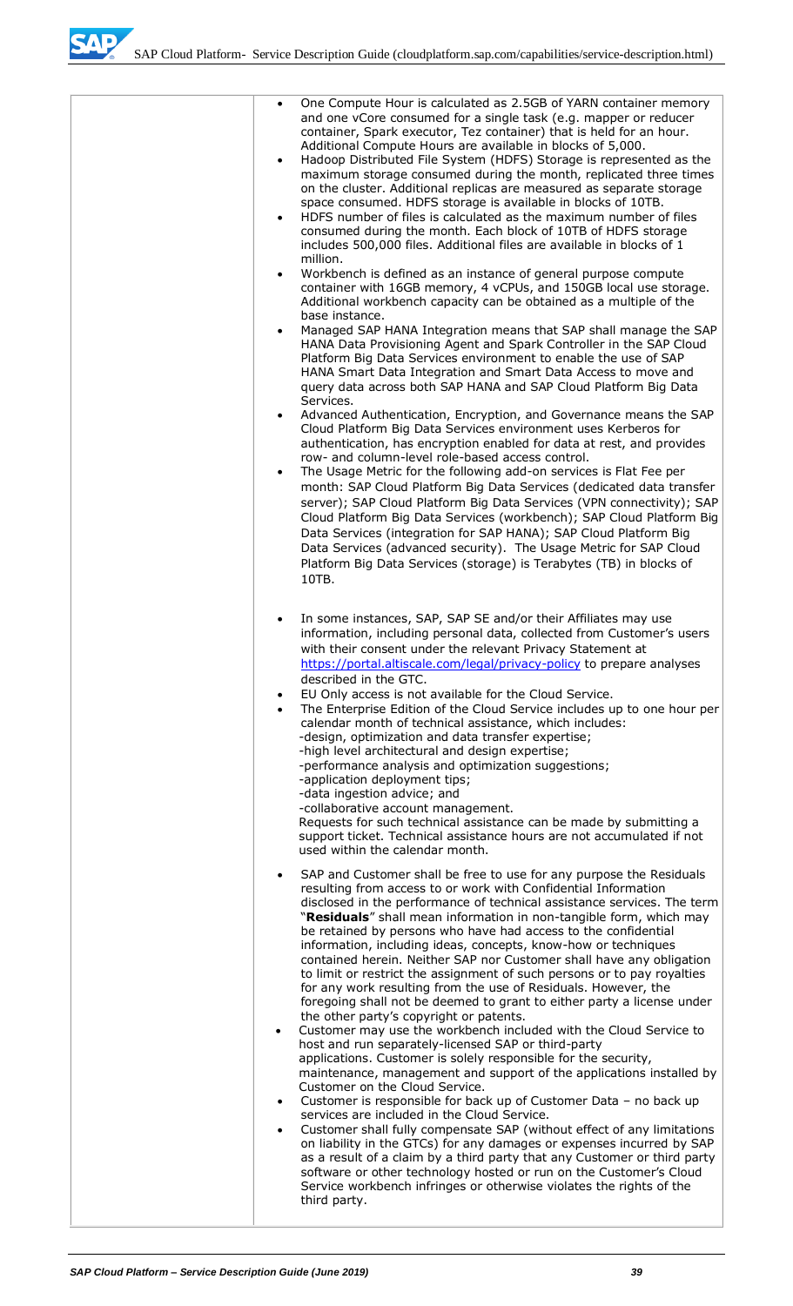SAD

| One Compute Hour is calculated as 2.5GB of YARN container memory<br>$\bullet$<br>and one vCore consumed for a single task (e.g. mapper or reducer<br>container, Spark executor, Tez container) that is held for an hour.<br>Additional Compute Hours are available in blocks of 5,000.<br>Hadoop Distributed File System (HDFS) Storage is represented as the<br>$\bullet$<br>maximum storage consumed during the month, replicated three times<br>on the cluster. Additional replicas are measured as separate storage<br>space consumed. HDFS storage is available in blocks of 10TB.<br>HDFS number of files is calculated as the maximum number of files<br>$\bullet$<br>consumed during the month. Each block of 10TB of HDFS storage<br>includes 500,000 files. Additional files are available in blocks of 1<br>million.                                                                                                                                                                                                                                                                                                                                                                                                                                                                                                                                                                                                                                                                                                                                                                                                                  |
|--------------------------------------------------------------------------------------------------------------------------------------------------------------------------------------------------------------------------------------------------------------------------------------------------------------------------------------------------------------------------------------------------------------------------------------------------------------------------------------------------------------------------------------------------------------------------------------------------------------------------------------------------------------------------------------------------------------------------------------------------------------------------------------------------------------------------------------------------------------------------------------------------------------------------------------------------------------------------------------------------------------------------------------------------------------------------------------------------------------------------------------------------------------------------------------------------------------------------------------------------------------------------------------------------------------------------------------------------------------------------------------------------------------------------------------------------------------------------------------------------------------------------------------------------------------------------------------------------------------------------------------------------|
| Workbench is defined as an instance of general purpose compute<br>$\bullet$<br>container with 16GB memory, 4 vCPUs, and 150GB local use storage.<br>Additional workbench capacity can be obtained as a multiple of the<br>base instance.<br>Managed SAP HANA Integration means that SAP shall manage the SAP<br>$\bullet$<br>HANA Data Provisioning Agent and Spark Controller in the SAP Cloud<br>Platform Big Data Services environment to enable the use of SAP<br>HANA Smart Data Integration and Smart Data Access to move and<br>query data across both SAP HANA and SAP Cloud Platform Big Data                                                                                                                                                                                                                                                                                                                                                                                                                                                                                                                                                                                                                                                                                                                                                                                                                                                                                                                                                                                                                                           |
| Services.<br>Advanced Authentication, Encryption, and Governance means the SAP<br>$\bullet$<br>Cloud Platform Big Data Services environment uses Kerberos for<br>authentication, has encryption enabled for data at rest, and provides<br>row- and column-level role-based access control.<br>The Usage Metric for the following add-on services is Flat Fee per<br>$\bullet$<br>month: SAP Cloud Platform Big Data Services (dedicated data transfer<br>server); SAP Cloud Platform Big Data Services (VPN connectivity); SAP<br>Cloud Platform Big Data Services (workbench); SAP Cloud Platform Big<br>Data Services (integration for SAP HANA); SAP Cloud Platform Big<br>Data Services (advanced security). The Usage Metric for SAP Cloud<br>Platform Big Data Services (storage) is Terabytes (TB) in blocks of<br>10TB.                                                                                                                                                                                                                                                                                                                                                                                                                                                                                                                                                                                                                                                                                                                                                                                                                  |
| In some instances, SAP, SAP SE and/or their Affiliates may use<br>$\bullet$<br>information, including personal data, collected from Customer's users<br>with their consent under the relevant Privacy Statement at<br>https://portal.altiscale.com/legal/privacy-policy to prepare analyses<br>described in the GTC.<br>EU Only access is not available for the Cloud Service.<br>$\bullet$<br>The Enterprise Edition of the Cloud Service includes up to one hour per<br>$\bullet$<br>calendar month of technical assistance, which includes:<br>-design, optimization and data transfer expertise;<br>-high level architectural and design expertise;<br>-performance analysis and optimization suggestions;<br>-application deployment tips;<br>-data ingestion advice; and<br>-collaborative account management.<br>Requests for such technical assistance can be made by submitting a<br>support ticket. Technical assistance hours are not accumulated if not<br>used within the calendar month.                                                                                                                                                                                                                                                                                                                                                                                                                                                                                                                                                                                                                                           |
| SAP and Customer shall be free to use for any purpose the Residuals<br>$\bullet$<br>resulting from access to or work with Confidential Information<br>disclosed in the performance of technical assistance services. The term<br>"Residuals" shall mean information in non-tangible form, which may<br>be retained by persons who have had access to the confidential<br>information, including ideas, concepts, know-how or techniques<br>contained herein. Neither SAP nor Customer shall have any obligation<br>to limit or restrict the assignment of such persons or to pay royalties<br>for any work resulting from the use of Residuals. However, the<br>foregoing shall not be deemed to grant to either party a license under<br>the other party's copyright or patents.<br>Customer may use the workbench included with the Cloud Service to<br>$\bullet$<br>host and run separately-licensed SAP or third-party<br>applications. Customer is solely responsible for the security,<br>maintenance, management and support of the applications installed by<br>Customer on the Cloud Service.<br>Customer is responsible for back up of Customer Data - no back up<br>$\bullet$<br>services are included in the Cloud Service.<br>Customer shall fully compensate SAP (without effect of any limitations<br>$\bullet$<br>on liability in the GTCs) for any damages or expenses incurred by SAP<br>as a result of a claim by a third party that any Customer or third party<br>software or other technology hosted or run on the Customer's Cloud<br>Service workbench infringes or otherwise violates the rights of the<br>third party. |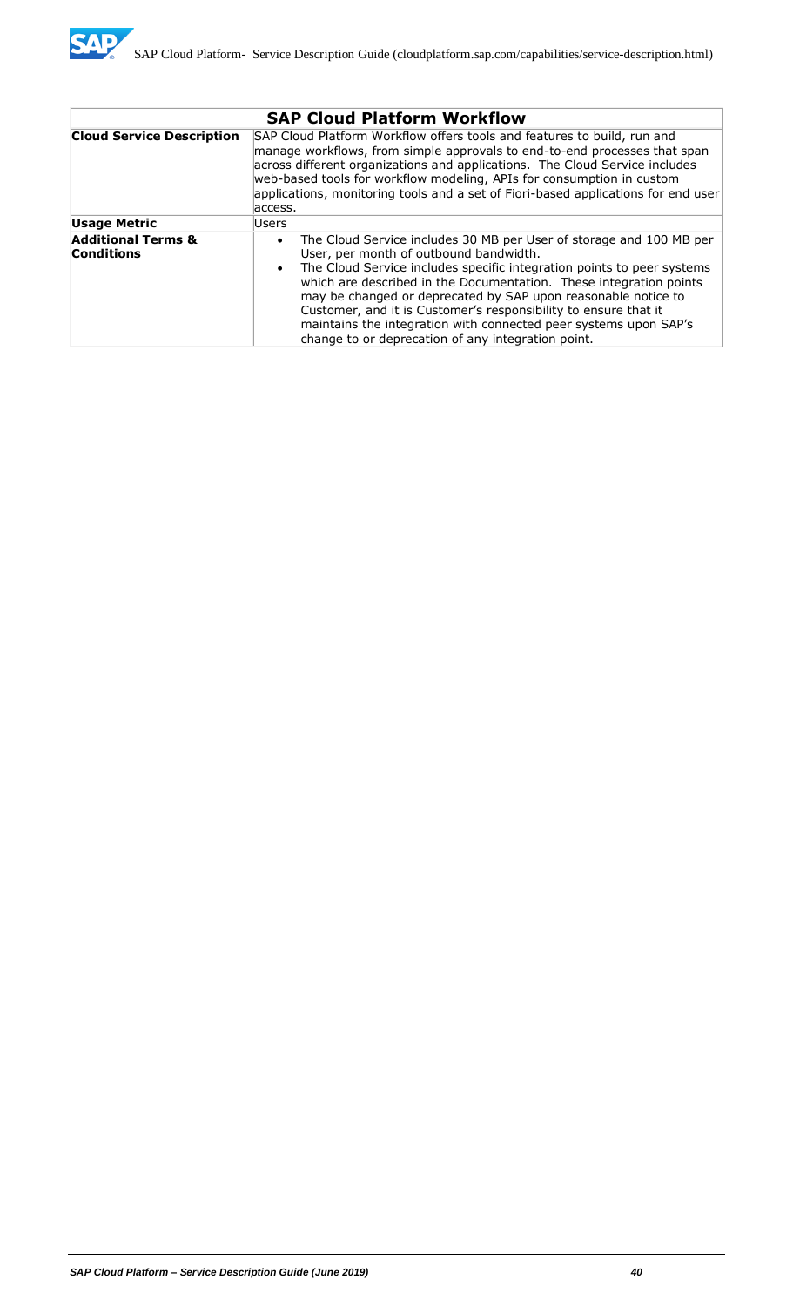

|                                                    | <b>SAP Cloud Platform Workflow</b>                                                                                                                                                                                                                                                                                                                                                                                                                                                                                                                    |  |  |  |
|----------------------------------------------------|-------------------------------------------------------------------------------------------------------------------------------------------------------------------------------------------------------------------------------------------------------------------------------------------------------------------------------------------------------------------------------------------------------------------------------------------------------------------------------------------------------------------------------------------------------|--|--|--|
| <b>Cloud Service Description</b>                   | SAP Cloud Platform Workflow offers tools and features to build, run and<br>manage workflows, from simple approvals to end-to-end processes that span<br>across different organizations and applications. The Cloud Service includes<br>web-based tools for workflow modeling, APIs for consumption in custom<br>applications, monitoring tools and a set of Fiori-based applications for end user<br>access.                                                                                                                                          |  |  |  |
| <b>Usage Metric</b>                                | Users                                                                                                                                                                                                                                                                                                                                                                                                                                                                                                                                                 |  |  |  |
| <b>Additional Terms &amp;</b><br><b>Conditions</b> | The Cloud Service includes 30 MB per User of storage and 100 MB per<br>$\bullet$<br>User, per month of outbound bandwidth.<br>The Cloud Service includes specific integration points to peer systems<br>$\bullet$<br>which are described in the Documentation. These integration points<br>may be changed or deprecated by SAP upon reasonable notice to<br>Customer, and it is Customer's responsibility to ensure that it<br>maintains the integration with connected peer systems upon SAP's<br>change to or deprecation of any integration point. |  |  |  |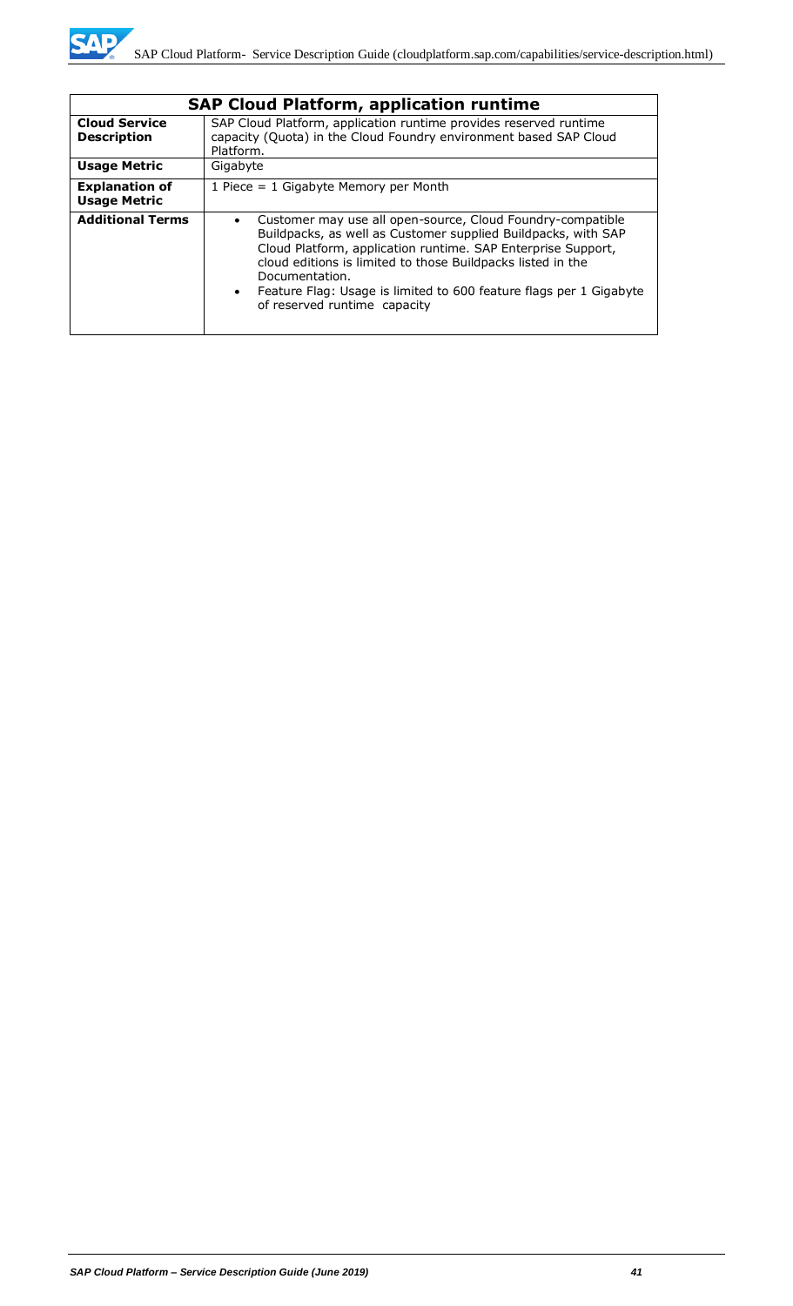

|                                              | <b>SAP Cloud Platform, application runtime</b>                                                                                                                                                                                                                                                                                                                                                               |  |  |
|----------------------------------------------|--------------------------------------------------------------------------------------------------------------------------------------------------------------------------------------------------------------------------------------------------------------------------------------------------------------------------------------------------------------------------------------------------------------|--|--|
| <b>Cloud Service</b><br><b>Description</b>   | SAP Cloud Platform, application runtime provides reserved runtime<br>capacity (Quota) in the Cloud Foundry environment based SAP Cloud<br>Platform.                                                                                                                                                                                                                                                          |  |  |
| <b>Usage Metric</b>                          | Gigabyte                                                                                                                                                                                                                                                                                                                                                                                                     |  |  |
| <b>Explanation of</b><br><b>Usage Metric</b> | 1 Piece = $1$ Gigabyte Memory per Month                                                                                                                                                                                                                                                                                                                                                                      |  |  |
| <b>Additional Terms</b>                      | Customer may use all open-source, Cloud Foundry-compatible<br>$\bullet$<br>Buildpacks, as well as Customer supplied Buildpacks, with SAP<br>Cloud Platform, application runtime. SAP Enterprise Support,<br>cloud editions is limited to those Buildpacks listed in the<br>Documentation.<br>Feature Flag: Usage is limited to 600 feature flags per 1 Gigabyte<br>$\bullet$<br>of reserved runtime capacity |  |  |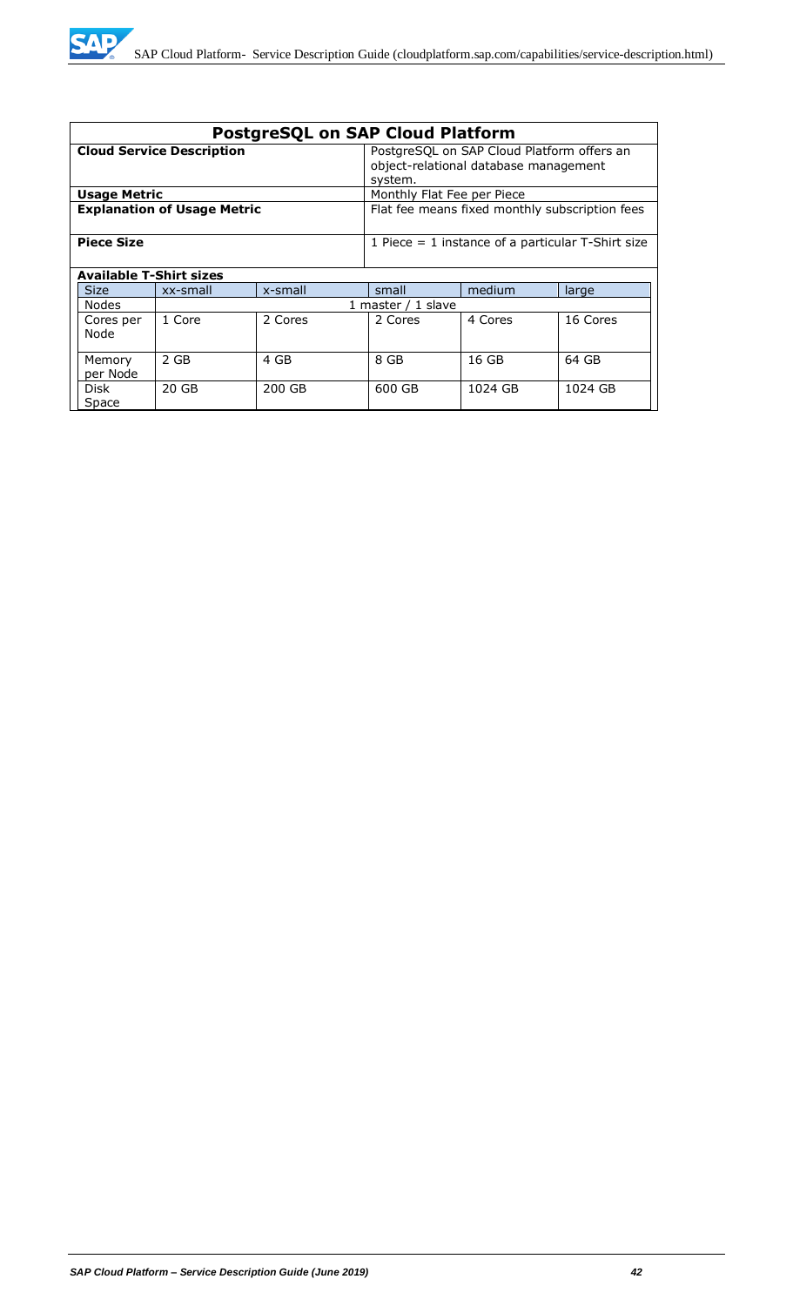| <b>PostgreSQL on SAP Cloud Platform</b> |                    |                                                                                                |                            |         |          |
|-----------------------------------------|--------------------|------------------------------------------------------------------------------------------------|----------------------------|---------|----------|
| <b>Cloud Service Description</b>        |                    | PostgreSQL on SAP Cloud Platform offers an<br>object-relational database management<br>system. |                            |         |          |
| <b>Usage Metric</b>                     |                    |                                                                                                | Monthly Flat Fee per Piece |         |          |
| <b>Explanation of Usage Metric</b>      |                    | Flat fee means fixed monthly subscription fees                                                 |                            |         |          |
| <b>Piece Size</b>                       |                    | 1 Piece $= 1$ instance of a particular T-Shirt size                                            |                            |         |          |
| <b>Available T-Shirt sizes</b>          |                    |                                                                                                |                            |         |          |
| <b>Size</b>                             | xx-small           | x-small                                                                                        | small                      | medium  | large    |
| <b>Nodes</b>                            | 1 master / 1 slave |                                                                                                |                            |         |          |
| Cores per<br>Node                       | 1 Core             | 2 Cores                                                                                        | 2 Cores                    | 4 Cores | 16 Cores |
| Memory<br>per Node                      | 2 GB               | 4 GB                                                                                           | 8 GB                       | 16 GB   | 64 GB    |
| Disk<br>Space                           | 20 GB              | 200 GB                                                                                         | 600 GB                     | 1024 GB | 1024 GB  |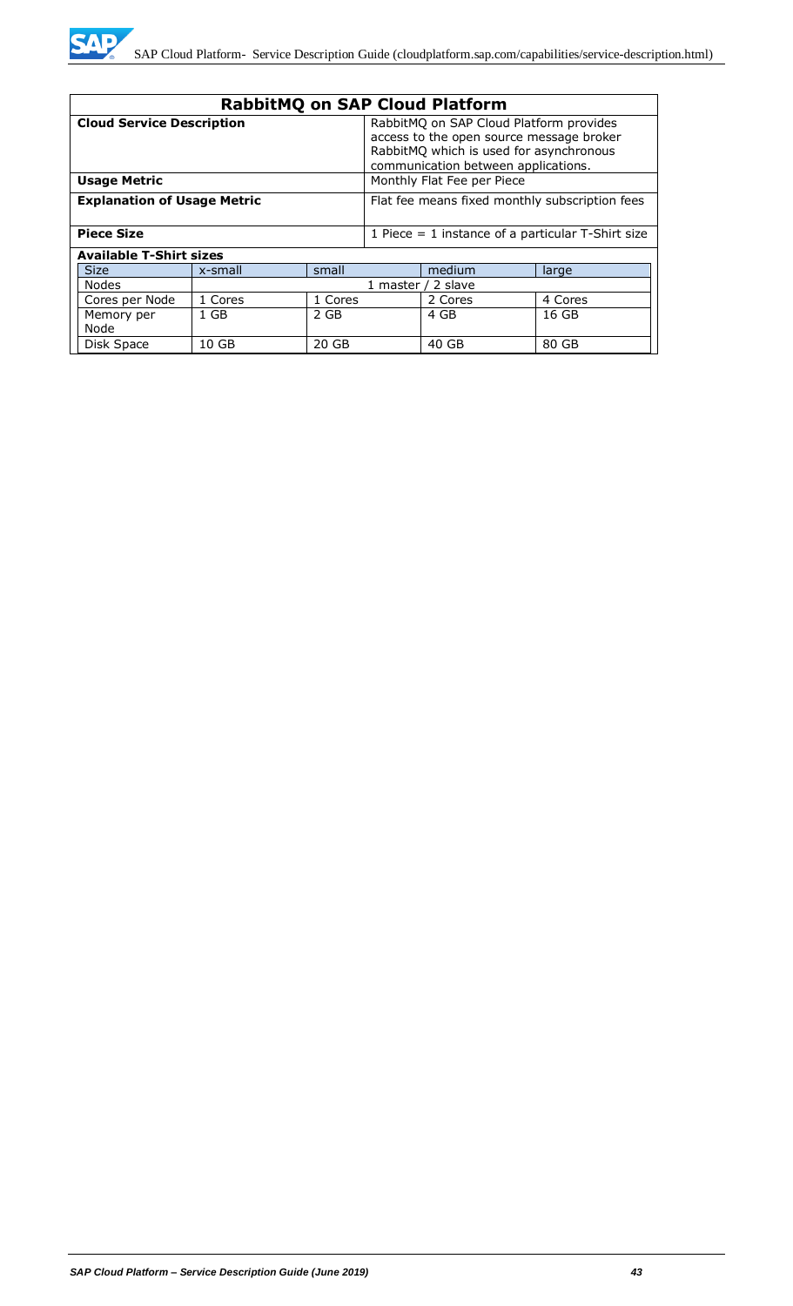

| <b>RabbitMQ on SAP Cloud Platform</b>                                                |                    |                                                                                                                                                                       |                            |         |                                                     |
|--------------------------------------------------------------------------------------|--------------------|-----------------------------------------------------------------------------------------------------------------------------------------------------------------------|----------------------------|---------|-----------------------------------------------------|
| <b>Cloud Service Description</b>                                                     |                    | RabbitMQ on SAP Cloud Platform provides<br>access to the open source message broker<br>RabbitMQ which is used for asynchronous<br>communication between applications. |                            |         |                                                     |
| <b>Usage Metric</b>                                                                  |                    |                                                                                                                                                                       | Monthly Flat Fee per Piece |         |                                                     |
| <b>Explanation of Usage Metric</b><br>Flat fee means fixed monthly subscription fees |                    |                                                                                                                                                                       |                            |         |                                                     |
| <b>Piece Size</b>                                                                    |                    |                                                                                                                                                                       |                            |         | 1 Piece $=$ 1 instance of a particular T-Shirt size |
| <b>Available T-Shirt sizes</b>                                                       |                    |                                                                                                                                                                       |                            |         |                                                     |
| <b>Size</b>                                                                          | x-small            | small                                                                                                                                                                 |                            | medium  | large                                               |
| Nodes                                                                                | 1 master / 2 slave |                                                                                                                                                                       |                            |         |                                                     |
| Cores per Node                                                                       | 1 Cores            | 1 Cores                                                                                                                                                               |                            | 2 Cores | 4 Cores                                             |
| Memory per<br>Node                                                                   | $1$ GB             | 2 GB                                                                                                                                                                  |                            | 4 GB    | 16 GB                                               |
| Disk Space                                                                           | 10 GB              | 20 GB                                                                                                                                                                 |                            | 40 GB   | 80 GB                                               |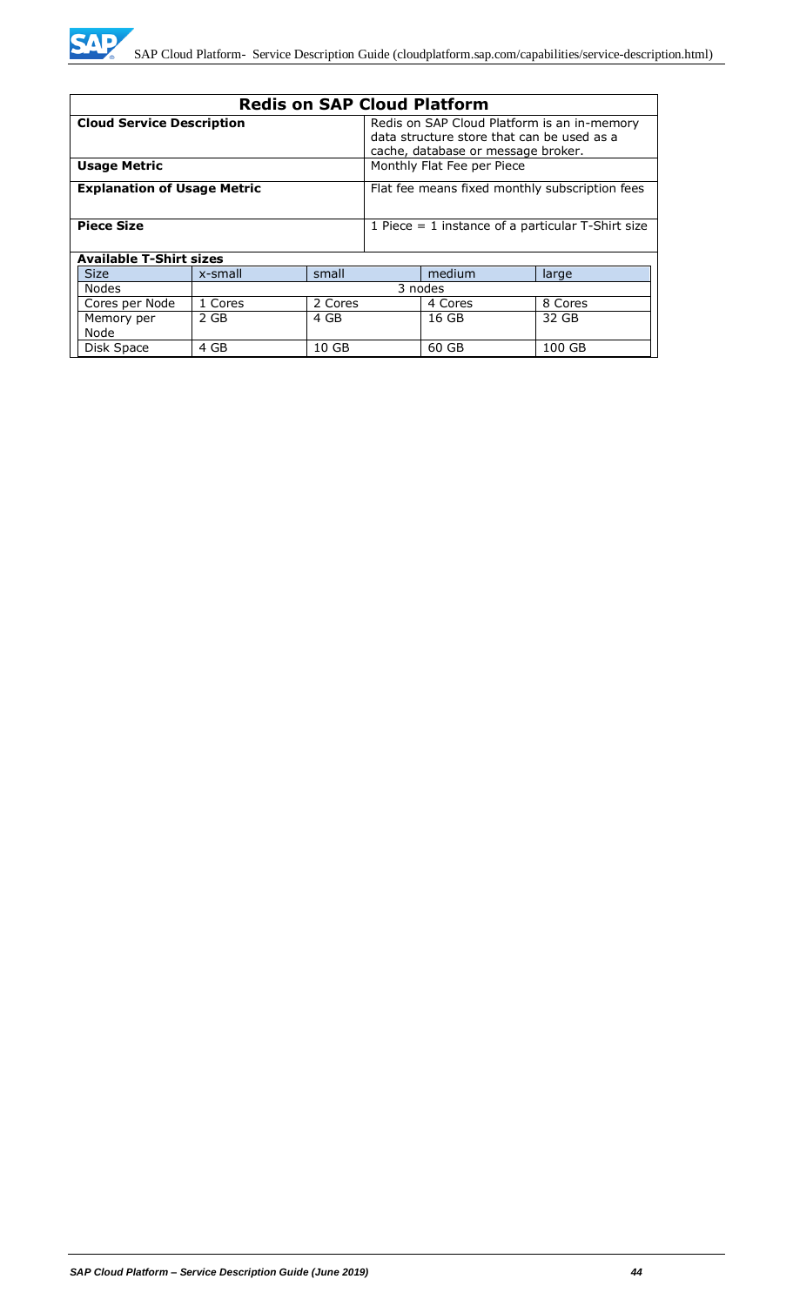

| <b>Redis on SAP Cloud Platform</b>                                       |                            |                                                                                                                                 |                                                |         |         |
|--------------------------------------------------------------------------|----------------------------|---------------------------------------------------------------------------------------------------------------------------------|------------------------------------------------|---------|---------|
| <b>Cloud Service Description</b>                                         |                            | Redis on SAP Cloud Platform is an in-memory<br>data structure store that can be used as a<br>cache, database or message broker. |                                                |         |         |
| <b>Usage Metric</b>                                                      | Monthly Flat Fee per Piece |                                                                                                                                 |                                                |         |         |
| <b>Explanation of Usage Metric</b>                                       |                            |                                                                                                                                 | Flat fee means fixed monthly subscription fees |         |         |
| <b>Piece Size</b><br>1 Piece $=$ 1 instance of a particular T-Shirt size |                            |                                                                                                                                 |                                                |         |         |
| <b>Available T-Shirt sizes</b>                                           |                            |                                                                                                                                 |                                                |         |         |
| <b>Size</b>                                                              | x-small                    | small                                                                                                                           |                                                | medium  | large   |
| <b>Nodes</b>                                                             | 3 nodes                    |                                                                                                                                 |                                                |         |         |
| Cores per Node                                                           | 1 Cores                    | 2 Cores                                                                                                                         |                                                | 4 Cores | 8 Cores |
| Memory per<br>Node                                                       | 2 GB                       | 4 GB                                                                                                                            |                                                | 16 GB   | 32 GB   |
| Disk Space                                                               | 4 GB                       | 10 GB                                                                                                                           |                                                | 60 GB   | 100 GB  |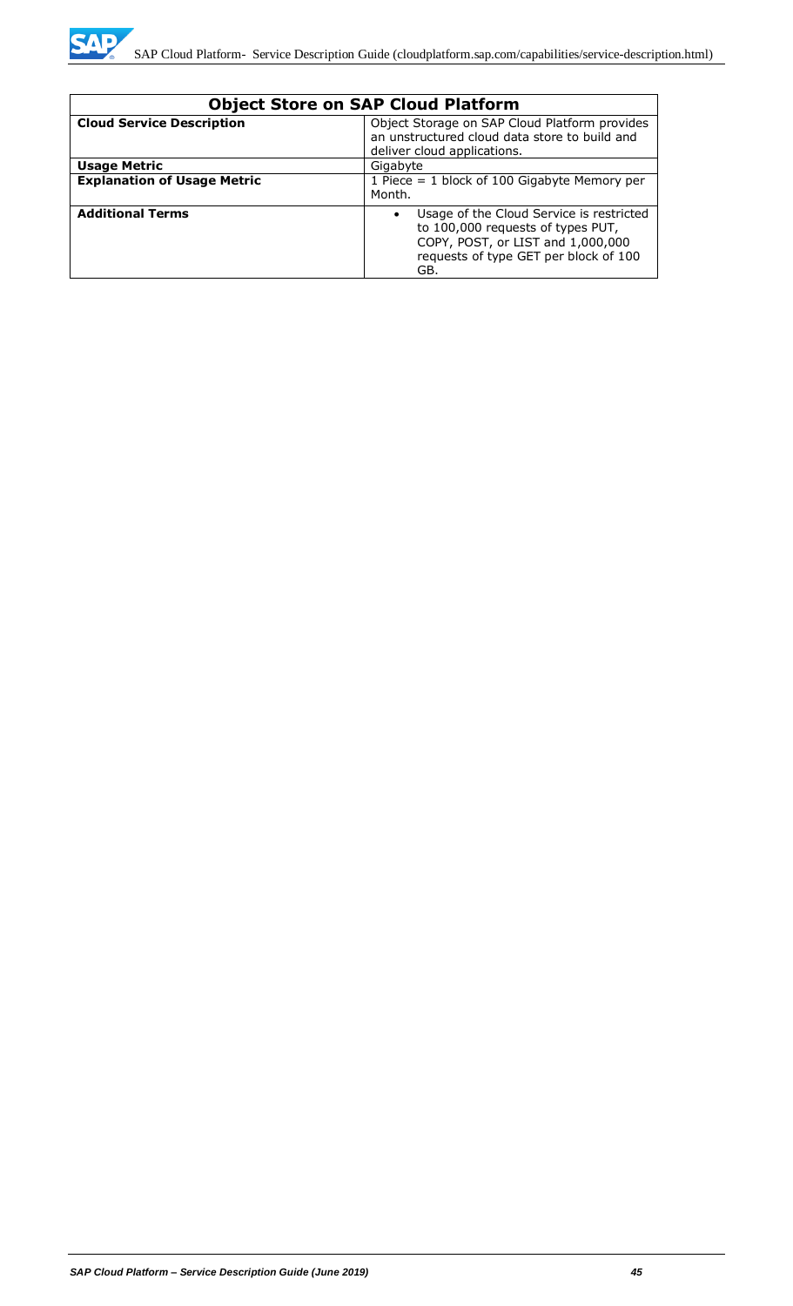

| <b>Object Store on SAP Cloud Platform</b> |                                                                                                                                                                                 |  |
|-------------------------------------------|---------------------------------------------------------------------------------------------------------------------------------------------------------------------------------|--|
| <b>Cloud Service Description</b>          | Object Storage on SAP Cloud Platform provides<br>an unstructured cloud data store to build and<br>deliver cloud applications.                                                   |  |
| <b>Usage Metric</b>                       | Gigabyte                                                                                                                                                                        |  |
| <b>Explanation of Usage Metric</b>        | 1 Piece = $1$ block of 100 Gigabyte Memory per<br>Month.                                                                                                                        |  |
| <b>Additional Terms</b>                   | Usage of the Cloud Service is restricted<br>$\bullet$<br>to 100,000 requests of types PUT,<br>COPY, POST, or LIST and 1,000,000<br>requests of type GET per block of 100<br>GB. |  |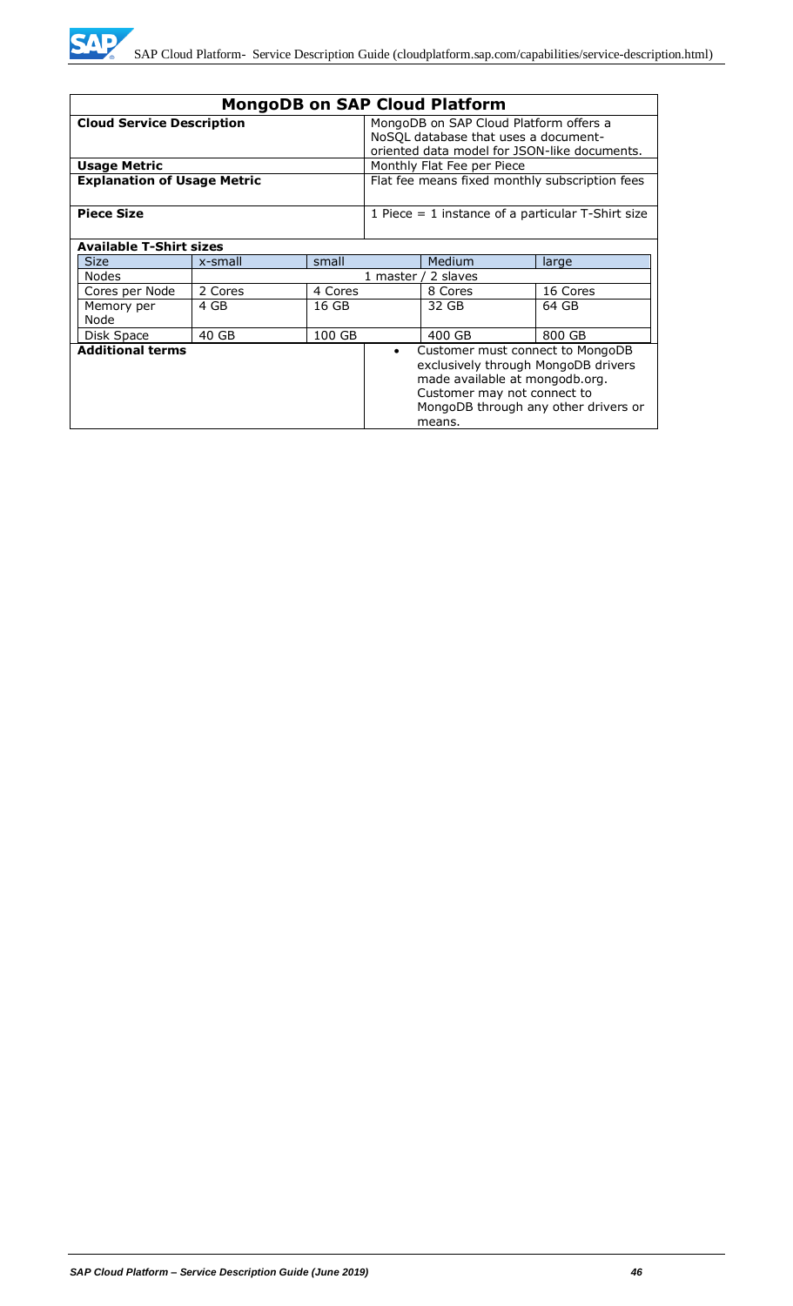

| <b>MongoDB on SAP Cloud Platform</b>                                                                                                                                                                                               |         |                                                                                                                                |            |                            |          |
|------------------------------------------------------------------------------------------------------------------------------------------------------------------------------------------------------------------------------------|---------|--------------------------------------------------------------------------------------------------------------------------------|------------|----------------------------|----------|
| <b>Cloud Service Description</b>                                                                                                                                                                                                   |         | MongoDB on SAP Cloud Platform offers a<br>NoSQL database that uses a document-<br>oriented data model for JSON-like documents. |            |                            |          |
| <b>Usage Metric</b>                                                                                                                                                                                                                |         |                                                                                                                                |            | Monthly Flat Fee per Piece |          |
| <b>Explanation of Usage Metric</b>                                                                                                                                                                                                 |         | Flat fee means fixed monthly subscription fees                                                                                 |            |                            |          |
| <b>Piece Size</b><br>1 Piece $=$ 1 instance of a particular T-Shirt size                                                                                                                                                           |         |                                                                                                                                |            |                            |          |
| <b>Available T-Shirt sizes</b>                                                                                                                                                                                                     |         |                                                                                                                                |            |                            |          |
| <b>Size</b>                                                                                                                                                                                                                        | x-small | small                                                                                                                          |            | Medium                     | large    |
| <b>Nodes</b>                                                                                                                                                                                                                       |         |                                                                                                                                | 1 master / | 2 slaves                   |          |
| Cores per Node                                                                                                                                                                                                                     | 2 Cores | 4 Cores                                                                                                                        |            | 8 Cores                    | 16 Cores |
| Memory per<br>Node                                                                                                                                                                                                                 | 4 GB    | 16 GB                                                                                                                          |            | 32 GB                      | 64 GB    |
| Disk Space                                                                                                                                                                                                                         | 40 GB   | 100 GB                                                                                                                         |            | 400 GB                     | 800 GB   |
| <b>Additional terms</b><br>Customer must connect to MongoDB<br>$\bullet$<br>exclusively through MongoDB drivers<br>made available at mongodb.org.<br>Customer may not connect to<br>MongoDB through any other drivers or<br>means. |         |                                                                                                                                |            |                            |          |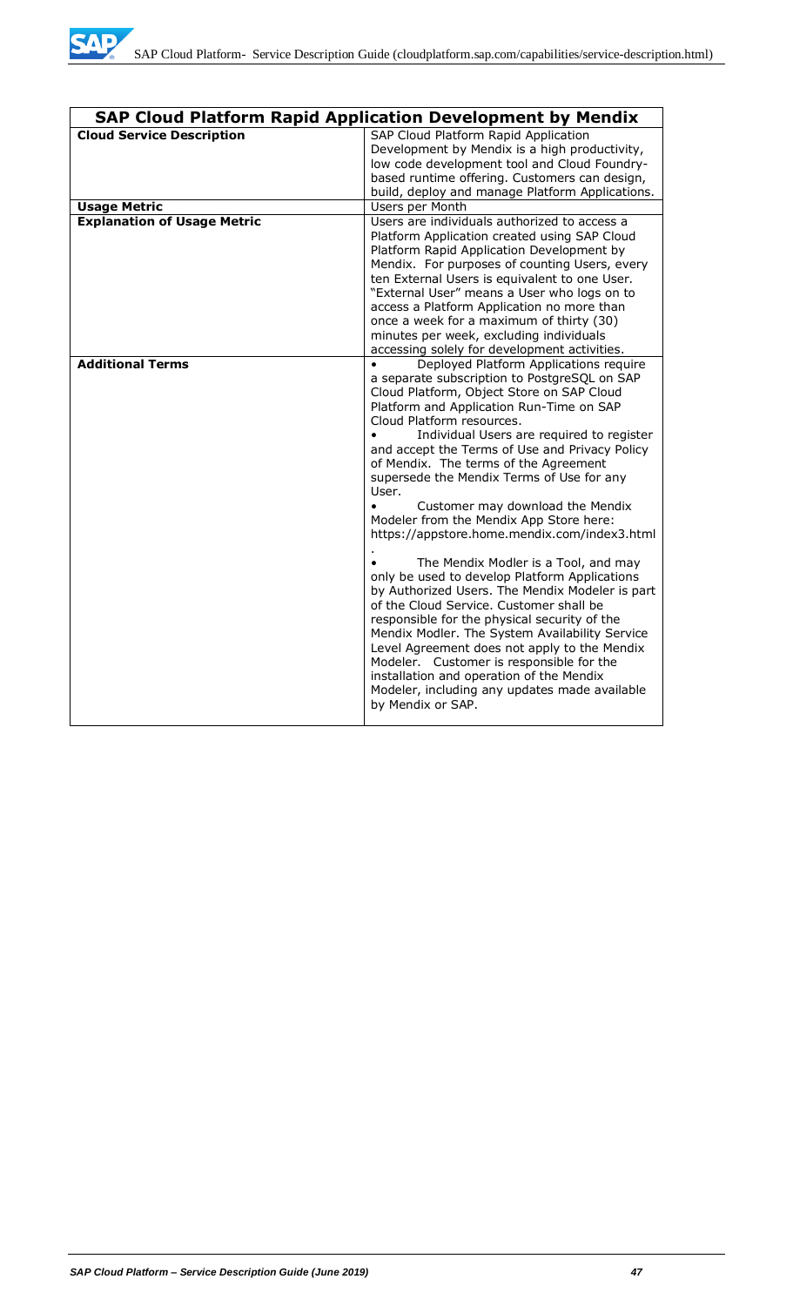

|                                    | <b>SAP Cloud Platform Rapid Application Development by Mendix</b>                                                                                                                                                                                                                                                                                                                                                                                                                                                                                                                                                                                                                                                                                                                                                                                                                                                                                                                                                                                             |
|------------------------------------|---------------------------------------------------------------------------------------------------------------------------------------------------------------------------------------------------------------------------------------------------------------------------------------------------------------------------------------------------------------------------------------------------------------------------------------------------------------------------------------------------------------------------------------------------------------------------------------------------------------------------------------------------------------------------------------------------------------------------------------------------------------------------------------------------------------------------------------------------------------------------------------------------------------------------------------------------------------------------------------------------------------------------------------------------------------|
| <b>Cloud Service Description</b>   | SAP Cloud Platform Rapid Application<br>Development by Mendix is a high productivity,<br>low code development tool and Cloud Foundry-<br>based runtime offering. Customers can design,<br>build, deploy and manage Platform Applications.                                                                                                                                                                                                                                                                                                                                                                                                                                                                                                                                                                                                                                                                                                                                                                                                                     |
| <b>Usage Metric</b>                | Users per Month                                                                                                                                                                                                                                                                                                                                                                                                                                                                                                                                                                                                                                                                                                                                                                                                                                                                                                                                                                                                                                               |
| <b>Explanation of Usage Metric</b> | Users are individuals authorized to access a<br>Platform Application created using SAP Cloud<br>Platform Rapid Application Development by<br>Mendix. For purposes of counting Users, every<br>ten External Users is equivalent to one User.<br>"External User" means a User who logs on to<br>access a Platform Application no more than<br>once a week for a maximum of thirty (30)<br>minutes per week, excluding individuals<br>accessing solely for development activities.                                                                                                                                                                                                                                                                                                                                                                                                                                                                                                                                                                               |
| <b>Additional Terms</b>            | Deployed Platform Applications require<br>a separate subscription to PostgreSQL on SAP<br>Cloud Platform, Object Store on SAP Cloud<br>Platform and Application Run-Time on SAP<br>Cloud Platform resources.<br>Individual Users are required to register<br>and accept the Terms of Use and Privacy Policy<br>of Mendix. The terms of the Agreement<br>supersede the Mendix Terms of Use for any<br>User.<br>Customer may download the Mendix<br>$\bullet$<br>Modeler from the Mendix App Store here:<br>https://appstore.home.mendix.com/index3.html<br>The Mendix Modler is a Tool, and may<br>only be used to develop Platform Applications<br>by Authorized Users. The Mendix Modeler is part<br>of the Cloud Service. Customer shall be<br>responsible for the physical security of the<br>Mendix Modler. The System Availability Service<br>Level Agreement does not apply to the Mendix<br>Modeler. Customer is responsible for the<br>installation and operation of the Mendix<br>Modeler, including any updates made available<br>by Mendix or SAP. |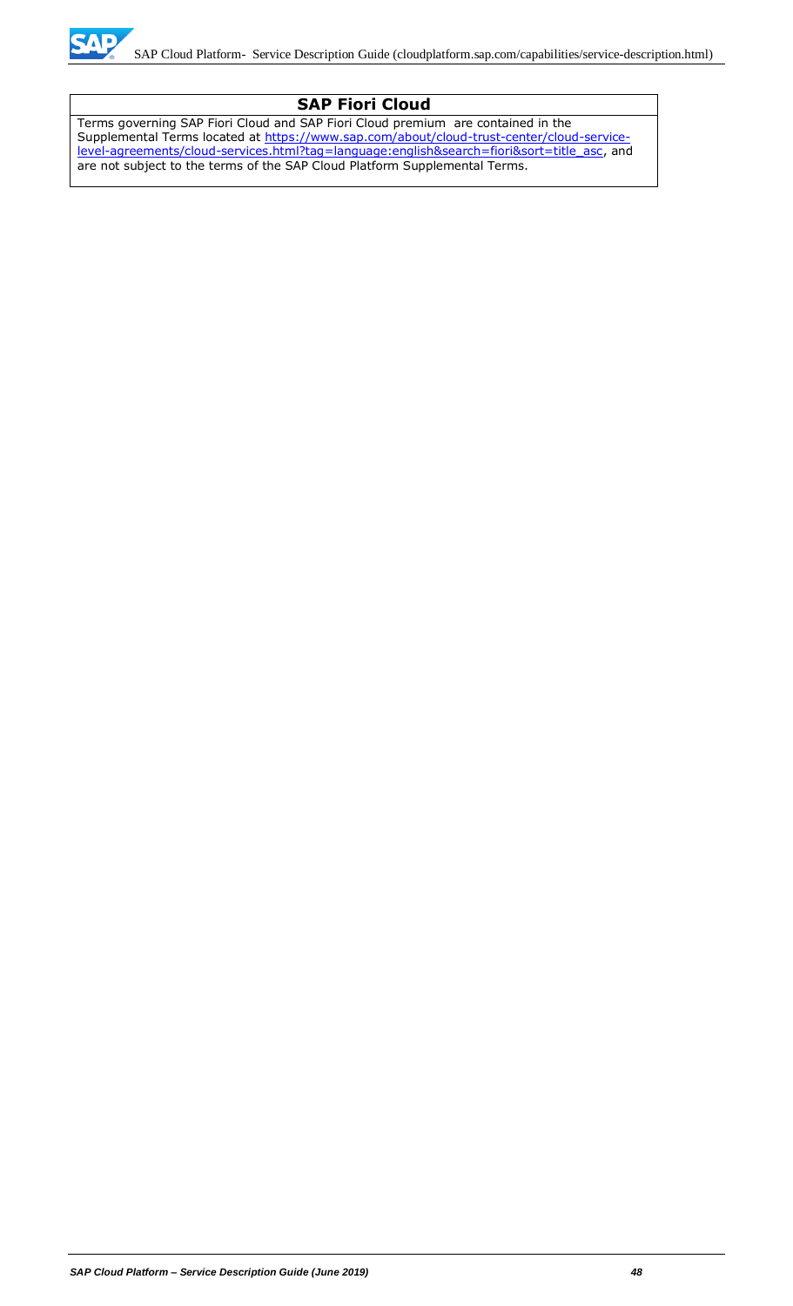

### **SAP Fiori Cloud**

Terms governing SAP Fiori Cloud and SAP Fiori Cloud premium are contained in the Supplemental Terms located at [https://www.sap.com/about/cloud-trust-center/cloud-service](https://www.sap.com/about/cloud-trust-center/cloud-service-level-agreements/cloud-services.html?tag=language:english&search=fiori&sort=title_asc)[level-agreements/cloud-services.html?tag=language:english&search=fiori&sort=title\\_asc,](https://www.sap.com/about/cloud-trust-center/cloud-service-level-agreements/cloud-services.html?tag=language:english&search=fiori&sort=title_asc) and are not subject to the terms of the SAP Cloud Platform Supplemental Terms.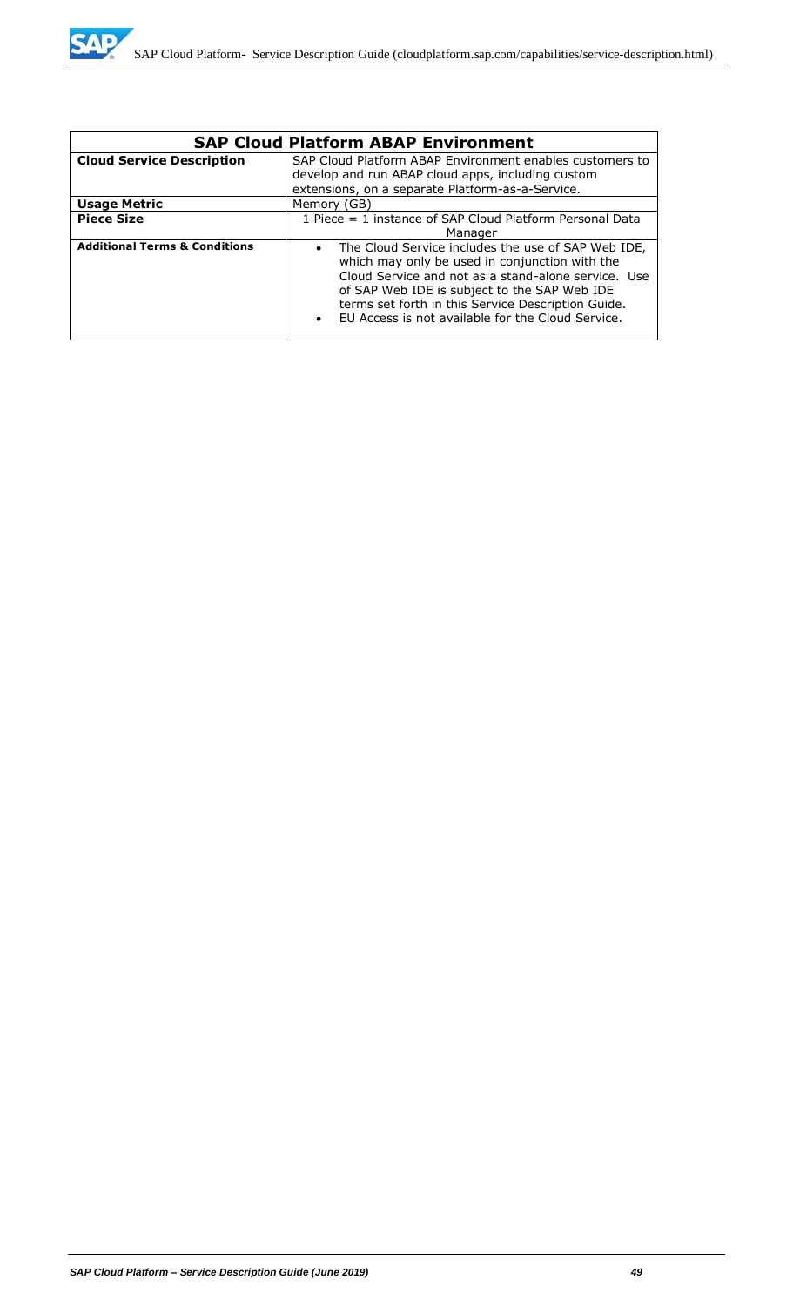| <b>SAP Cloud Platform ABAP Environment</b> |                                                                                                                                                                                                                                                                                                                                                  |  |  |
|--------------------------------------------|--------------------------------------------------------------------------------------------------------------------------------------------------------------------------------------------------------------------------------------------------------------------------------------------------------------------------------------------------|--|--|
| <b>Cloud Service Description</b>           | SAP Cloud Platform ABAP Environment enables customers to                                                                                                                                                                                                                                                                                         |  |  |
|                                            | develop and run ABAP cloud apps, including custom                                                                                                                                                                                                                                                                                                |  |  |
|                                            | extensions, on a separate Platform-as-a-Service.                                                                                                                                                                                                                                                                                                 |  |  |
| <b>Usage Metric</b>                        | Memory (GB)                                                                                                                                                                                                                                                                                                                                      |  |  |
| <b>Piece Size</b>                          | 1 Piece = 1 instance of SAP Cloud Platform Personal Data                                                                                                                                                                                                                                                                                         |  |  |
|                                            | Manager                                                                                                                                                                                                                                                                                                                                          |  |  |
| <b>Additional Terms &amp; Conditions</b>   | The Cloud Service includes the use of SAP Web IDE,<br>$\bullet$<br>which may only be used in conjunction with the<br>Cloud Service and not as a stand-alone service. Use<br>of SAP Web IDE is subject to the SAP Web IDE<br>terms set forth in this Service Description Guide.<br>EU Access is not available for the Cloud Service.<br>$\bullet$ |  |  |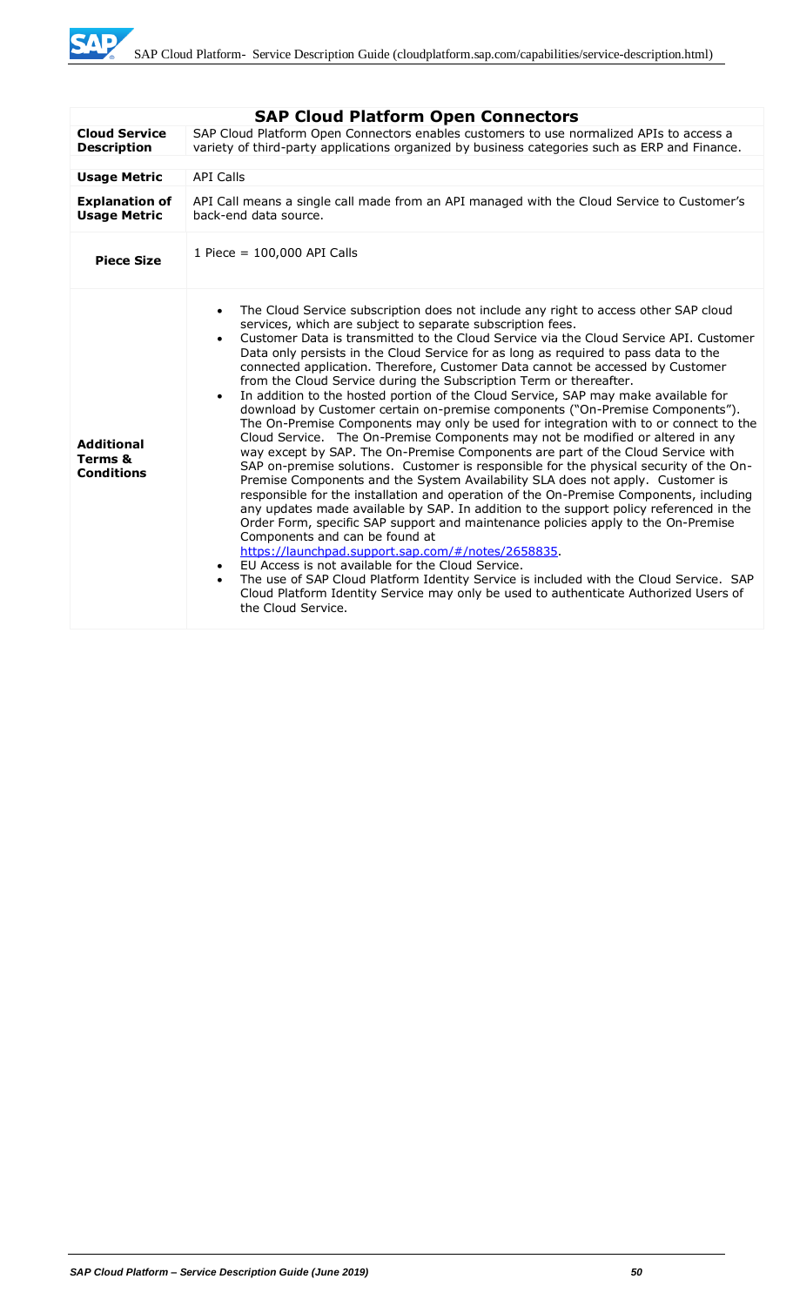SAD

|                                                   | <b>SAP Cloud Platform Open Connectors</b>                                                                                                                                                                                                                                                                                                                                                                                                                                                                                                                                                                                                                                                                                                                                                                                                                                                                                                                                                                                                                                                                                                                                                                                                                                                                                                                                                                                                                                                                                                                                                                                                                                                                                                                                                                |
|---------------------------------------------------|----------------------------------------------------------------------------------------------------------------------------------------------------------------------------------------------------------------------------------------------------------------------------------------------------------------------------------------------------------------------------------------------------------------------------------------------------------------------------------------------------------------------------------------------------------------------------------------------------------------------------------------------------------------------------------------------------------------------------------------------------------------------------------------------------------------------------------------------------------------------------------------------------------------------------------------------------------------------------------------------------------------------------------------------------------------------------------------------------------------------------------------------------------------------------------------------------------------------------------------------------------------------------------------------------------------------------------------------------------------------------------------------------------------------------------------------------------------------------------------------------------------------------------------------------------------------------------------------------------------------------------------------------------------------------------------------------------------------------------------------------------------------------------------------------------|
| <b>Cloud Service</b><br><b>Description</b>        | SAP Cloud Platform Open Connectors enables customers to use normalized APIs to access a<br>variety of third-party applications organized by business categories such as ERP and Finance.                                                                                                                                                                                                                                                                                                                                                                                                                                                                                                                                                                                                                                                                                                                                                                                                                                                                                                                                                                                                                                                                                                                                                                                                                                                                                                                                                                                                                                                                                                                                                                                                                 |
|                                                   |                                                                                                                                                                                                                                                                                                                                                                                                                                                                                                                                                                                                                                                                                                                                                                                                                                                                                                                                                                                                                                                                                                                                                                                                                                                                                                                                                                                                                                                                                                                                                                                                                                                                                                                                                                                                          |
| <b>Usage Metric</b>                               | <b>API Calls</b>                                                                                                                                                                                                                                                                                                                                                                                                                                                                                                                                                                                                                                                                                                                                                                                                                                                                                                                                                                                                                                                                                                                                                                                                                                                                                                                                                                                                                                                                                                                                                                                                                                                                                                                                                                                         |
| <b>Explanation of</b><br><b>Usage Metric</b>      | API Call means a single call made from an API managed with the Cloud Service to Customer's<br>back-end data source.                                                                                                                                                                                                                                                                                                                                                                                                                                                                                                                                                                                                                                                                                                                                                                                                                                                                                                                                                                                                                                                                                                                                                                                                                                                                                                                                                                                                                                                                                                                                                                                                                                                                                      |
| <b>Piece Size</b>                                 | 1 Piece = 100,000 API Calls                                                                                                                                                                                                                                                                                                                                                                                                                                                                                                                                                                                                                                                                                                                                                                                                                                                                                                                                                                                                                                                                                                                                                                                                                                                                                                                                                                                                                                                                                                                                                                                                                                                                                                                                                                              |
| <b>Additional</b><br>Terms &<br><b>Conditions</b> | The Cloud Service subscription does not include any right to access other SAP cloud<br>$\bullet$<br>services, which are subject to separate subscription fees.<br>Customer Data is transmitted to the Cloud Service via the Cloud Service API. Customer<br>$\bullet$<br>Data only persists in the Cloud Service for as long as required to pass data to the<br>connected application. Therefore, Customer Data cannot be accessed by Customer<br>from the Cloud Service during the Subscription Term or thereafter.<br>In addition to the hosted portion of the Cloud Service, SAP may make available for<br>$\bullet$<br>download by Customer certain on-premise components ("On-Premise Components").<br>The On-Premise Components may only be used for integration with to or connect to the<br>Cloud Service. The On-Premise Components may not be modified or altered in any<br>way except by SAP. The On-Premise Components are part of the Cloud Service with<br>SAP on-premise solutions. Customer is responsible for the physical security of the On-<br>Premise Components and the System Availability SLA does not apply. Customer is<br>responsible for the installation and operation of the On-Premise Components, including<br>any updates made available by SAP. In addition to the support policy referenced in the<br>Order Form, specific SAP support and maintenance policies apply to the On-Premise<br>Components and can be found at<br>https://launchpad.support.sap.com/#/notes/2658835.<br>EU Access is not available for the Cloud Service.<br>$\bullet$<br>The use of SAP Cloud Platform Identity Service is included with the Cloud Service. SAP<br>$\bullet$<br>Cloud Platform Identity Service may only be used to authenticate Authorized Users of<br>the Cloud Service. |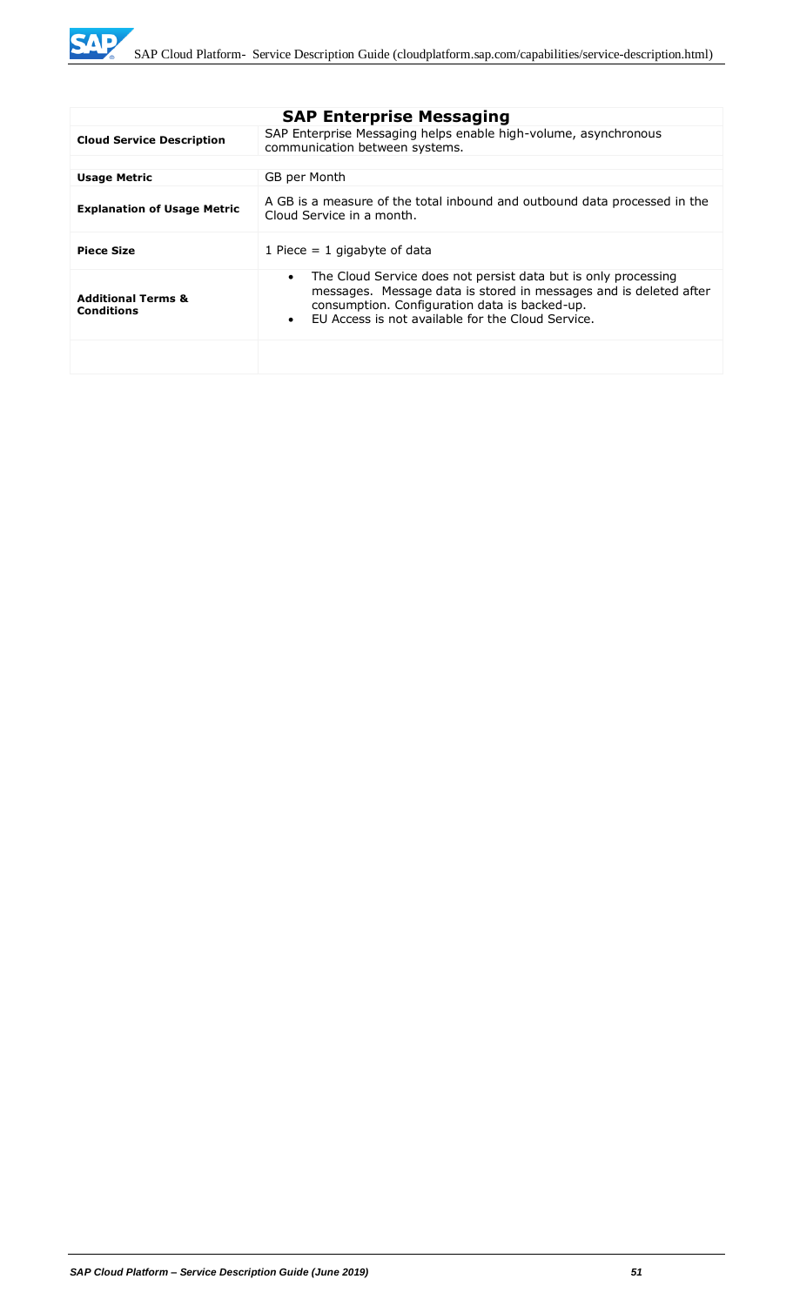**SAP** 

|                                                    | <b>SAP Enterprise Messaging</b>                                                                                                                                                                                                                                     |
|----------------------------------------------------|---------------------------------------------------------------------------------------------------------------------------------------------------------------------------------------------------------------------------------------------------------------------|
| <b>Cloud Service Description</b>                   | SAP Enterprise Messaging helps enable high-volume, asynchronous<br>communication between systems.                                                                                                                                                                   |
|                                                    |                                                                                                                                                                                                                                                                     |
| <b>Usage Metric</b>                                | GB per Month                                                                                                                                                                                                                                                        |
| <b>Explanation of Usage Metric</b>                 | A GB is a measure of the total inbound and outbound data processed in the<br>Cloud Service in a month.                                                                                                                                                              |
| <b>Piece Size</b>                                  | 1 Piece $= 1$ gigabyte of data                                                                                                                                                                                                                                      |
| <b>Additional Terms &amp;</b><br><b>Conditions</b> | The Cloud Service does not persist data but is only processing<br>$\bullet$<br>messages. Message data is stored in messages and is deleted after<br>consumption. Configuration data is backed-up.<br>FU Access is not available for the Cloud Service.<br>$\bullet$ |
|                                                    |                                                                                                                                                                                                                                                                     |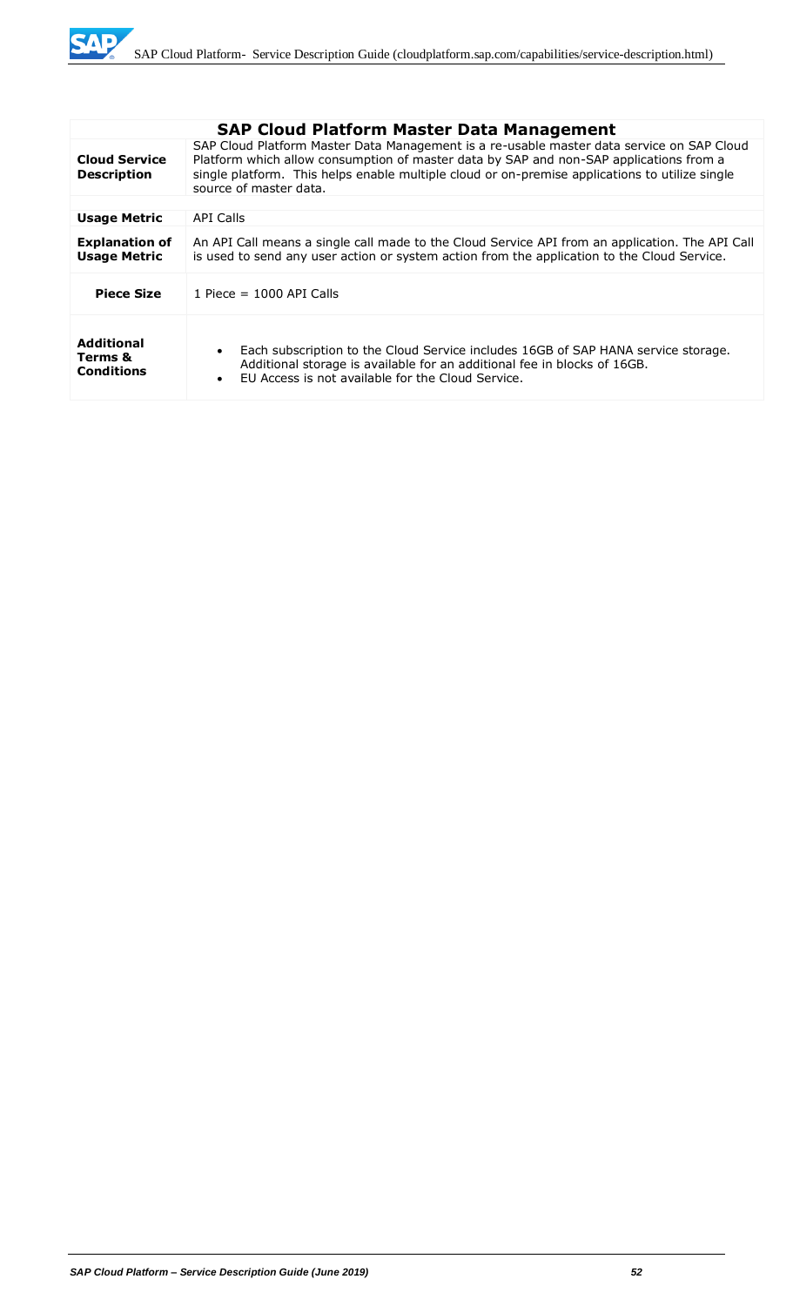

|                                                   | <b>SAP Cloud Platform Master Data Management</b>                                                                                                                                                                                                                                                                |
|---------------------------------------------------|-----------------------------------------------------------------------------------------------------------------------------------------------------------------------------------------------------------------------------------------------------------------------------------------------------------------|
| <b>Cloud Service</b><br><b>Description</b>        | SAP Cloud Platform Master Data Management is a re-usable master data service on SAP Cloud<br>Platform which allow consumption of master data by SAP and non-SAP applications from a<br>single platform. This helps enable multiple cloud or on-premise applications to utilize single<br>source of master data. |
|                                                   |                                                                                                                                                                                                                                                                                                                 |
| <b>Usage Metric</b>                               | API Calls                                                                                                                                                                                                                                                                                                       |
| <b>Explanation of</b><br><b>Usage Metric</b>      | An API Call means a single call made to the Cloud Service API from an application. The API Call<br>is used to send any user action or system action from the application to the Cloud Service.                                                                                                                  |
| <b>Piece Size</b>                                 | 1 Piece = $1000$ API Calls                                                                                                                                                                                                                                                                                      |
| <b>Additional</b><br>Terms &<br><b>Conditions</b> | Each subscription to the Cloud Service includes 16GB of SAP HANA service storage.<br>$\bullet$<br>Additional storage is available for an additional fee in blocks of 16GB.<br>FU Access is not available for the Cloud Service.<br>$\bullet$                                                                    |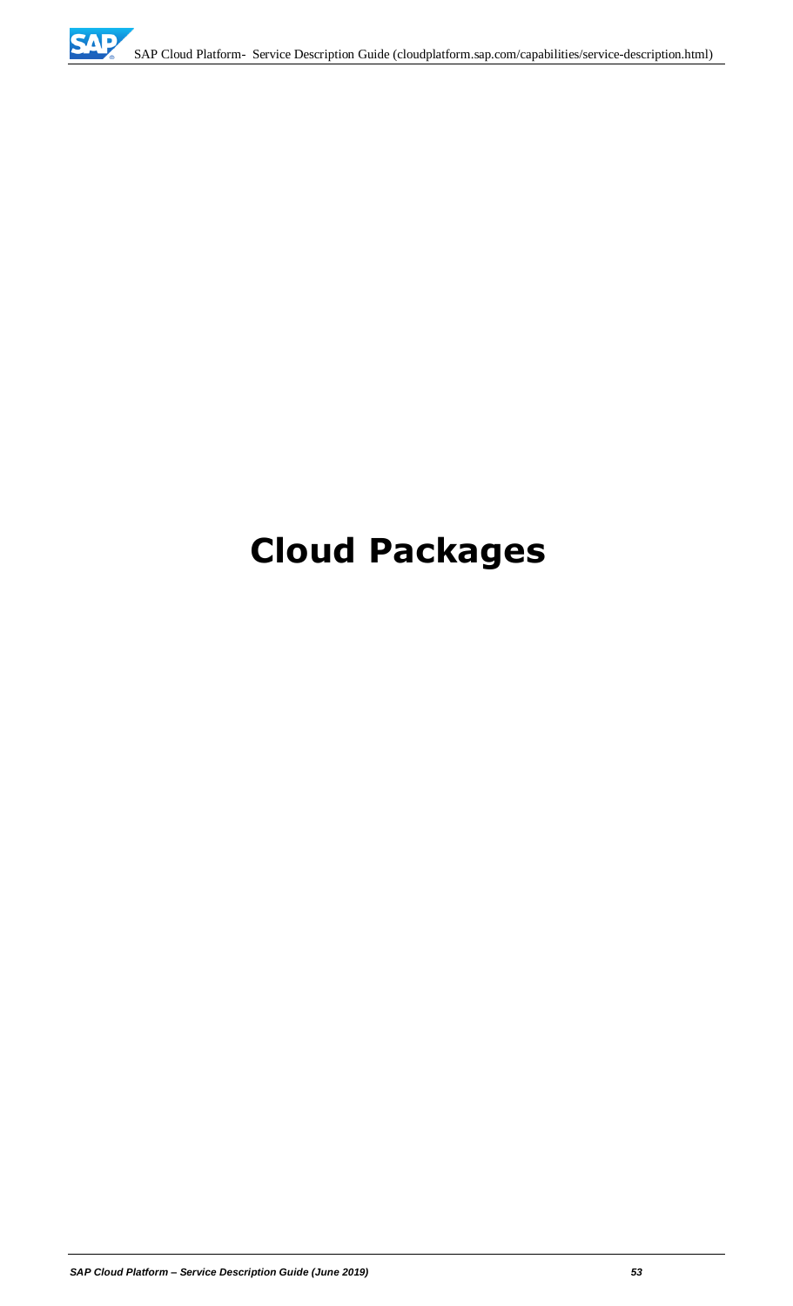# **Cloud Packages**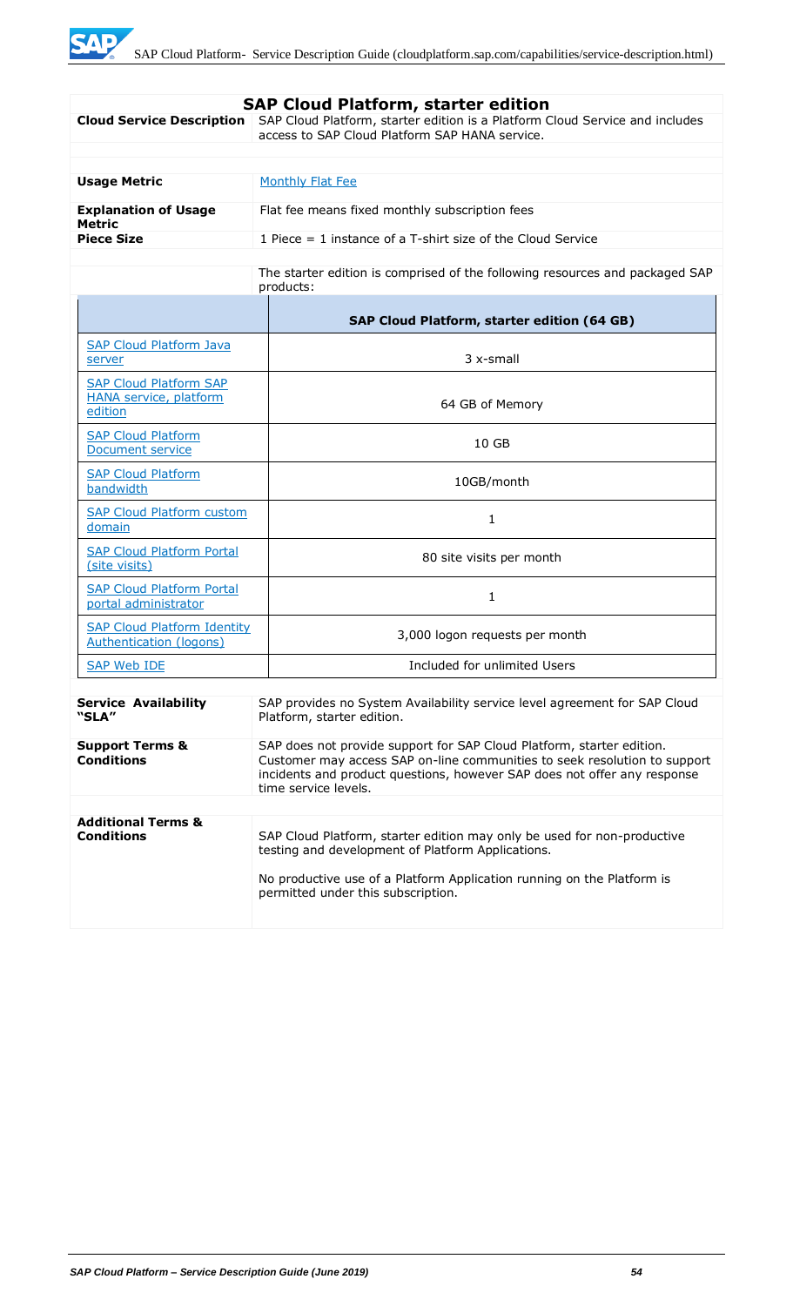| <b>SAP Cloud Platform, starter edition</b>                                                                                                      |                                                                                                                                                                                                                                                        |  |
|-------------------------------------------------------------------------------------------------------------------------------------------------|--------------------------------------------------------------------------------------------------------------------------------------------------------------------------------------------------------------------------------------------------------|--|
| <b>Cloud Service Description</b>                                                                                                                | SAP Cloud Platform, starter edition is a Platform Cloud Service and includes<br>access to SAP Cloud Platform SAP HANA service.                                                                                                                         |  |
|                                                                                                                                                 |                                                                                                                                                                                                                                                        |  |
|                                                                                                                                                 |                                                                                                                                                                                                                                                        |  |
| <b>Usage Metric</b>                                                                                                                             | <b>Monthly Flat Fee</b>                                                                                                                                                                                                                                |  |
| <b>Explanation of Usage</b><br><b>Metric</b>                                                                                                    | Flat fee means fixed monthly subscription fees                                                                                                                                                                                                         |  |
| <b>Piece Size</b>                                                                                                                               | 1 Piece $=$ 1 instance of a T-shirt size of the Cloud Service                                                                                                                                                                                          |  |
|                                                                                                                                                 | The starter edition is comprised of the following resources and packaged SAP<br>products:                                                                                                                                                              |  |
|                                                                                                                                                 | SAP Cloud Platform, starter edition (64 GB)                                                                                                                                                                                                            |  |
| <b>SAP Cloud Platform Java</b><br>server                                                                                                        | 3 x-small                                                                                                                                                                                                                                              |  |
| <b>SAP Cloud Platform SAP</b><br><b>HANA service, platform</b><br>edition                                                                       | 64 GB of Memory                                                                                                                                                                                                                                        |  |
| <b>SAP Cloud Platform</b><br>Document service                                                                                                   | 10 GB                                                                                                                                                                                                                                                  |  |
| <b>SAP Cloud Platform</b><br>bandwidth                                                                                                          | 10GB/month                                                                                                                                                                                                                                             |  |
| <b>SAP Cloud Platform custom</b><br>domain                                                                                                      | 1                                                                                                                                                                                                                                                      |  |
| <b>SAP Cloud Platform Portal</b><br>(site visits)                                                                                               | 80 site visits per month                                                                                                                                                                                                                               |  |
| <b>SAP Cloud Platform Portal</b><br>portal administrator                                                                                        | 1                                                                                                                                                                                                                                                      |  |
| <b>SAP Cloud Platform Identity</b><br>Authentication (logons)                                                                                   | 3,000 logon requests per month                                                                                                                                                                                                                         |  |
| <b>SAP Web IDE</b>                                                                                                                              | Included for unlimited Users                                                                                                                                                                                                                           |  |
| <b>Service Availability</b><br>SAP provides no System Availability service level agreement for SAP Cloud<br>"SLA"<br>Platform, starter edition. |                                                                                                                                                                                                                                                        |  |
| <b>Support Terms &amp;</b><br><b>Conditions</b>                                                                                                 | SAP does not provide support for SAP Cloud Platform, starter edition.<br>Customer may access SAP on-line communities to seek resolution to support<br>incidents and product questions, however SAP does not offer any response<br>time service levels. |  |
|                                                                                                                                                 |                                                                                                                                                                                                                                                        |  |
| <b>Additional Terms &amp;</b><br><b>Conditions</b>                                                                                              | SAP Cloud Platform, starter edition may only be used for non-productive<br>testing and development of Platform Applications.<br>No productive use of a Platform Application running on the Platform is<br>permitted under this subscription.           |  |
|                                                                                                                                                 |                                                                                                                                                                                                                                                        |  |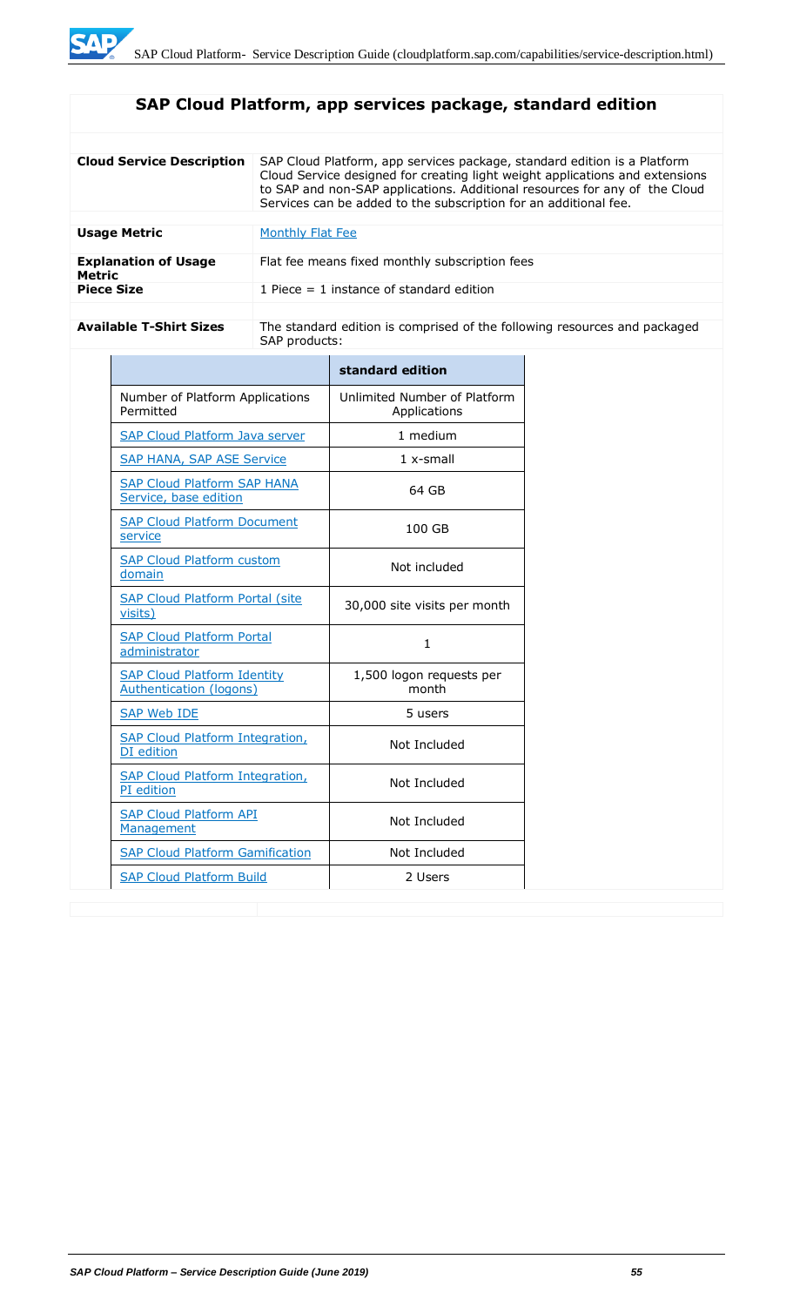## **SAP Cloud Platform, app services package, standard edition**

| <b>Cloud Service Description</b>      | SAP Cloud Platform, app services package, standard edition is a Platform<br>Cloud Service designed for creating light weight applications and extensions<br>to SAP and non-SAP applications. Additional resources for any of the Cloud<br>Services can be added to the subscription for an additional fee. |
|---------------------------------------|------------------------------------------------------------------------------------------------------------------------------------------------------------------------------------------------------------------------------------------------------------------------------------------------------------|
| <b>Usage Metric</b>                   | Monthly Flat Fee                                                                                                                                                                                                                                                                                           |
| <b>Explanation of Usage</b><br>Metric | Flat fee means fixed monthly subscription fees                                                                                                                                                                                                                                                             |
| <b>Piece Size</b>                     | 1 Piece $=$ 1 instance of standard edition                                                                                                                                                                                                                                                                 |

Available T-Shirt Sizes **The standard edition is comprised of the following resources and packaged** SAP products:

|                                                                      | standard edition                             |
|----------------------------------------------------------------------|----------------------------------------------|
| Number of Platform Applications<br>Permitted                         | Unlimited Number of Platform<br>Applications |
| <b>SAP Cloud Platform Java server</b>                                | 1 medium                                     |
| <b>SAP HANA, SAP ASE Service</b>                                     | $1x$ -small                                  |
| <b>SAP Cloud Platform SAP HANA</b><br>Service, base edition          | 64 GB                                        |
| <b>SAP Cloud Platform Document</b><br>service                        | 100 GB                                       |
| <b>SAP Cloud Platform custom</b><br>domain                           | Not included                                 |
| <b>SAP Cloud Platform Portal (site</b><br>visits)                    | 30,000 site visits per month                 |
| <b>SAP Cloud Platform Portal</b><br>administrator                    | 1.                                           |
| <b>SAP Cloud Platform Identity</b><br><b>Authentication (logons)</b> | 1,500 logon requests per<br>month            |
| <b>SAP Web IDE</b>                                                   | 5 users                                      |
| <b>SAP Cloud Platform Integration,</b><br>DI edition                 | Not Included                                 |
| <b>SAP Cloud Platform Integration,</b><br>PI edition                 | Not Included                                 |
| <b>SAP Cloud Platform API</b><br>Management                          | Not Included                                 |
| <b>SAP Cloud Platform Gamification</b>                               | Not Included                                 |
| <b>SAP Cloud Platform Build</b>                                      | 2 Users                                      |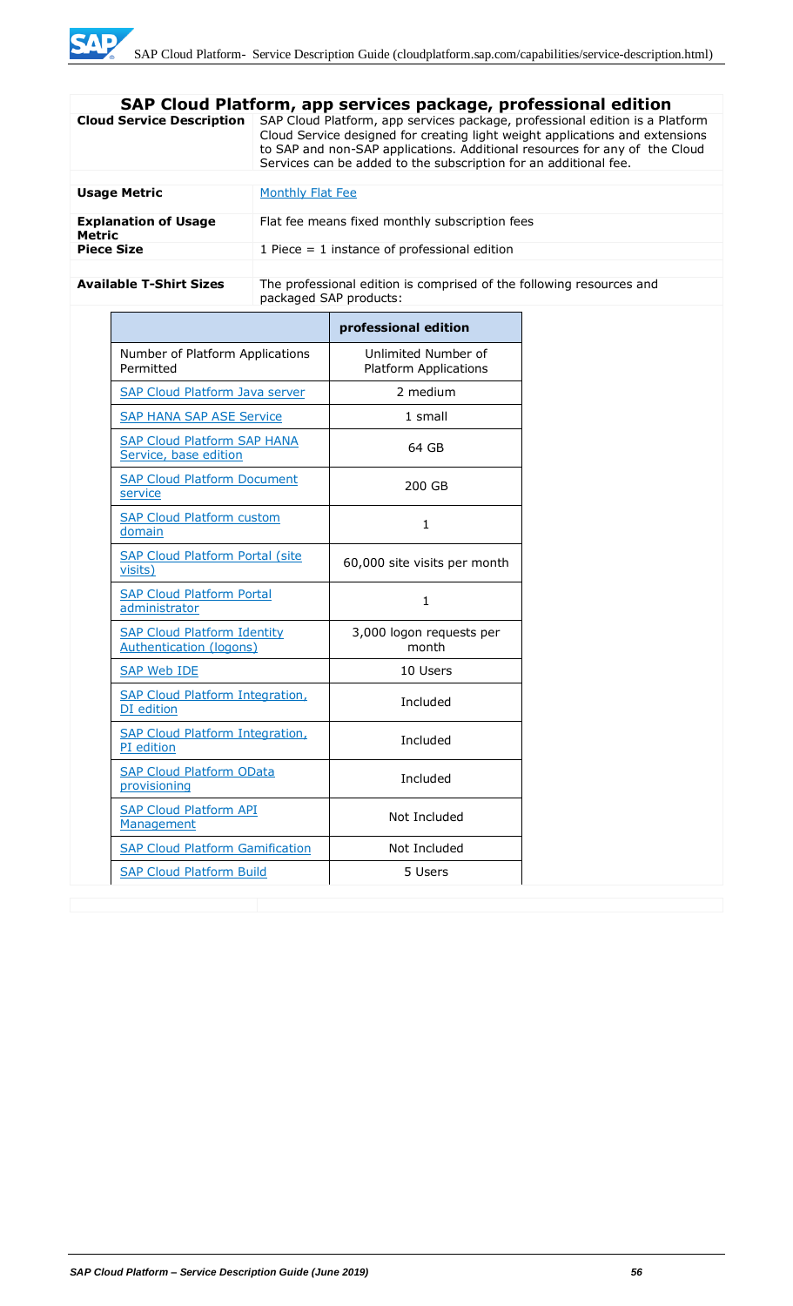|                                              | SAP Cloud Platform, app services package, professional edition                                                                                                                                                                                                                                                 |  |  |
|----------------------------------------------|----------------------------------------------------------------------------------------------------------------------------------------------------------------------------------------------------------------------------------------------------------------------------------------------------------------|--|--|
| <b>Cloud Service Description</b>             | SAP Cloud Platform, app services package, professional edition is a Platform<br>Cloud Service designed for creating light weight applications and extensions<br>to SAP and non-SAP applications. Additional resources for any of the Cloud<br>Services can be added to the subscription for an additional fee. |  |  |
|                                              |                                                                                                                                                                                                                                                                                                                |  |  |
| <b>Usage Metric</b>                          | Monthly Flat Fee                                                                                                                                                                                                                                                                                               |  |  |
| <b>Explanation of Usage</b><br><b>Metric</b> | Flat fee means fixed monthly subscription fees                                                                                                                                                                                                                                                                 |  |  |
| <b>Piece Size</b>                            | 1 Piece $=$ 1 instance of professional edition                                                                                                                                                                                                                                                                 |  |  |
|                                              |                                                                                                                                                                                                                                                                                                                |  |  |
| <b>Available T-Shirt Sizes</b>               | The professional edition is comprised of the following resources and<br>packaged SAP products:                                                                                                                                                                                                                 |  |  |

|                                                                      | professional edition                                |
|----------------------------------------------------------------------|-----------------------------------------------------|
| Number of Platform Applications<br>Permitted                         | Unlimited Number of<br><b>Platform Applications</b> |
| <b>SAP Cloud Platform Java server</b>                                | 2 medium                                            |
| <b>SAP HANA SAP ASE Service</b>                                      | 1 small                                             |
| <b>SAP Cloud Platform SAP HANA</b><br>Service, base edition          | 64 GB                                               |
| <b>SAP Cloud Platform Document</b><br>service                        | 200 GB                                              |
| <b>SAP Cloud Platform custom</b><br>domain                           | 1                                                   |
| <b>SAP Cloud Platform Portal (site</b><br>visits)                    | 60,000 site visits per month                        |
| <b>SAP Cloud Platform Portal</b><br>administrator                    | $\mathbf{1}$                                        |
| <b>SAP Cloud Platform Identity</b><br><b>Authentication (logons)</b> | 3,000 logon requests per<br>month                   |
| <b>SAP Web IDE</b>                                                   | 10 Users                                            |
| <b>SAP Cloud Platform Integration,</b><br>DI edition                 | Included                                            |
| <b>SAP Cloud Platform Integration,</b><br>PI edition                 | Included                                            |
| <b>SAP Cloud Platform OData</b><br>provisioning                      | Included                                            |
| <b>SAP Cloud Platform API</b><br>Management                          | Not Included                                        |
| <b>SAP Cloud Platform Gamification</b>                               | Not Included                                        |
| <b>SAP Cloud Platform Build</b>                                      | 5 Users                                             |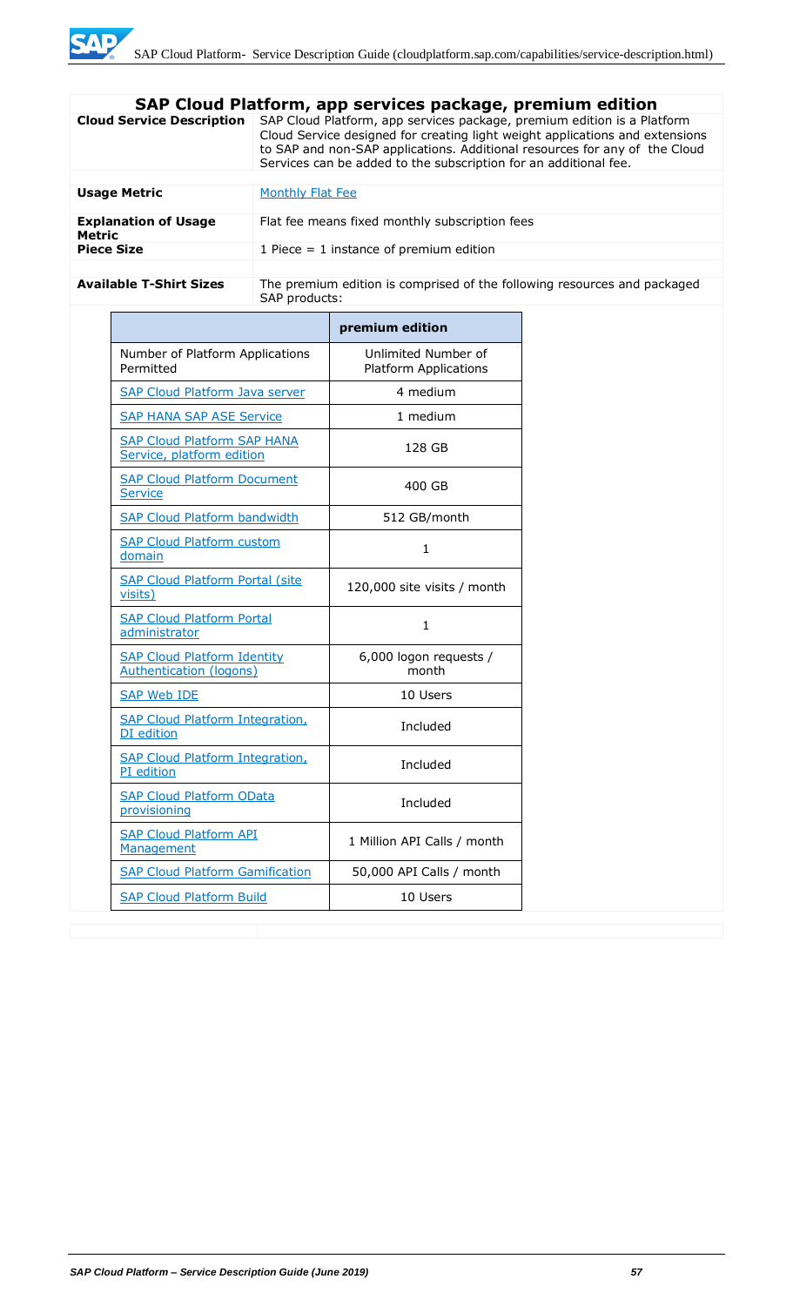|                                              | SAP Cloud Platform, app services package, premium edition                                                                                                                                                                                                                                                 |  |
|----------------------------------------------|-----------------------------------------------------------------------------------------------------------------------------------------------------------------------------------------------------------------------------------------------------------------------------------------------------------|--|
| <b>Cloud Service Description</b>             | SAP Cloud Platform, app services package, premium edition is a Platform<br>Cloud Service designed for creating light weight applications and extensions<br>to SAP and non-SAP applications. Additional resources for any of the Cloud<br>Services can be added to the subscription for an additional fee. |  |
|                                              |                                                                                                                                                                                                                                                                                                           |  |
| <b>Usage Metric</b>                          | Monthly Flat Fee                                                                                                                                                                                                                                                                                          |  |
| <b>Explanation of Usage</b><br><b>Metric</b> | Flat fee means fixed monthly subscription fees                                                                                                                                                                                                                                                            |  |
| <b>Piece Size</b>                            | 1 Piece $=$ 1 instance of premium edition                                                                                                                                                                                                                                                                 |  |
|                                              |                                                                                                                                                                                                                                                                                                           |  |
| <b>Available T-Shirt Sizes</b>               | The premium edition is comprised of the following resources and packaged<br>SAP products:                                                                                                                                                                                                                 |  |

|                                                                      | premium edition                                     |
|----------------------------------------------------------------------|-----------------------------------------------------|
| Number of Platform Applications<br>Permitted                         | Unlimited Number of<br><b>Platform Applications</b> |
| <b>SAP Cloud Platform Java server</b>                                | 4 medium                                            |
| <b>SAP HANA SAP ASE Service</b>                                      | 1 medium                                            |
| <b>SAP Cloud Platform SAP HANA</b><br>Service, platform edition      | 128 GB                                              |
| <b>SAP Cloud Platform Document</b><br>Service                        | 400 GB                                              |
| <b>SAP Cloud Platform bandwidth</b>                                  | 512 GB/month                                        |
| <b>SAP Cloud Platform custom</b><br>domain                           | 1                                                   |
| <b>SAP Cloud Platform Portal (site</b><br>visits)                    | 120,000 site visits / month                         |
| <b>SAP Cloud Platform Portal</b><br>administrator                    | $\mathbf{1}$                                        |
| <b>SAP Cloud Platform Identity</b><br><b>Authentication (logons)</b> | 6,000 logon requests /<br>month                     |
| <b>SAP Web IDE</b>                                                   | 10 Users                                            |
| <b>SAP Cloud Platform Integration,</b><br>DI edition                 | Included                                            |
| <b>SAP Cloud Platform Integration,</b><br>PI edition                 | Included                                            |
| <b>SAP Cloud Platform OData</b><br>provisioning                      | Included                                            |
| <b>SAP Cloud Platform API</b><br>Management                          | 1 Million API Calls / month                         |
| <b>SAP Cloud Platform Gamification</b>                               | 50,000 API Calls / month                            |
| <b>SAP Cloud Platform Build</b>                                      | 10 Users                                            |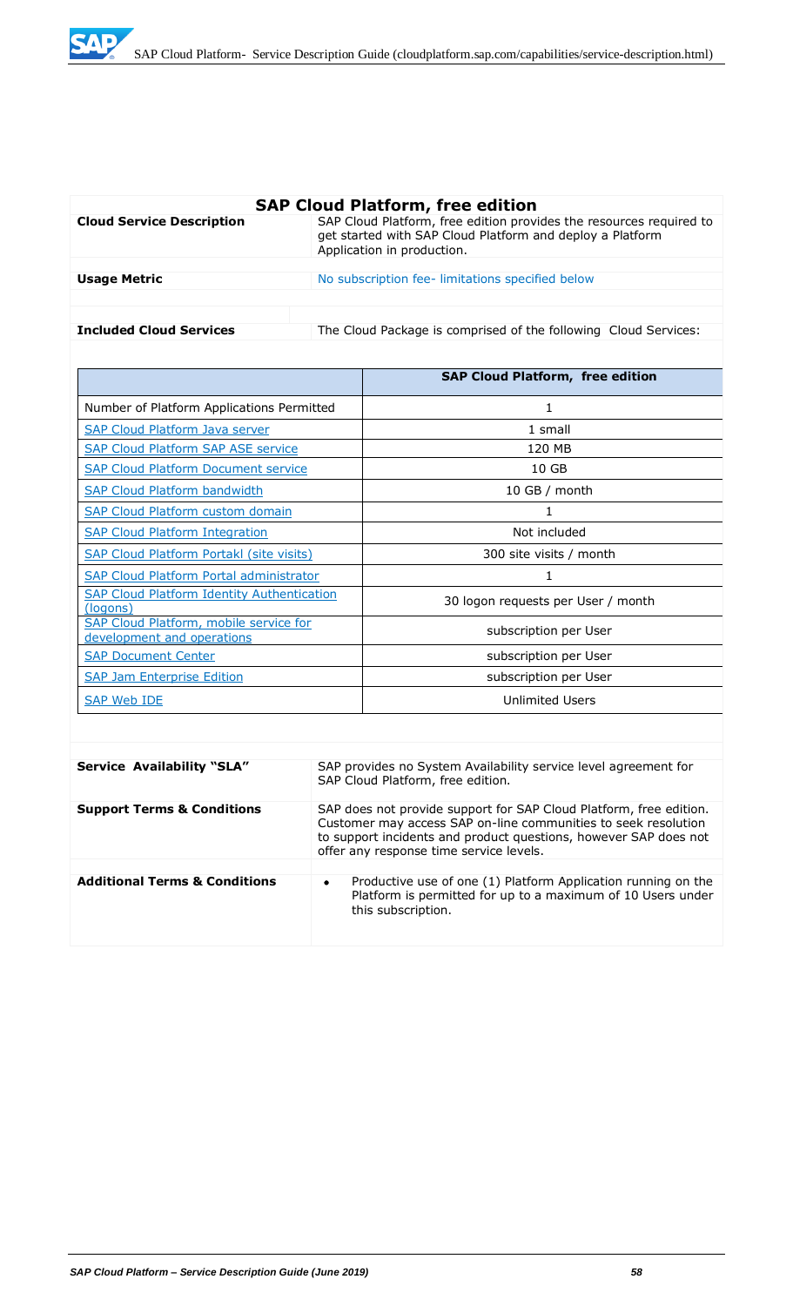

| <b>SAP Cloud Platform, free edition</b> |                                                                                                                                                                |  |
|-----------------------------------------|----------------------------------------------------------------------------------------------------------------------------------------------------------------|--|
| <b>Cloud Service Description</b>        | SAP Cloud Platform, free edition provides the resources required to<br>get started with SAP Cloud Platform and deploy a Platform<br>Application in production. |  |
|                                         |                                                                                                                                                                |  |
| <b>Usage Metric</b>                     | No subscription fee-limitations specified below                                                                                                                |  |
|                                         |                                                                                                                                                                |  |
|                                         |                                                                                                                                                                |  |
| <b>Included Cloud Services</b>          | The Cloud Package is comprised of the following Cloud Services:                                                                                                |  |

|                                                                      | <b>SAP Cloud Platform, free edition</b> |
|----------------------------------------------------------------------|-----------------------------------------|
| Number of Platform Applications Permitted                            | 1                                       |
| SAP Cloud Platform Java server                                       | 1 small                                 |
| <b>SAP Cloud Platform SAP ASE service</b>                            | 120 MB                                  |
| <b>SAP Cloud Platform Document service</b>                           | 10 <sub>GB</sub>                        |
| <b>SAP Cloud Platform bandwidth</b>                                  | $10$ GB / month                         |
| <b>SAP Cloud Platform custom domain</b>                              | 1                                       |
| <b>SAP Cloud Platform Integration</b>                                | Not included                            |
| <b>SAP Cloud Platform Portakl (site visits)</b>                      | 300 site visits / month                 |
| <b>SAP Cloud Platform Portal administrator</b>                       | 1                                       |
| <b>SAP Cloud Platform Identity Authentication</b><br>(logons)        | 30 logon requests per User / month      |
| SAP Cloud Platform, mobile service for<br>development and operations | subscription per User                   |
| <b>SAP Document Center</b>                                           | subscription per User                   |
| <b>SAP Jam Enterprise Edition</b>                                    | subscription per User                   |
| SAP Web IDE                                                          | <b>Unlimited Users</b>                  |

| <b>Service Availability "SLA"</b>        | SAP provides no System Availability service level agreement for<br>SAP Cloud Platform, free edition.                                                                                                                                                |
|------------------------------------------|-----------------------------------------------------------------------------------------------------------------------------------------------------------------------------------------------------------------------------------------------------|
| <b>Support Terms &amp; Conditions</b>    | SAP does not provide support for SAP Cloud Platform, free edition.<br>Customer may access SAP on-line communities to seek resolution<br>to support incidents and product questions, however SAP does not<br>offer any response time service levels. |
|                                          |                                                                                                                                                                                                                                                     |
| <b>Additional Terms &amp; Conditions</b> | Productive use of one (1) Platform Application running on the<br>$\bullet$<br>Platform is permitted for up to a maximum of 10 Users under<br>this subscription.                                                                                     |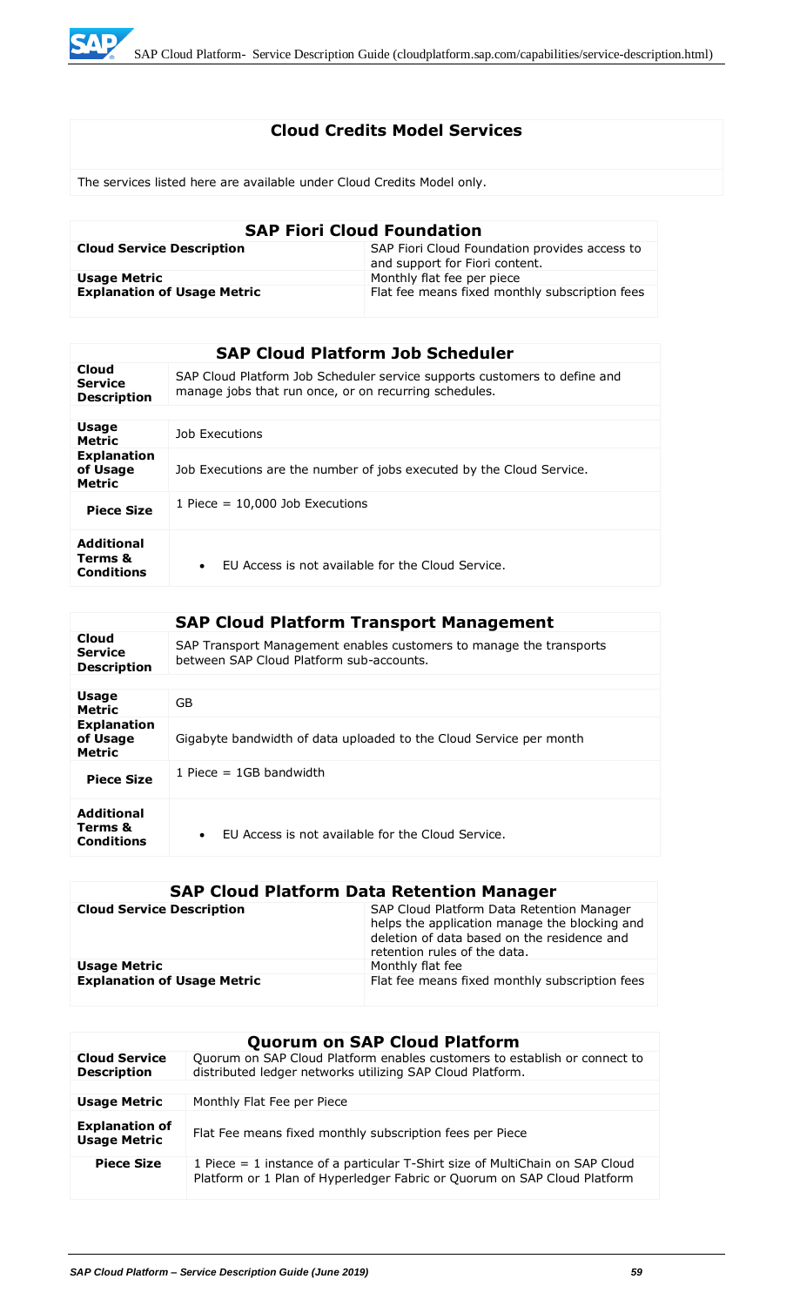

# **Cloud Credits Model Services**

The services listed here are available under Cloud Credits Model only.

| <b>SAP Fiori Cloud Foundation</b>  |                                                                                 |  |
|------------------------------------|---------------------------------------------------------------------------------|--|
| <b>Cloud Service Description</b>   | SAP Fiori Cloud Foundation provides access to<br>and support for Fiori content. |  |
| <b>Usage Metric</b>                | Monthly flat fee per piece                                                      |  |
| <b>Explanation of Usage Metric</b> | Flat fee means fixed monthly subscription fees                                  |  |

|                                                 | <b>SAP Cloud Platform Job Scheduler</b>                                                                                            |
|-------------------------------------------------|------------------------------------------------------------------------------------------------------------------------------------|
| Cloud<br><b>Service</b><br><b>Description</b>   | SAP Cloud Platform Job Scheduler service supports customers to define and<br>manage jobs that run once, or on recurring schedules. |
|                                                 |                                                                                                                                    |
| <b>Usage</b><br><b>Metric</b>                   | Job Executions                                                                                                                     |
| <b>Explanation</b><br>of Usage<br><b>Metric</b> | Job Executions are the number of jobs executed by the Cloud Service.                                                               |
| <b>Piece Size</b>                               | 1 Piece $= 10,000$ Job Executions                                                                                                  |
| <b>Additional</b><br>Terms &<br>Conditions      | FU Access is not available for the Cloud Service.<br>$\bullet$                                                                     |

|                                                   | <b>SAP Cloud Platform Transport Management</b>                                                                  |
|---------------------------------------------------|-----------------------------------------------------------------------------------------------------------------|
| Cloud<br><b>Service</b><br><b>Description</b>     | SAP Transport Management enables customers to manage the transports<br>between SAP Cloud Platform sub-accounts. |
|                                                   |                                                                                                                 |
| Usage<br><b>Metric</b>                            | GB                                                                                                              |
| <b>Explanation</b><br>of Usage<br><b>Metric</b>   | Gigabyte bandwidth of data uploaded to the Cloud Service per month                                              |
| <b>Piece Size</b>                                 | 1 Piece $=$ 1GB bandwidth                                                                                       |
| <b>Additional</b><br>Terms &<br><b>Conditions</b> | FU Access is not available for the Cloud Service.<br>$\bullet$                                                  |

# **SAP Cloud Platform Data Retention Manager**

| <b>Cloud Service Description</b>   | SAP Cloud Platform Data Retention Manager<br>helps the application manage the blocking and<br>deletion of data based on the residence and<br>retention rules of the data. |
|------------------------------------|---------------------------------------------------------------------------------------------------------------------------------------------------------------------------|
| <b>Usage Metric</b>                | Monthly flat fee                                                                                                                                                          |
| <b>Explanation of Usage Metric</b> | Flat fee means fixed monthly subscription fees                                                                                                                            |

|                                              | <b>Quorum on SAP Cloud Platform</b>                                                                                                                      |
|----------------------------------------------|----------------------------------------------------------------------------------------------------------------------------------------------------------|
| <b>Cloud Service</b><br><b>Description</b>   | Quorum on SAP Cloud Platform enables customers to establish or connect to<br>distributed ledger networks utilizing SAP Cloud Platform.                   |
|                                              |                                                                                                                                                          |
| <b>Usage Metric</b>                          | Monthly Flat Fee per Piece                                                                                                                               |
| <b>Explanation of</b><br><b>Usage Metric</b> | Flat Fee means fixed monthly subscription fees per Piece                                                                                                 |
| <b>Piece Size</b>                            | 1 Piece = 1 instance of a particular T-Shirt size of MultiChain on SAP Cloud<br>Platform or 1 Plan of Hyperledger Fabric or Quorum on SAP Cloud Platform |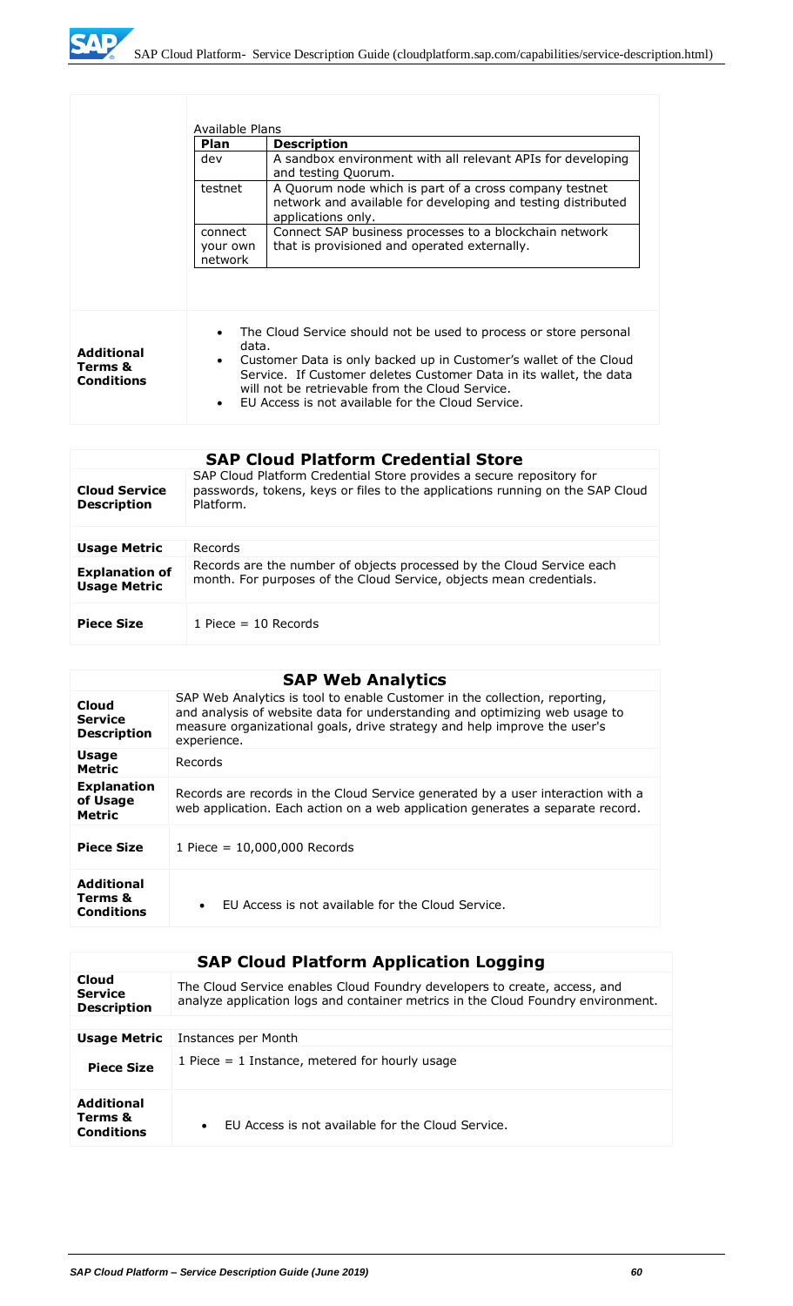

|                                            | Available Plans                 |                                                                                                                                                                                                                                                                                                                      |
|--------------------------------------------|---------------------------------|----------------------------------------------------------------------------------------------------------------------------------------------------------------------------------------------------------------------------------------------------------------------------------------------------------------------|
|                                            | <b>Plan</b>                     | <b>Description</b>                                                                                                                                                                                                                                                                                                   |
|                                            | dev                             | A sandbox environment with all relevant APIs for developing<br>and testing Quorum.                                                                                                                                                                                                                                   |
|                                            | testnet                         | A Quorum node which is part of a cross company testnet<br>network and available for developing and testing distributed<br>applications only.                                                                                                                                                                         |
|                                            | connect<br>your own<br>network  | Connect SAP business processes to a blockchain network<br>that is provisioned and operated externally.                                                                                                                                                                                                               |
| <b>Additional</b><br>Terms &<br>Conditions | data.<br>$\bullet$<br>$\bullet$ | The Cloud Service should not be used to process or store personal<br>Customer Data is only backed up in Customer's wallet of the Cloud<br>Service. If Customer deletes Customer Data in its wallet, the data<br>will not be retrievable from the Cloud Service.<br>FU Access is not available for the Cloud Service. |

| <b>SAP Cloud Platform Credential Store</b>   |                                                                                                                                                                    |
|----------------------------------------------|--------------------------------------------------------------------------------------------------------------------------------------------------------------------|
| <b>Cloud Service</b><br><b>Description</b>   | SAP Cloud Platform Credential Store provides a secure repository for<br>passwords, tokens, keys or files to the applications running on the SAP Cloud<br>Platform. |
|                                              |                                                                                                                                                                    |
| <b>Usage Metric</b>                          | Records                                                                                                                                                            |
| <b>Explanation of</b><br><b>Usage Metric</b> | Records are the number of objects processed by the Cloud Service each<br>month. For purposes of the Cloud Service, objects mean credentials.                       |
| <b>Piece Size</b>                            | 1 Piece $=$ 10 Records                                                                                                                                             |

# **SAP Web Analytics**

|                                                   | <u>,,,, ,,,,,,,,,,,,,,,</u>                                                                                                                                                                                                                         |
|---------------------------------------------------|-----------------------------------------------------------------------------------------------------------------------------------------------------------------------------------------------------------------------------------------------------|
| Cloud<br><b>Service</b><br><b>Description</b>     | SAP Web Analytics is tool to enable Customer in the collection, reporting,<br>and analysis of website data for understanding and optimizing web usage to<br>measure organizational goals, drive strategy and help improve the user's<br>experience. |
| <b>Usage</b><br><b>Metric</b>                     | Records                                                                                                                                                                                                                                             |
| <b>Explanation</b><br>of Usage<br><b>Metric</b>   | Records are records in the Cloud Service generated by a user interaction with a<br>web application. Each action on a web application generates a separate record.                                                                                   |
| <b>Piece Size</b>                                 | 1 Piece = 10,000,000 Records                                                                                                                                                                                                                        |
| <b>Additional</b><br>Terms &<br><b>Conditions</b> | EU Access is not available for the Cloud Service.<br>$\bullet$                                                                                                                                                                                      |

| <b>SAP Cloud Platform Application Logging</b>     |                                                                                                                                                               |
|---------------------------------------------------|---------------------------------------------------------------------------------------------------------------------------------------------------------------|
| Cloud<br><b>Service</b><br><b>Description</b>     | The Cloud Service enables Cloud Foundry developers to create, access, and<br>analyze application logs and container metrics in the Cloud Foundry environment. |
|                                                   |                                                                                                                                                               |
| <b>Usage Metric</b>                               | Instances per Month                                                                                                                                           |
| <b>Piece Size</b>                                 | 1 Piece $=$ 1 Instance, metered for hourly usage                                                                                                              |
| <b>Additional</b><br>Terms &<br><b>Conditions</b> | EU Access is not available for the Cloud Service.<br>$\bullet$                                                                                                |